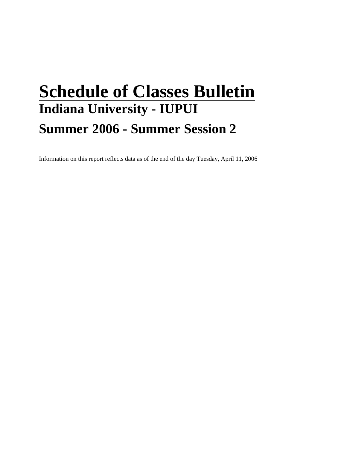# **Schedule of Classes Bulletin Indiana University - IUPUI Summer 2006 - Summer Session 2**

Information on this report reflects data as of the end of the day Tuesday, April 11, 2006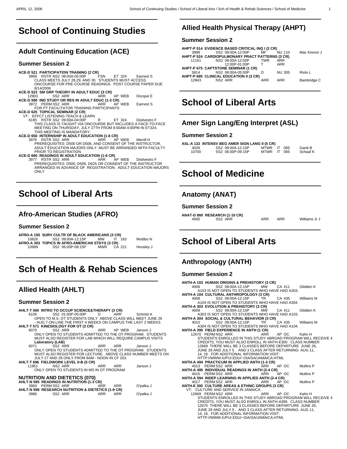# **School of Continuing Studies**

## **Adult Continuing Education (ACE)**

#### **Summer Session 2**

#### **ACE-D 521 PARTICIPATION TRAINING (2 CR)**

- 3969 RSTR NS2 08:00A-05:00P FSN ET 324 Earnest S CLASS MEETS JULY 28,29, AND 30. STUDENTS MUST ACCESS ONCOURSE FOR PRE-COURSE READINGS. POST COURSE PAPER DUE 8/14/2006
- **ACE-D 523 SM GRP THEORY IN ADULT EDUC (3 CR)** 12903 SS2 ARR ARR AP WEB Docque E<br>**ACE-D 590 IND STUDY OR RES IN ADULT EDUC (1-3 CR)**<br>3972 PERM SS2 ARR AP WRB Earnest S
- 3972 PERM SS2 ARR ARR ARR AF FOR PT FACILITATOR TRAINING PARTICIPANTS **ACE-D 625 TOPICAL SEMINAR (2 CR)**
- - VT: EFFCT LISTENING-TEACH & LEARN<br>6185 RSTR SS2 09:00A-04:00P 6185 RSTR SS2 09:00A-04:00P<br>THIS CLASS IS TAUGHT VIA ONCOURSE BUT INCLUDES A FACE-TO-FACE<br>MEETING ON THURSDAY, JULY 27TH FROM 9:00AM-4:00PM IN ET324.<br>THIS MEETING IS MANDATORY.

**ACE-D 650 INTERNSHIP IN ADULT EDUCATION (1-6 CR)** 3976 RSTR SS2 ARR ARR AP WEB Merrill H PREREQUISITES: D500 OR D506, AND CONSENT OF THE INSTRUCTOR, ADULT EDUCATION MAJORS ONLY. MUST BE ARRANGED WITH FACULTY PRIOR TO REGISTRATION.

#### **ACE-D 660 READINGS IN ADULT EDUCATION (1-6 CR)**

 3977 RSTR SS2 ARR ARR AP WEB Disilvestro F PREREQUISITES: D500, D505, D625 OR CONSENT OF THE INSTRUCTOR ARRANGED IN ADVANCE OF REGISTRATION. ADULT EDUCATION MAJORS **ONLY** \_\_\_\_\_\_\_\_\_\_\_\_\_\_\_\_\_\_\_\_\_\_\_\_\_\_\_\_

# **School of Liberal Arts**

## **Afro-American Studies (AFRO)**

#### **Summer Session 2**

 $\overline{a}$ 

 $\overline{a}$ 

|       | AFRO-A 150 SURV CULTR OF BLACK AMERICANS (3 CR) |            |        |           |
|-------|-------------------------------------------------|------------|--------|-----------|
| 10826 | SS2 09:00A-12:15P                               | <b>MW</b>  | 163    | Modibo N  |
|       | AFRO-A 303 TOPICS IN AFRO-AMERICAN STDYS (3 CR) |            |        |           |
| 10999 | SS2 06:00P-08:15P                               | <b>MWR</b> | CA 221 | Housley J |
|       |                                                 |            |        |           |
|       |                                                 |            |        |           |

# **Sch of Health & Rehab Sciences**

## **Allied Health (AHLT)**

#### **Summer Session 2**

### **AHLT-T 560 INTRO TO OCCUP SCIENCE&THERAPY (3 CR)**

 6105 SS2 01:00P-05:00P D ARR Schmid A OPEN TO M.S. OT STUDENTS ONLY ABOVE CLASS WILL MEET JUNE 26 - AUG 7 ON-LINE THE FIRST 4 WEEKS ON CAMPUS THE LAST 2 WEEKS **AHLT-T 571 KINESIOLOGY FOR OT (3 CR)**

- 6070 SS2 ARR ARR AP WEB Janson J ONLY OPEN TO STUDENTS ADMITTED TO THE OT PROGRAM. STUDENTS MUST ALSO REGISTER FOR LAB WHICH WILL REQUIRE CAMPUS VISITS
- **Laboratory (LAB)** 6071 SS2 ARR ARR ARR Janson J ONLY OPEN TO STUDENTS ADMITTED TO THE OT PROGRAM. STUDENTS MUST ALSO REGISTER FOR LECTURE. ABOVE CLASS NUMBER MEETS ON JULY 27 AND 28 ONLY FROM 8AM - NOON IN CF 203.

**AHLT-T 696 FIELDWORK LEVEL II-B (5 CR)** 11951 NS2 ARR ARR ARR Janson J

| 11951 | NS2 ARR                                   | ARR | Janson . |
|-------|-------------------------------------------|-----|----------|
|       | ONLY OPEN TO STUDENTS IN MS IN OT PROGRAM |     |          |

#### **NUTRITION AND DIETETICS (070)**

|      | AHLT-N 595 READINGS IN NUTRITION (1-3 CR)          |     |     |           |
|------|----------------------------------------------------|-----|-----|-----------|
|      | 3983 PERMSS2 ARR                                   | ARR | ARR | O'palka J |
|      | AHLT-N 598 RESEARCH NUTRITION & DIETETICS (1-9 CR) |     |     |           |
| 3986 | SS2 ARR                                            | ARR | ARR | O'palka J |

## **Allied Health Physical Therapy (AHPT)**

#### **Summer Session 2**

 $\overline{a}$ 

 $\overline{a}$ 

 $\overline{a}$ 

 $\overline{a}$ 

|       | AHPT-P 514 EVIDENCE BASED CRITICAL INQ I (2 CR)  |            |               |              |
|-------|--------------------------------------------------|------------|---------------|--------------|
| 3998  | SS2 08:00A-12:00P                                | MF         | <b>NU 110</b> | Mac Kinnon J |
|       | AHPT-P 524 CARDIOPULMONARY PRACT PATTERNS (3 CR) |            |               |              |
| 11161 | NS2 09:00A-12:00P                                | <b>TWR</b> | <b>ARR</b>    |              |
|       | 12:00P-01:00P                                    | т          | <b>ARR</b>    |              |
|       | AHPT-P 675 CAPTSTONE SEMINAR (1 CR)              |            |               |              |
| 5814  | NS2 08:00A-05:00P                                | n          | <b>NU 305</b> | Riolo L      |
|       | AHPT-P 695 CLINICAL EDUCATION II (3 CR)          |            |               |              |
| 12843 | NS <sub>2</sub> ARR                              | ARR        | <b>ARR</b>    | Bainbridge C |
|       |                                                  |            |               |              |
|       |                                                  |            |               |              |

# **School of Liberal Arts**

## **Amer Sign Lang/Eng Interpret (ASL)**

#### **Summer Session 2**

|       | ASL-A 132 INTENSV BEG AMER SIGN LANG II (5 CR) |             |    |     |          |
|-------|------------------------------------------------|-------------|----|-----|----------|
| 4026  | SS2 09:00A-12:15P                              | <b>MTWR</b> |    | 065 | Gantt B  |
| 10700 | SS2 06:00P-09:15P                              | MTWR        | IT | 065 | Schaaf K |
|       |                                                |             |    |     |          |

# **School of Medicine**

## **Anatomy (ANAT)**

#### **Summer Session 2**

**ANAT-D 860 RESEARCH (1-10 CR)** 4000 SS2 ARR ARR ARR Williams Jr J \_\_\_\_\_\_\_\_\_\_\_\_\_\_\_\_\_\_\_\_\_\_\_\_\_\_\_\_

# **School of Liberal Arts**

## **Anthropology (ANTH)**

#### **Summer Session 2**

| ANTH-A 103 HUMAN ORIGINS & PREHISTORY (3 CR)                                                                                                                                                                                                                                                                                                                                                                               |           |          |                      |
|----------------------------------------------------------------------------------------------------------------------------------------------------------------------------------------------------------------------------------------------------------------------------------------------------------------------------------------------------------------------------------------------------------------------------|-----------|----------|----------------------|
| 4006 SS2 09:00A-12:15P MW CA 411 Glidden K                                                                                                                                                                                                                                                                                                                                                                                 |           |          |                      |
| A103 IS NOT OPEN TO STUDENTS WHO HAVE HAD A303.                                                                                                                                                                                                                                                                                                                                                                            |           |          |                      |
| ANTH-A 104 CULTURAL ANTHROPOLOGY (3 CR)                                                                                                                                                                                                                                                                                                                                                                                    |           |          |                      |
| SS2 09:00A-12:15P TR CA 435 Williams M<br>4008 and the set of $\sim$                                                                                                                                                                                                                                                                                                                                                       |           |          |                      |
| A104 IS NOT OPEN TO STUDENTS WHO HAVE HAD A304                                                                                                                                                                                                                                                                                                                                                                             |           |          |                      |
| ANTH-A 303 EVOLUTION & PREHISTORY (3 CR)                                                                                                                                                                                                                                                                                                                                                                                   |           |          |                      |
| 4009 SS2 09:00A-12:15P MW CA 411                                                                                                                                                                                                                                                                                                                                                                                           |           |          | Glidden K            |
| A303 IS NOT OPEN TO STUDENTS WHO HAVE HAD A103.                                                                                                                                                                                                                                                                                                                                                                            |           |          |                      |
| ANTH-A 304 SOCIAL & CULTURAL BEHAVIOR (3 CR)                                                                                                                                                                                                                                                                                                                                                                               |           |          |                      |
| 4010 SS2 09:00A-12:15P TR CA 435 Williams M                                                                                                                                                                                                                                                                                                                                                                                |           |          |                      |
| A304 IS NOT OPEN TO STUDENTS WHO HAVE HAD A104.                                                                                                                                                                                                                                                                                                                                                                            |           |          |                      |
| ANTH-A 395 FIELD EXPERIENCE IN ANTH (1 CR)                                                                                                                                                                                                                                                                                                                                                                                 |           |          |                      |
| 12670 PERM NS2 ARR ARR AP OC Kahn H                                                                                                                                                                                                                                                                                                                                                                                        |           |          |                      |
| STUDENTS ENROLLED IN THIS STUDY ABROAD PROGRAM WILL RECEIVE 4                                                                                                                                                                                                                                                                                                                                                              |           |          |                      |
| CREDITS, YOU MUST ALSO ENROLL IN ANTH-E300 CLASS NUMBER                                                                                                                                                                                                                                                                                                                                                                    |           |          |                      |
| 12669 THERE WILL BE 3 CLASSES BEFORE DEPARTURE JUNE 26,                                                                                                                                                                                                                                                                                                                                                                    |           |          |                      |
| JUNE 28 AND JULY 5. AND 3 CLASS AFTER RETURNING- AUG 11,                                                                                                                                                                                                                                                                                                                                                                   |           |          |                      |
| 14, 16. FOR ADDITIONAL INFORMATION VISIT:                                                                                                                                                                                                                                                                                                                                                                                  |           |          |                      |
| HTTP://WWW.IUPUI.EDU/~OIA/SA/JAMAICA.HTML                                                                                                                                                                                                                                                                                                                                                                                  |           |          |                      |
| ANTH-A 494 PRACTICUM IN APPLIED ANTH (1-3 CR)                                                                                                                                                                                                                                                                                                                                                                              |           |          |                      |
| 4013 PERM SS2 ARR                                                                                                                                                                                                                                                                                                                                                                                                          | ARR AP OC |          | Mullins <sub>P</sub> |
| ANTH-A 495 INDIVIDUAL READINGS IN ANTH (2-4 CR)                                                                                                                                                                                                                                                                                                                                                                            |           |          |                      |
| 4015 PERMSS2 ARR ARR                                                                                                                                                                                                                                                                                                                                                                                                       |           | AP OC    | Mullins <sub>P</sub> |
| ANTH-A 594 INDEP LEARNING IN APPLIED ANTH (2-4 CR)                                                                                                                                                                                                                                                                                                                                                                         |           |          |                      |
| 4017 PERMSS2 ARR                                                                                                                                                                                                                                                                                                                                                                                                           |           | ARR APOC | Mullins P            |
| ANTH-E 300 CULTURE AREAS & ETHNIC GROUPS (3 CR)                                                                                                                                                                                                                                                                                                                                                                            |           |          |                      |
| VT: CULTURE AND SERVICE IN JAMAICA                                                                                                                                                                                                                                                                                                                                                                                         |           |          |                      |
| 12669 PERM NS2 ARR ARR AP OC Kahn H                                                                                                                                                                                                                                                                                                                                                                                        |           |          |                      |
| STUDENTS ENROLLED IN THIS STUDY ABROAD PROGRAM WILL RECEIVE 4                                                                                                                                                                                                                                                                                                                                                              |           |          |                      |
| CREDITS, YOU MUST ALSO ENROLL IN ANTH-A395 CLASS NUMBER                                                                                                                                                                                                                                                                                                                                                                    |           |          |                      |
| 12670 THERE WILL BE 3 CLASSES BEFORE DEPARTURE JUNE 26.<br>$\overline{10}$ $\overline{11}$ $\overline{11}$ $\overline{12}$ $\overline{13}$ $\overline{13}$ $\overline{15}$ $\overline{16}$ $\overline{11}$ $\overline{13}$ $\overline{13}$ $\overline{13}$ $\overline{14}$ $\overline{15}$ $\overline{11}$ $\overline{13}$ $\overline{14}$ $\overline{15}$ $\overline{11}$ $\overline{13}$ $\overline{14}$ $\overline{15}$ |           |          |                      |
|                                                                                                                                                                                                                                                                                                                                                                                                                            |           |          |                      |

JUNE 28 AND JULY 5 . AND 3 CLASS AFTER RETURNING- AUG 11, 14, 16. FOR ADDITIONAL INFORMATION VISIT:

HTTP://WWW.IUPUI.EDU/~OIA/SA/JAMAICA.HTML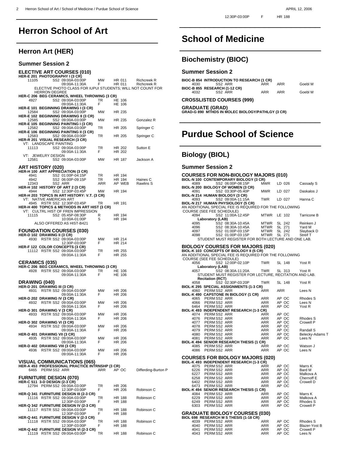# **Herron School of Art**

## **Herron Art (HER)**

 $\overline{a}$ 

#### **Summer Session 2**

## **ELECTIVE ART COURSES (010) HER-E 201 PHOTOGRAPHY I (3 CR)**

| SS2 09:00A-03:00P<br>11105                                                          | МW        | HR 011           | Richcreek R         |
|-------------------------------------------------------------------------------------|-----------|------------------|---------------------|
| 09:00A-11:30A                                                                       | F.        | HR 011           | Richcreek R         |
| ELECTIVE PHOTO CLASS FOR IUPUI STUDENTS; WILL NOT COUNT FOR<br><b>HERRON DEGREE</b> |           |                  |                     |
| <b>HER-C 206 BEG CERAMICS, WHEEL THROWING (3 CR)</b>                                |           |                  |                     |
| 4927<br>SS2 09:00A-03:00P<br>09:00A-11:30A                                          | TR.<br>F. | HE 106<br>HE 106 |                     |
| HER-E 101 BEGINNING DRAWING I (3 CR)                                                |           |                  |                     |
| 12584<br>SS2 09:00A-03:00P                                                          | МW        | HR 235           |                     |
| HER-E 102 BEGINNING DRAWING II (3 CR)<br>SS2 09:00A-03:00P<br>12585                 | МW        | HR 235           | Gonzalez R          |
| HER-E 105 BEGINNING PAINTING I (3 CR)                                               |           |                  |                     |
| SS2 09:00A-03:00P<br>12582<br><b>HER-E 106 BEGINNING PAINTING II (3 CR)</b>         | TR        | HR 205           | Springer C          |
| SS2 09:00A-03:00P<br>12583                                                          | TR        | HR 205           | Springer C          |
| <b>HER-R 201 VISUAL RESEARCH (3 CR)</b>                                             |           |                  |                     |
| VT: LANDSCAPE PAINTING<br>11113<br>SS2 09:00A-03:00P                                | TR        | HR 202           | Sutton E            |
| 09:00A-11:30A                                                                       | F.        | HR 202           |                     |
| VT: JEWELRY DESIGN<br>12581<br>SS2 09:00A-03:00P                                    | MW        | HR 187           | Jackson A           |
|                                                                                     |           |                  |                     |
| ART HISTORY (020)                                                                   |           |                  |                     |
| <b>HER-H 100 ART APPRECIATION (3 CR)</b><br>4941<br>SS2 01:00P-04:15P               | TR        | HR 194           |                     |
| SS2 06:00P-09:15P<br>4942                                                           | TR        | HR 194           | Haines C            |
| SS2 ARR<br>12343                                                                    | ARR       | AP WEB           | Rawlins S           |
| HER-H 102 HISTORY OF ART 2 (3 CR)<br>SS2 12:30P-03:45P<br>4944                      | МW        | HR 194           |                     |
| HER-H 203 TOPICS IN ART HISTORY: V.T. (3 CR)                                        |           |                  |                     |
| VT: NATIVE AMERICAN ART                                                             |           |                  |                     |
| RSTR SS2 12:30P-03:45P<br>4945<br>HER-H 400 TOPICS & METHODS IN ART HIST (3 CR)     | TR        | HR 191           |                     |
| VT: CULTRL HIST OF FREN IMPRESSION                                                  |           |                  |                     |
| 11115<br>SS2 05:45P-08:30P<br>10:00A-01:00P                                         | R<br>S    | HR 194<br>HR 194 |                     |
| ALSO OFFERED AS HIST-B421                                                           |           |                  |                     |
|                                                                                     |           |                  |                     |
| <b>FOUNDATION COURSES (030)</b><br><b>HER-D 102 DRAWING II (3 CR)</b>               |           |                  |                     |
| RSTR SS2 09:00A-03:00P<br>4930                                                      | МW        | HR 214           |                     |
| 12:30P-03:00P                                                                       | F.        | HR 214           |                     |
| <b>HER-F 122 COLOR CONCEPTS (3 CR)</b><br>11112 RSTR SS2 09:00A-03:00P              | TR        | HR 255           |                     |
| 09:00A-11:30A                                                                       | F.        | HR 255           |                     |
| <b>CERAMICS (035)</b>                                                               |           |                  |                     |
| HER-C 206 BEG CERAMICS, WHEEL THROWING (3 CR)                                       |           |                  |                     |
| 4928 RSTR SS2 09:00A-03:00P                                                         | TR.       | HE 106           |                     |
| 09:00A-11:30A                                                                       | F         | HE 106           |                     |
| DRAWING (040)                                                                       |           |                  |                     |
| HER-D 201 DRAWING III (3 CR)<br>4931                                                | МW        | HR 206           |                     |
| RSTR SS2 09:00A-03:00P                                                              |           |                  |                     |
| 09:00A-11:30A                                                                       | F.        | HR 206           |                     |
| HER-D 202 DRAWING IV (3 CR)                                                         |           |                  |                     |
| 4932 RSTR SS2 09:00A-03:00P                                                         | МW        | HR 206           |                     |
| 09:00A-11:30A<br>HER-D 301 DRAWING V (3 CR)                                         | F.        | HR 206           |                     |
| RSTR SS2 09:00A-03:00P<br>4933                                                      | МW        | HR 206           |                     |
| 09:00A-11:30A                                                                       | F.        | HR 206           |                     |
| HER-D 302 DRAWING VI (3 CR)<br>4934 RSTR SS2 09:00A-03:00P                          | MW        | HR 206           |                     |
| 09:00A-11:30A                                                                       | F.        | HR 206           |                     |
| <b>HER-D 401 DRAWING VII (3 CR)</b><br>RSTR SS2 09:00A-03:00P<br>4935               | МW        | HR 206           |                     |
| 09:00A-11:30A                                                                       | F         | HR 206           |                     |
| HER-D 402 DRAWING VIII (3 CR)                                                       |           |                  |                     |
| 4936<br>RSTR SS2 09:00A-03:00P<br>09:00A-11:30A                                     | МW<br>F   | HR 206<br>HR 206 |                     |
|                                                                                     |           |                  |                     |
| <b>VISUAL COMMUNICATIONS (065)</b>                                                  |           |                  |                     |
| HER-A 453 PROFESSIONAL PRACTICE INTRNSHP (3 CR)<br>PERM SS2 ARR<br>6465             | ARR       | AP OC            | Differding-Burton P |
|                                                                                     |           |                  |                     |
| <b>FURNITURE DESIGN (070)</b>                                                       |           |                  |                     |
| HER-C 511 3-D DESIGN (2-3 CR)<br>12794 PERM SS2 09:00A-03:00P                       | TR        | HR 206           |                     |
| 12:30P-03:00P                                                                       | F.        | HR 206           | Robinson C          |
| HER-Q 341 FURNITURE DESIGN III (2-3 CR)<br>11116 RSTR SS2 09:00A-03:00P             | TR        | HR 188           | Robinson C          |
| 12:30P-03:00P                                                                       | F.        | HR 188           |                     |
| HER-Q 342 FURNITURE DESIGN IV (2-3 CR)<br>11117 RSTR SS2 09:00A-03:00P              | <b>TR</b> | HR 188           | Robinson C          |
| 12:30P-03:00P                                                                       | F         | HR 188           |                     |
| HER-Q 441 FURNITURE DESIGN V (2-3 CR)                                               |           |                  |                     |
| 11118 RSTR SS2 09:00A-03:00P<br>12:30P-03:00P                                       | TR<br>F   | HR 188<br>HR 188 | Robinson C          |
| HER-Q 442 FURNITURE DESIGN VI (2-3 CR)<br>11119 RSTR SS2 09:00A-03:00P              | TR        | HR 188           | Robinson C          |

# **School of Medicine**

## **Biochemistry (BIOC)**

### **Summer Session 2**

 $\overline{a}$ 

 $\overline{a}$ 

|       | BIOC-B 854 INTRODUCTION TO RESEARCH (1 CR) |     |     |         |
|-------|--------------------------------------------|-----|-----|---------|
|       | SS2 ARR                                    | ARR | ARR | Goebl M |
|       | BIOC-B 855 RESEARCH (1-12 CR)              |     |     |         |
| 4032. | SS <sub>2</sub> ARR                        | ARR | ARR | Goebl M |

\_\_\_\_\_\_\_\_\_\_\_\_\_\_\_\_\_\_\_\_\_\_\_\_\_\_\_\_

#### **CROSSLISTED COURSES (999)**

**GRADUATE (GRAD) GRAD-G 890 MTHDS IN MOLEC BIOLOGY/PATHLGY (3 CR)** \_\_\_\_\_\_\_\_\_\_\_\_\_\_\_\_\_\_\_\_\_\_\_\_\_\_\_\_

# **Purdue School of Science**

## **Biology (BIOL)**

#### **Summer Session 2**

|      | <b>COURSES FOR NON-BIOLOGY MAJORS (010)</b>             |             |            |             |
|------|---------------------------------------------------------|-------------|------------|-------------|
|      | BIOL-N 100 CONTEMPORARY BIOLOGY (3 CR)                  |             |            |             |
| 4089 | SS2 06:00P-08:15P                                       | <b>MWR</b>  | LD 026     | Cassady S   |
|      | BIOL-N 200 BIOLOGY OF WOMEN (3 CR)                      |             |            |             |
| 4091 | SS2 03:30P-05:40P                                       | <b>MWR</b>  | 027<br>I D | Daskalos J  |
|      | BIOL-N 214 HUMAN BIOLOGY (3 CR)                         |             |            |             |
| 4093 | SS2 09:00A-11:15A                                       | <b>TWR</b>  | 027<br>ID. | Hanna C     |
|      | BIOL-N 217 HUMAN PHYSIOLOGY (5 CR)                      |             |            |             |
|      | AN ADDITIONAL SPECIAL FEE IS RÈQUIRED FOR THE FOLLOWING |             |            |             |
|      | COURSE (SEE FEE SCHEDULE)                               |             |            |             |
| 4094 | SS2 11:00A-12:45P                                       | <b>MTWR</b> | LE 102     | Tarricone B |
|      | Laboratory (LAB)                                        |             |            |             |
| 4095 | SS2 08:30A-10:45A                                       | <b>MTWR</b> | SL 242     | Reinken J   |
| 4096 | SS2 08:30A-10:45A                                       | <b>MTWR</b> | SL 271     | Yard M      |
| 4097 | SS2 01:00P-03:15P                                       | <b>MTWR</b> | SL 242     | Slayback D  |
| 4098 | SS2 01:00P-03:15P                                       | <b>MTWR</b> | SL 271     | Streif T    |
|      | STUDENT MUST REGISTER FOR BOTH LECTURE AND ONE LAB.     |             |            |             |

### **BIOLOGY COURSES FOR MAJORS (020)**

|      | <b>DIOLOGT COUNDLOT ON MAJONG (UZU)</b><br>BIOL-K 103 CONCEPTS OF BIOLOGY II (5 CR)                                                             |                                               |                |                 |
|------|-------------------------------------------------------------------------------------------------------------------------------------------------|-----------------------------------------------|----------------|-----------------|
|      | AN ADDITIONAL SPECIAL FEE IS REQUIRED FOR THE FOLLOWING                                                                                         |                                               |                |                 |
|      | COURSE (SEE FEE SCHEDULE)                                                                                                                       |                                               |                |                 |
| 4056 | SS2 12:00P-02:10P TWR                                                                                                                           |                                               | SL 148         | Yost R          |
|      | Laboratory (LAB)                                                                                                                                |                                               |                |                 |
| 4057 | SS2 08:30A-11:20A TWR SL 313                                                                                                                    |                                               |                | Yost R          |
|      | STUDENT MUST REGISTER FOR LECTURE, RECITATION AND LAB.                                                                                          |                                               |                |                 |
|      | <b>Recitation (RCT)</b>                                                                                                                         |                                               |                |                 |
| 4058 | SS2 02:30P-03:20P                                                                                                                               | TWR                                           | SL 148         | Yost R          |
|      | BIOL-K 295 SPECIAL ASSIGNMENTS (1-3 CR)                                                                                                         |                                               |                |                 |
|      | 4060 PERM SS2 ARR                                                                                                                               | ÀRR                                           | <b>ARR</b>     | Lees N          |
|      | BIOL-K 490 CAPSTONE IN BIOLOGY (1 CR)                                                                                                           |                                               |                |                 |
|      | 4065 PERM SS2 ARR                                                                                                                               | ARR                                           | AP OC          | Rhodes S        |
|      | 4066 PERMSS2 ARR                                                                                                                                | ARR                                           | AP OC          | Lees N          |
|      | 6464 PERM SS2 ARR                                                                                                                               | ARR                                           | AP OC          | Yost R          |
|      | BIOL-K 493 INDEPENDENT RESEARCH (1-3 CR)                                                                                                        |                                               |                |                 |
|      | 4074 PERMSS2 ARR                                                                                                                                | ARR                                           | AP OC          |                 |
|      |                                                                                                                                                 |                                               | AP OC          | Rhodes S        |
|      |                                                                                                                                                 |                                               | AP OC          | Crowell P       |
|      |                                                                                                                                                 |                                               | AP OC          |                 |
|      |                                                                                                                                                 |                                               | AP OC          | Randall S       |
|      |                                                                                                                                                 |                                               | AP OC          | Belecky-Adams T |
|      | 4076 PERM SS2 ARR<br>4077 PERM SS2 ARR<br>4078 PERM SS2 ARR<br>4080 PERM SS2 ARR<br>4081 PERM SS2 ARR<br>4081 PERM SS2 ARR<br>4081 PERM SS2 ARR | ARR<br>ARR<br>ARR<br>ARR<br>ARR<br>ARR<br>ARR | AP OC          | Lees N          |
|      | BIOL-K 494 SENIOR RESEARCH THESIS (1 CR)                                                                                                        |                                               |                |                 |
|      | <b>K 494 SENION NATE</b><br>4085 PERM SS2 ARR<br>1056 PERM SS2 ARR                                                                              | ARR                                           | AP OC          | Watson J        |
|      |                                                                                                                                                 | ARR                                           | AP OC          | Lees N          |
|      |                                                                                                                                                 |                                               |                |                 |
|      | <b>COURSES FOR BIOLOGY MAJORS (020)</b>                                                                                                         |                                               |                |                 |
|      | BIOL-K 493 INDEPENDENT RESEARCH (1-3 CR)                                                                                                        |                                               |                |                 |
|      | 4075 PERM SS2 ARR                                                                                                                               | ARR<br>ARR                                    | AP OC          | Marrs K         |
|      |                                                                                                                                                 |                                               | AP OC          | Bard M          |
|      |                                                                                                                                                 | ARR<br>ARR                                    | AP OC          | Malkova A       |
|      |                                                                                                                                                 |                                               | AP OC          | Chernoff E      |
|      | 6473 PERM SS2 ARR                                                                                                                               | ARR                                           | AP OC<br>AP OC | Crowell D       |
|      | BIOL-K 494 SENIOR RESEARCH THESIS (1 CR)                                                                                                        |                                               |                |                 |
|      |                                                                                                                                                 |                                               |                | Marrs K         |
|      | 4084 PERM SS2 ARR                                                                                                                               | ARR<br>ARR                                    | APOC<br>AP OC  | Malkova A       |
|      | 6249 PERM SS2 ARR<br>6249 PERM SS2 ARR                                                                                                          | ARR                                           | AP OC          | Rhodes S        |
|      | 6303 PERM SS2 ARR                                                                                                                               | ARR                                           | AP OC          | Crowell P       |
|      |                                                                                                                                                 |                                               |                |                 |
|      | <b>GRADUATE BIOLOGY COURSES (030)</b>                                                                                                           |                                               |                |                 |
|      | BIOL 698 RESEARCH M S THESIS (1-18 CR)                                                                                                          |                                               |                |                 |
|      | 4039 PERM SS2 ARR                                                                                                                               | ARR                                           | AP OC          | Rhodes S        |
|      | 4040 PERMSS2 ARR                                                                                                                                | ARR                                           | AP OC          | Blazer-Yost B   |
|      | 4041 PERMSS2 ARR                                                                                                                                | ARR                                           | AP OC          | Crowell P       |
| 4043 | PERM SS2 ARR                                                                                                                                    | <b>ARR</b>                                    | AP OC          | Lees N          |
|      |                                                                                                                                                 |                                               |                |                 |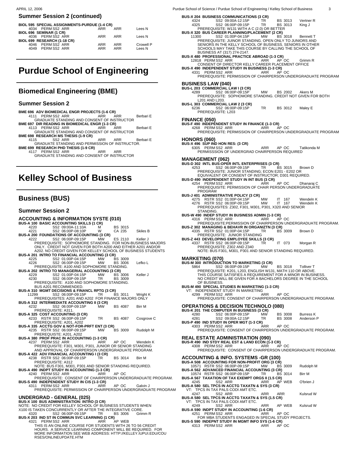$\overline{a}$ 

#### **Summer Session 2 (continued)**

| BIOL 595 SPECIAL ASSIGNMENTS-PURDUE (1-4 CR) |            |            |           |  |  |
|----------------------------------------------|------------|------------|-----------|--|--|
| 4034 PERM SS2 ARR                            | ARR        | ARR        | Lees N    |  |  |
| BIOL 696 SEMINAR (1 CR)                      |            |            |           |  |  |
| 4036 PERM SS2 ARR                            | ARR        | ARR        | Lees N    |  |  |
| BIOL 699 RESEARCH (1-18 CR)                  |            |            |           |  |  |
| 4046 PERM SS2 ARR                            | <b>ARR</b> | <b>ARR</b> | Crowell P |  |  |
| 4049 PERM SS2 ARR                            | ARR        | ARR        | Lees N    |  |  |
|                                              |            |            |           |  |  |
|                                              |            |            |           |  |  |

# **Purdue School of Engineering**

## **Biomedical Engineering (BME)**

#### **Summer Session 2**

- **BME 696 ADV BIOMEDICAL ENGR PROJECTS (1-6 CR)** 4111 PERM SS2 ARR ARR ARR Berbari E GRADUATE STANDING AND CONSENT OF INSTRUCTOR
- **BME 697 DIR READING IN BIOMEDICAL ENGR (1-3 CR)**<br>ARR PERM SS2 ARR ARR ARR ARR Berbari E<br>GRADUATE STANDING AND CONSENT OF INSTRUCTOR
- **BME 698 RESEARCH MS THESIS (1-9 CR)** 4115 SS2 ARR ARR ARR Berbari E GRADUATE STANDING AND PERMISSION OF INSTRUCTOR.
- 

\_\_\_\_\_\_\_\_\_\_\_\_\_\_\_\_\_\_\_\_\_\_\_\_\_\_\_\_

**BME 699 RESEARCH PHD THESIS (1-9 CR)** 4117 PERM SS2 ARR ARR ARR GRADUATE STANDING AND CONSENT OF INSTRUCTOR

# **Kelley School of Business**

## **Business (BUS)**

#### **Summer Session 2**

#### **ACCOUNTING & INFORMATION SYSTE (010)**

|       | <b>BUS-A 100 BASIC ACCOUNTING SKILLS (1 CR)</b>                                                                 |           |                    |               |
|-------|-----------------------------------------------------------------------------------------------------------------|-----------|--------------------|---------------|
| 4220  | SS2 09:00A-11:10A                                                                                               | м         | <b>BS 3015</b>     |               |
| 4221  | SS2 06:00P-08:10P                                                                                               | W         | CA 235             | Skiles B      |
|       | BUS-A 200 FOUNDATIONS OF ACCOUNTING (3 CR)                                                                      |           |                    |               |
| 4222  | SS2 06:00P-09:15P                                                                                               | <b>MW</b> | ES 2110 Keller J   |               |
|       | PREREQUISITE: SOPHOMORE STANDING. FOR NON-BUSINESS MAJORS                                                       |           |                    |               |
|       | ONLY. CREDIT NOT GIVEN FOR BOTH A200 AND EITHER A201 AND/OR                                                     |           |                    |               |
|       | A202. NO CREDIT GIVEN FOR KELLEY SCHOOL OF BUSINESS STUDENTS                                                    |           |                    |               |
|       | <b>BUS-A 201 INTRO TO FINANCIAL ACCOUNTING (3 CR)</b>                                                           |           |                    |               |
| 4225  | SS2 01:00P-04:15P                                                                                               | MW        | <b>BS 3009</b>     |               |
| 4226  | SS2 06:00P-09:15P<br>PREREQUISITE: A100 AND SOPHOMORE STANDING.                                                 | <b>MW</b> | <b>BS 3006</b>     | Lefko L       |
|       | BUS-A 202 INTRO TO MANAGERIAL ACCOUNTING (3 CR)                                                                 |           |                    |               |
| 4229  | SS2 01:00P-04:15P                                                                                               | MW        | <b>BS 3006</b>     | Keller J      |
| 4230  | SS2 06:00P-09:15P                                                                                               | TR.       | <b>BS 3009</b>     |               |
|       | PREREQUISITE: A100 AND SOPHOMORE STANDING.                                                                      |           |                    |               |
|       | BUS A201 RECOMMENDED.                                                                                           |           |                    |               |
|       | <b>BUS-A 310 MGMT DECISIONS &amp; FINANCL RPTG (3 CR)</b>                                                       |           |                    |               |
| 11299 | SS2 06:00P-09:15P                                                                                               | TR 1      | <b>BS 3011</b>     | Wright K      |
|       | PREREQUISITES: A201 AND A202 FOR FINANCE MAJORS ONLY                                                            |           |                    |               |
|       | <b>BUS-A 312 INTERMEDIATE ACCOUNTING II (3 CR)</b>                                                              |           |                    |               |
| 4232  | SS2 06:00P-09:15P                                                                                               |           | MW BS 4087         | <b>Birr M</b> |
|       | PREREQUISITE: A311.                                                                                             |           |                    |               |
|       | <b>BUS-A 325 COST ACCOUNTING (3 CR)</b>                                                                         |           |                    |               |
|       | 4233 RSTR SS2 06:00P-09:15P                                                                                     |           | TR BS 4087         | Cosgrove C    |
|       | PREREQUISITE: A201, A202                                                                                        |           |                    |               |
|       | BUS-A 335 ACCTG GOV & NOT-FOR-PRFT ENT (3 CR)                                                                   |           |                    |               |
|       | 4235 RSTR SS2 06:00P-09:15P                                                                                     |           | MW BS 3009         | Rudolph M     |
|       | PREREQUISTE: A201, A202                                                                                         |           |                    |               |
|       | <b>BUS-A 380 PROF PRAC IN ACCOUNTING (1-3 CR)</b>                                                               |           |                    |               |
|       | 4237 PERM SS2 ARR                                                                                               | ARR       | AP OC              | Wendeln K     |
|       | PREREQUISITE: F301, M301, P301, JUNIOR OR SENIOR STANDING<br>AND APPROVAL OF CHAIRPERSON UNDERGRADUATE PROGRAM. |           |                    |               |
|       | <b>BUS-A 422 ADV FINANCIAL ACCOUNTING I (3 CR)</b>                                                              |           |                    |               |
|       | 4238 RSTR SS2 06:00P-09:15P                                                                                     | TR.       | <b>BS 3014</b>     | Birr M        |
|       | PREREQUISITE: A312                                                                                              |           |                    |               |
|       | NOTE: BUS F301, M301, P301 AND SENIOR STANDING REQUIRED.                                                        |           |                    |               |
|       | BUS-A 490 INDPT STUDY IN ACCOUNTING (1-3 CR)                                                                    |           |                    |               |
|       | 4240 PERMSS2 ARR                                                                                                | ARR       | AP OC              |               |
|       | PREREQUISITE: CONSENT OF CHAIRPERSON UNDERGRADUATE PROGRAM.                                                     |           |                    |               |
|       | <b>BUS-S 490 INDEPENDENT STUDY IN CIS (1-3 CR)</b>                                                              |           |                    |               |
|       | 4311 PERM SS2 ARR                                                                                               |           | ARR AP OC Galvin J |               |
|       | PREREQUISITE: PERMISSION OF CHAIRPERSON UNDERGRADUATE PROGRAM                                                   |           |                    |               |
|       |                                                                                                                 |           |                    |               |
|       | UNDERGRAD - GENERAL (025)                                                                                       |           |                    |               |
|       | BUS-X 100 BUS ADMINISTRATION: INTRO (3 CR)                                                                      |           |                    |               |
|       | NOTE: NO CREDIT FOR KELLEY SCHOOL OF BUSINESS STUDENTS WHEN                                                     |           |                    |               |
|       | X100 IS TAKEN CONCURRENTLY OR AFTER THE INTEGRATIVE CORE.                                                       |           |                    |               |
| 4320  | SS2 06:00P-09:15P TR                                                                                            |           | BS 3006 Grimm R    |               |
|       | BUS-X 203 IND ST IN COMMUN SVC LEARNING (1 CR)<br>4321 PERMSS2 ARR                                              | ARR       | AP WEB             |               |
|       | THIS IS AN ONLINE COURSE FOR STUDENTS WITH 26 TO 56 CREDIT                                                      |           |                    |               |
|       | HOURS. A SERVICE LEARNING COMPONENT WILL BE REQUIRED. FOR                                                       |           |                    |               |
|       | MORE INFORMATION SEE WEB ADDRESS: HTTP://KELLEY.IUPUI.EDU/COU                                                   |           |                    |               |
|       | RSES/ONLINEUPDATE.HTM                                                                                           |           |                    |               |
|       |                                                                                                                 |           |                    |               |

| due School of Science / Purdue School of Engineering / Kelley School of Business<br>3                                                                                                                             |
|-------------------------------------------------------------------------------------------------------------------------------------------------------------------------------------------------------------------|
| <b>BUS-X 204 BUSINESS COMMUNICATIONS (3 CR)</b><br>4324<br>SS2 09:00A-12:15P<br>TR<br>BS 3013<br>Vertner R<br>4325<br>SS2 06:00P-09:15P<br>BS 3013<br>TR<br>King J<br>PREREQUISITE: W131 WITH A C (2.0) OR BETTER |
| <b>BUS-X 320 BUS CAREER PLANNING/PLACEMENT (2 CR)</b><br>SS2 01:00P-04:15P MW BS 3018<br>11300<br><b>Bennett T</b>                                                                                                |
| PREREQUISITE: JUINOR STANDING. OPEN ONLY TO JUNIORS AND<br>SENIORS IN THE KELLY SCHOOL OF BUSINESS. SENIORS IN OTHER<br>SCHOOLS MAY TAKE THIS COURSE BY CALLING THE SCHOOL OF                                     |
| BUSINESS AT (317) 274-2147.<br><b>BUS-X 480 PROFESSIONAL PRACTICE ABROAD (1-3 CR)</b><br>12818 PERMSS2 ARR<br>ARR<br>AP OC<br>Grimm R                                                                             |
| CONSENT OF DIRECTOR KELLY CAREER PLACEMENT OFFICE<br><b>BUS-X 490 INDEPENDENT STUDY IN BUSINESS (1-3 CR)</b><br>4331 PERMSS2 ARR<br>ARR APOC<br>PREREQUISITE: PERMISSION OF CHAIRPERSON UNDERGRADUATE PROGRAM     |
| <b>BUSINESS LAW (040)</b><br>BUS-L 203 COMMERCIAL LAW I (3 CR)                                                                                                                                                    |
| SS2 06:00P-09:15P<br><b>MW</b><br>4289 — 12<br>BS 2002<br>Akers M<br>PREREQUISITE: SOPHOMORE STANDING. CREDIT NOT GIVEN FOR BOTH<br>L201 AND L203.                                                                |
| ELZUT AIND LZW.<br><b>BUS-L 303 COMMERCIAL LAW 2 (3 CR)</b><br>6236 SS2_06:00P-09:15P TR BS 3012<br>Maley E<br>PREREQUISITE: L203                                                                                 |
| <b>FINANCE (050)</b>                                                                                                                                                                                              |
| <b>BUS-F 490 INDEPENDENT STUDY IN FINANCE (1-3 CR)</b><br>4268 PERM SS2 ARR<br>ARR APOC<br>PREREQUISITE: PERMISSION OF CHAIRPERSON UNDERGRADUATE PROGRAM                                                          |
| <b>HONORS (060)</b><br>BUS-X 496 SUP IND HON RES: (3 CR)                                                                                                                                                          |
| AP OC<br>6305 PERM SS2 ARR<br>ARR<br>Tatikonda M<br>PERMISSSION OF UNDERGRAD CHAIRPERSON REQUIRED                                                                                                                 |
| <b>MANAGEMENT (062)</b><br>BUS-D 302 INTL BUS: OPER INTL ENTERPRISES (3 CR)                                                                                                                                       |
| 4253 SS2 06:00P-09:15P TR<br><b>BS 3015</b><br>Brown D<br>PREREQUISITE: JUNIOR STANDING; ECON E201 - E202 OR<br>EQUIVALENT OR CONSENT OF INSTRUCTOR; D301 REQUIRED.                                               |
| BUS-D 490 INDEPENDENT STUDY IN INT BUS (3 CR)<br>AP OC<br>4254 PERMSS2 ARR<br>ARR<br>Dhanaraj C<br>PREREQUISITE: PERMISSION OF CHAIR PERSON UNDERGRADUATE                                                         |
| <b>PROGRAM</b><br><b>BUS-J 401 ADMINISTRATIVE POLICY (3 CR)</b>                                                                                                                                                   |
| 4275 RSTR SS2 01:00P-04:15P MW<br>IT<br>167<br>Wendeln K<br>4276 RSTR SS2 06:00P-09:15P<br>MW IT<br>167<br>Wendeln K<br>PREREQUISITES: Z302, F301, M301, P301, X320 AND SENIOR                                    |
| STANDING.<br><b>BUS-W 490 INDEP STUDY IN BUSINESS ADMIN (1-3 CR)</b><br>4316 PERM SS2 ARR<br>AP OC<br>ARR                                                                                                         |
| PREREQUISITE:PERMISSION OF CHAIRPERSON UNDERGRADUATE PROGRAM.<br>BUS-Z 302 MANAGING & BEHAVR IN ORGANIZTN (3 CR)<br>TR BS 3009 Brown D<br>4335 RSTR SS2 01:00P-04:15P                                             |
| PREREQUISITE: JUNIOR STANDING<br>BUS-Z 443 DEVELOPING EMPLOYEE SKILLS (3 CR)                                                                                                                                      |
| 4337 RSTR SS2 06:00P-09:15P<br>TR IT 073<br>Morgan R<br>PREREQUISITE: Z302 AND Z340<br>NOTE: BUS F301, M301, P301 AND SENIOR STANDING REQUIRED.                                                                   |
| <b>MARKETING (070)</b><br>ÒDUCTION TO MARKETING (3 CR)<br><b>BUS-M 300 INTR</b>                                                                                                                                   |
| SS2 06:00P-09:15P<br>MW<br>BS 3018<br>5864<br><b>Tolliver T</b><br>PREREQUISITE: K201, L203, ENGLISH W131, MATH 110 OR ABOVE.<br>THIS COURSE SATISFIES A REQUIREMENT FOR A MINOR IN BUSINESS.                     |
| NO CREDIT WILL BE GIVEN FOR A BACHELORS DEGREE IN THE SCHOOL<br>OF BUSINESS.                                                                                                                                      |
| <b>BUS-M 490 SPECIAL STUDIES IN MARKETING (1-3 CR)</b><br>VT: INDEPENDENT STUDY IN MARKETING<br>4299 PERMSS2 ARR<br>ARR<br>AP OC                                                                                  |
| PREREQUISITE: CONSENT OF CHAIRPERSON UNDERGRADUATE PROGRAM.<br><b>OPERATIONS &amp; DECISION TECHNOLO (080)</b>                                                                                                    |
| BUS-K 201 THE COMPUTER IN BUSINESS (3 CR)<br>4280<br>SS2 06:00P-09:15P<br>МW<br>BS 3008<br><b>Burress K</b>                                                                                                       |
| 4281<br>SS2 09:00A-12:15P<br>TR.<br>BS 3008<br>Anderson P<br>BUS-P 490 IND STUDY IN OPER MGT (1-3 CR)<br>ARR<br>AP OC<br>4303 PERM SS2 ARR                                                                        |
| PREREQUISITE: CONSENT OF CHAIRPERSON UNDERGRADUATE PROGRAM.<br><b>REAL ESTATE ADMINISTRATION (090)</b>                                                                                                            |
| BUS-R 490 IND STDY REAL EST & LAND ECON (1-3 CR)<br>AP OC<br>4308 PERM SS2 ARR<br>ARR<br>PREREQUISITE: CONSENT OF CHAIRPERSON UNDERGRADUATE PROGRAM.                                                              |
| ACCOUNTING & INFO. SYSTEMS -GR (100)<br>BUS-A 508 ACCOUNTING FOR NON-PROFIT ORG (3 CR)                                                                                                                            |
| 10571 RSTR SS2 06:00P-09:15P<br>МW<br><b>BS 3009</b><br>Rudolph M<br>BUS-A 562 ADVANCED FINANCIAL ACCOUNTING (3 CR)<br>10574 RSTR SS2 06:00P-09:15P<br>BS 3014<br>TR<br>Birr M                                    |
| BUS-A 567 TAXATION OF TAX EXEMPT ORGS II (1.5 CR)<br>SS2 ARR<br>AP WEB<br>O'brien J<br>ARR<br>4245                                                                                                                |
| BUS-A 580 SEL TPCS IN ACCTG TAXATN & SYS (3 CR)<br>VT: TPCS IN TAX PALS CODI AMT ETC.<br>SS2 ARR<br>Kulsrud W<br>4247<br>ARR<br>ARR                                                                               |
| BUS-A 580 SEL TPCS IN ACCTG TAXATN & SYS (1.5 CR)<br>VT: TPCS IN TAX PALS CODI AMT ETC.<br>SS2 ARR<br>AP WEB<br>Kulsrud W<br>4249<br>ARR                                                                          |
| BUS-A 590 INDPT STUDY IN ACCOUNTING (1-6 CR)<br>4251<br>PERM SS2 ARR<br>ARR<br>AP OC                                                                                                                              |
| FOR MBA STUDENTS ENGAGED IN SPECIAL STUDY PROJECTS.<br>BUS-S 590 INDEPNT STUDY IN MGMT INFO SYS (1-6 CR)<br>4313 PERMSS2 ARR<br>ARR APOC                                                                          |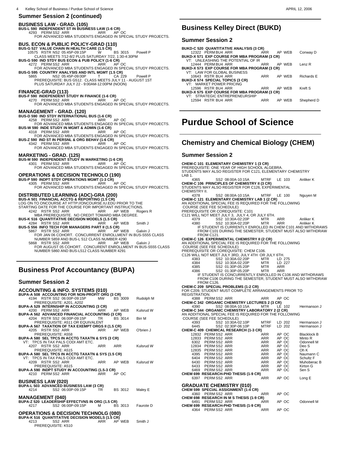#### **BUSINESS LAW - GRAD. (105)**

**BUS-L 590 INDEPENDENT ST IN BUSINESS LAW (1-6 CR)** 4293 PERM SS2 ARR ARR AP OC FOR ADVANCED MBA STUDENTS ENGAGED IN SPECIAL STUDY PROJECTS.

**BUS. ECON & PUBLIC POLICY-GRAD (110)**<br>BUS-G 527 VALUE CHAIN IN HEALTH CARE (1.5 CR)<br>10575 RSTR NS2 05:45P-09:15P<br>CLASS MEETS 7/12-8/2 PLUS SATURDAY 7/22, 1:30-4:30PM<br>BUS-G 590 IND STDY BUS ECON & PUB POLICY (1-6 CR) 4272 PERM SS2 ARR AP OC<br>FOR ADVANCED MBA STUDENTS ENGAGED IN SPECIAL STUDY PROJECTS.<br>BUS-G 595 COUNTRY ANALYSIS AND INTL MGMT (1.5 CR)<br>5865 MS2 05:45P-09:00P T CA 229 Powell P<br>PREREQUISITE: BUS G512. CLASS MEETS JULY 11 -

**FINANCE-GRAD (113) BUS-F 590 INDEPENDENT STUDY IN FINANCE (1-6 CR)**

4270 PERM SS2 ARR ARR AP OC FOR ADVANCED MBA STUDENTS ENGAGED IN SPECIAL STUDY PROJECTS.

MANAGEMENT - GRAD. (120)<br>
BUS-D 590 IND STDY INTERNATIONAL BUS (1-6 CR)<br>
4258 PERM SS2 ARR ARR AP OC<br>
FOR ADVANCED MBA STUDENTS ENGAGED IN SPECIAL STUDY PROJECTS.<br>
BUS-W 590 INDE STUDY IN MGMT & ADMIN (1-6 CR)<br>
4318 PERM S

FOR ADVANCED MBA STUDENTS ENGAGED IN SPECIAL STUDY PROJECTS.

#### **MARKETING - GRAD. (125)**

 $\overline{a}$ 

**BUS-M 590 INDEPENDENT STUDY IN MARKETING (1-6 CR)** 4301 PERM SS2 ARR ARR AP OC FOR ADVANCED MBA STUDENTS ENGAGED IN SPECIAL STUDY PROJECTS.

#### **OPERATIONS & DECISION TECHNOLO (190)**

**BUS-P 590 INDPT STDY OPERATIONS MGMT (1-3 CR)**<br>4305 PERM SS2 ARR ARR ARR AP OC

4305 PERM SS2 ARR ARR AP OC FOR ADVANCED MBA STUDENTS ENGAGED IN SPECIAL STUDY PROJECTS.

**DISTRIBUTED LEARNING (ADC)-GRA (200) BUS-A 501 FINANCIAL ACCTG & REPORTING (1.5 CR)** LOG ON TO ONCOURSE AT HTTP://ONCOURSE.IU.EDU PRIOR TO THE STARTING DATE FOR THE COURSE FOR IMPORTANT INSTRUCTIONS.<br>4242 RSTR SS2 ARR NEW ARR AP WEB Rogers R<br>MBA PREREQUISITE. NO CREDIT TOWARD MBA DEGREE.<br>**BUS-K 516 QUANTITATIVE DECISION MODELS (1.5 CR)**<br>4284 RSTR SS2 ARR ARR AP W

5868 RSTR SS2 ARR ARR AP WEB Galvin J FOR AUGUST 05 COHORT. CONCURENT ENROLLMENT IN BUS-S555 CLASS NUMBER 5860 AND BUS-L512 CLASS NUMBER 4291

## **Business Prof Accountancy (BUPA) Summer Session 2 ACCOUNTING & INFO. SYSTEMS (010) BUPA-A 508 ACCOUNTING FOR NON-PROFIT ORG (3 CR)**<br>4194 RSTR SS2 06:00P-09:15P MW BS 3009 Rudolph M<br>PREREQUISITE: A201, A202 **BUPA-A 529 INTERNSHIP IN ACCOUNTING (3 CR)** 4200 PERM SS2 ARR ARR AP WEB Kulsrud W **BUPA-A 562 ADVANCED FINANCIAL ACCOUNTING (3 CR)**<br>4204 RSTR SS2 06:00P-09:15P TR BS 3014 4204 RSTR SS2 06:00P-09:15P TR BS 3014 Birr M PREREQUISITE: A511 OR EQUIVALENT **BUPA-A 567 TAXATION OF TAX EXEMPT ORGS II (1.5 CR)** 4205 RSTR SS2 ARR ARR AP WEB O'brien J 4205 RSTR SS2 ARR<br>PREREQUISITE: A558 **BUPA-A 580 SEL TPCS IN ACCTG TAXATN & SYS (3 CR)** VT: TPCS IN TAX PALS CODI AMT ETC. 4207 RSTR SS2 ARR ARR ARR Kulsrud W PREREQUISITE: A515 **BUPA-A 580 SEL TPCS IN ACCTG TAXATN & SYS (1.5 CR)** VT: TPCS IN TAX PALS CODI AMT ETC. 4209 RSTR SS2 ARR ARR AP WEB Kulsrud W PREREQUISITE: A515 **BUPA-A 590 INDPT STUDY IN ACCOUNTING (1.5-3 CR)** 4210 PERM SS2 ARR ARR AP OC **BUSINESS LAW (020) BUPA-L 503 ADVANCED BUSINESS LAW (3 CR)**<br>4214 **SS2 06:00P-09:15P** TR SS2 06:00P-09:15P TR BS 3012 Maley E **MANAGEMENT (040)<br><b>BUPA-Z 520 LEADERSHIP EFFECTVNS IN ORG (1.5 CR)**<br>4217 SS2 06:00P-09:15P M BS 3013 Faurote D **OPERATIONS & DECISION TECHNOLG (080) BUPA-K 516 QUANTITATIVE DECISION MODELS (1.5 CR)**<br>4213 SS2 ARR ARR AP WEB 4213 SS2 ARR ARR AP WEB Smith J PREREQUISITE: K510

## **Business Kelley Direct (BUKD)**

#### **Summer Session 2**

 $\overline{a}$ 

 $\overline{a}$ 

| BUKD-C 520 QUANTITATIVE ANALYSIS (3 CR)      |            |        |                   |
|----------------------------------------------|------------|--------|-------------------|
| 12322 PERM BU4 ARR<br><b>Example 20</b> ARR  |            | AP WEB | Conway D          |
| BUKD-X 571 EXP COURSE FOR MBA PROGRAM (3 CR) |            |        |                   |
| VT: UNLEASHING THE POTENTIAL OF IR           |            |        |                   |
| 12444 PERMBU4 ARR                            | ARR        | AP WFR | Lenz <sub>R</sub> |
| BUKD-X 573 EXP COURSE FOR MBA PROGRAM (3 CR) |            |        |                   |
| VT: LAW FOR GLOBAL BUSINESS                  |            |        |                   |
| 10643 RSTR BU4 ARR                           | <b>ARR</b> | AP WFR | <b>Richards E</b> |
| BUKD-X 574 SPECIAL TOPICS (3 CR)             |            |        |                   |
| VT: MARKET POWER PRICING                     |            |        |                   |
| 12596 RSTR BU4 ARR                           | ARR        | AP WFR | Kreft S           |
| BUKD-X 575 EXP COURSE FOR MBA PROGRAM (3 CR) |            |        |                   |
| VT: STRATEGIC ENTREPRENEURSHIP               |            |        |                   |
| 12594 RSTR BU4 ARR                           | <b>ARR</b> | AP WEB | Shepherd D        |
|                                              |            |        |                   |
|                                              |            |        |                   |

# **Purdue School of Science**

## **Chemistry and Chemical Biology (CHEM)**

#### **Summer Session 2**

**CHEM-C 101 ELEMENTARY CHEMISTRY 1 (3 CR)** PREREQUISITE: ONE YEAR OF HIGH SCHOOL ALGEBRA. STUDENTS MAY ALSO REGISTER FOR C121, ELEMENTARY CHEMISTRY

LAB 1.<br>4365

 4365 SS2 08:00A-10:15A MTRF LE 103 Anliker K **CHEM-C 106 PRINCIPLES OF CHEMISTRY II (3 CR)** STUDENTS MAY ALSO REGISTER FOR C126, EXPERIMENTAL CHEMISTRY II.

4378 SS2 08:00A-10:15A MTRF LE 100 Nguyen M **CHEM-C 121 ELEMENTARY CHEMISTRY LAB 1 (2 CR)** AN ADDITIONAL SPECIAL FEE IS REQUIRED FOR THE FOLLOWING

COURSE (SEE FEE SCHEDULE) PREREQUISITE OR COREQUISITE: C101

- C121 WILL NOT MEET JULY 3, JULY 4, OR JULY 6TH.
	-
	-
	- 4379 SS2 10:30A-02:20P MTR ARR Anliker K<br>4380 SS2 10:30A-02:20P MTR ARR Anliker K<br>IF STUDENT IS CURRENTLY ENROLLED IN CHEM C101 AND WITHDRAWS<br>FROM C101 DURING THE SEMESTER, STUDENT MUST ALSO WITHDRAW<br>FROM C121.

#### **CHEM-C 126 EXPERIMENTAL CHEMISTRY II (2 CR)**

AN ADDITIONAL SPECIAL FEE IS REQUIRED FOR THE FOLLOWING

COURSE (SEE FEE SCHEDULE) PREREQUISITE OR COREQUISITE: CHEM C106.

| PREREQUISITE OR COREQUISITE: CHEM C106. |  |  |                                                          |  |
|-----------------------------------------|--|--|----------------------------------------------------------|--|
|                                         |  |  | $\alpha$ (And Mull Not Meet www.add.www.atu.org/www.atu. |  |

|      | C126 WILL NOT MEET JULY 3RD, JULY 4TH OR JULY 6TH. |            |        |  |
|------|----------------------------------------------------|------------|--------|--|
| 4383 | SS2 10:30A-02:20P                                  | MTR        | LD 275 |  |
| 4384 | SS2 10:30A-02:20P                                  | <b>MTR</b> | 1D227  |  |

| 4385 | SS2 01:30P-05:20P | MTR | ARR |  |
|------|-------------------|-----|-----|--|
| 4386 | SS2 01:30P-05:20P | MTR | ARR |  |

 4386 SS2 01:30P-05:20P MTR ARR IF STUDENT IS CONCURRENTLY ENROLLED IN C106 AND WITHDRAWS FROM C106 DURING THE SEMESTER, STUDENT MUST ALSO WITHDRAW FROM C126.

**CHEM-C 209 SPECIAL PROBLEMS (1-2 CR)**

FOR C209, STUDENT MUST COMPLETE ARRANGEMENTS PRIOR TO REGISTRATION.<br>4388 PERMSS2 ARR

- 
- 4388 PERM SS2 ARR ARR AP OC<br>**CHEM-C 342 ORGANIC CHEMISTRY LECTURES 2 (3 CR)**<br>EM 4390 SS2 08:00A-10:15A MTR LE 102 Hermanson J<br>**CHEM-C 344 ORGANIC CHEMISTRY LABORATORY 2 (2 CR)**

AN ADDITIONAL SPECIAL FEE IS REQUIRED FOR THE FOLLOWING COURSE (SEE FEE SCHEDULE)

| COURSE (SEE FEE SCHEDULE)                    |                   |             |        |                    |
|----------------------------------------------|-------------------|-------------|--------|--------------------|
| 4393                                         | SS2 10:30A-02:10P | MTRF        | LD 202 | Hermanson J        |
| 6445                                         | SS2 02:30P-06:10P | <b>MTRF</b> | LD 202 | Hermanson J        |
| <b>CHEM-C 409 CHEMICAL RESEARCH (1-3 CR)</b> |                   |             |        |                    |
| 12832 PERM SS2 ARR                           |                   | ARR         | AP OC  | <b>Blacklock B</b> |
| 12833 PERM SS2 ARR                           |                   | <b>ARR</b>  | AP OC  | Minto R            |
| 6302 PERM SS2 ARR                            |                   | <b>ARR</b>  | AP OC  | Odonnell M         |
| 12834 PERM SS2 ARR                           |                   | ARR         | AP OC  | Deo S              |
| 12835 PERM SS2 ARR                           |                   | <b>ARR</b>  | AP OC  | Oh K               |
| 4395 PERM SS2 ARR                            |                   | <b>ARR</b>  | AP OC  | Naumann C          |
| 6404 PERM SS2 ARR                            |                   | <b>ARR</b>  | AP OC  | Schultz F          |
| 6430 PERM SS2 ARR                            |                   | <b>ARR</b>  | AP OC  | Muhoberac B        |
| 6433 PERM SS2 ARR                            |                   | ARR         | AP OC  | Kirton G           |
| 6469 PERM SS2 ARR                            |                   | <b>ARR</b>  | AP OC  | Sen S              |
| CHEM 699 RESEARCH-PHD THESIS (1-9 CR)        |                   |             |        |                    |
| PERM SS2 ARR<br>6397                         |                   | ARR         | AP OC  | Long E             |
|                                              |                   |             |        |                    |
| <b>GRADUATE CHEMISTRY (010)</b>              |                   |             |        |                    |
| CHEM 599 SPECIAL ASSIGNMENT (1-4 CR)         |                   |             |        |                    |
| 4360 PERM SS2 ARR                            |                   | ARR         | AP OC  |                    |
| CHEM 698 RESEARCH IN M S THESIS (1-9 CR)     |                   |             |        |                    |
| PERM SS2 ARR<br>6491                         |                   | <b>ARR</b>  | AP OC  | Odonnell M         |
| CHEM 699 RESEARCH-PHD THESIS (1-9 CR)        |                   |             |        |                    |
| 4364 PERM SS2 ARR                            |                   | ARR         | AP OC  |                    |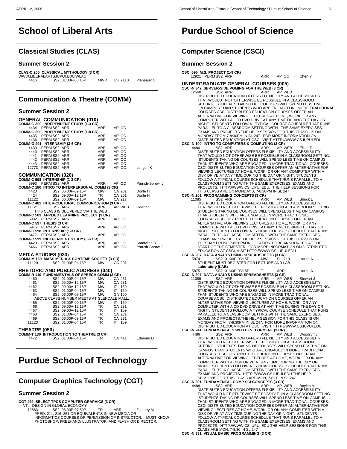## **School of Liberal Arts**  $\overline{a}$

## **Classical Studies (CLAS)**

### **Summer Session 2**

|      | CLAS-C 205 CLASSICAL MYTHOLOGY (3 CR)<br>WWW.LIBERALARTS.IUPUI.EDU/WLAC |            |         |            |
|------|-------------------------------------------------------------------------|------------|---------|------------|
| 4416 | SS2 01:00P-03:15P                                                       | <b>MWR</b> | FS 2110 | Planeaux C |
|      |                                                                         |            |         |            |

## **Communication & Theatre (COMM)**

## **Summer Session 2**

| <b>GENERAL COMMUNICATION (010)</b><br>COMM-G 300 INDEPENDENT STUDY (1-3 CR) |            |        |                  |
|-----------------------------------------------------------------------------|------------|--------|------------------|
| 4434 PERM SS2 ARR                                                           | ARR        | AP OC  |                  |
| COMM-G 300 INDEPENDENT STUDY (1-8 CR)                                       |            |        |                  |
| 4435 PERMSS2 ARR                                                            | ARR        | AP OC  |                  |
| 4436 PERM SS2 ARR                                                           | ARR        | AP OC  |                  |
| COMM-G 491 INTERNSHIP (3-6 CR)                                              |            |        |                  |
| 4439 PERM SS2 ARR                                                           | ARR        | AP OC  |                  |
| 4440 PERM SS2 ARR                                                           | ARR        | AP OC  |                  |
| 4441 PERMSS2 ARR                                                            | ARR        | AP OC  |                  |
| 4442 PERM SS2 ARR                                                           | ARR        | AP OC  |                  |
| 4443 PERM SS2 ARR                                                           | ARR        | AP OC  |                  |
| 12773 PERMSS2 ARR                                                           | ARR        | AP OC  | Longtin K        |
| <b>COMMUNICATION (020)</b>                                                  |            |        |                  |
| COMM-C 598 INTERNSHIP (1-3 CR)                                              |            |        |                  |
| 5993 PERM SS2 ARR                                                           | <b>ARR</b> | AP OC  | Parrish-Sprowl J |
| <b>COMM-C 180 INTRO TO INTERPERSONAL COMM (3 CR)</b>                        |            |        |                  |
| SS2 06:00P-09:15P<br>4423                                                   | <b>MW</b>  | CA 201 | Donle H          |
| SS2 09:00A-12:15P<br>4424                                                   | TR 1       | CA 201 | Donle H          |
| SS2 06:00P-09:15P<br>11122                                                  | <b>MW</b>  | CA 217 |                  |
| COMM-C 482 INTER-CULTURAL COMMUNICATION (3 CR)                              |            |        |                  |
| 11121<br>SS2 ARR                                                            | <b>ARR</b> | AP WEB | Goering E        |
| THIS CLASS IS DELIVERED VIA THE WEB                                         |            |        |                  |
| COMM-C 503 APPLIED LEARNING PROJECT (3 CR)                                  |            |        |                  |
| 5992 PERMSS2 ARR                                                            | <b>ARR</b> | AP OC  |                  |
| COMM-C 597 THESIS (3 CR)                                                    |            |        |                  |
| 5975 PERM SS2 ARR                                                           | <b>ARR</b> | AP OC  |                  |
| COMM-C 598 INTERNSHIP (1-3 CR)                                              |            |        |                  |
| 6477 PERM SS2 ARR                                                           | <b>ARR</b> | AP OC  |                  |
| COMM-C 599 INDEPENDENT STUDY (3-6 CR)                                       |            |        |                  |
| 4429 PERM SS2 ARR                                                           | ARR        | AP OC  | Sandwina R       |
| 6466 PERMSS2 ARR                                                            | <b>ARR</b> | AP OC  | Parrish-Sprowl J |
| <b>MEDIA STUDIES (030)</b>                                                  |            |        |                  |
| COMM-M 150 MASS MEDIA & CONTEMP SOCIETY (3 CR)                              |            |        |                  |

| 11120         | SS2 01:00P-04:15P                             | <b>MW</b> | CA 201 |          |
|---------------|-----------------------------------------------|-----------|--------|----------|
|               | <b>RHETORIC AND PUBLIC ADDRESS (040)</b>      |           |        |          |
|               | COMM-R 110 FUNDAMENTALS OF SPEECH COMM (3 CR) |           |        |          |
| 4460          | SS2 01:00P-04:15P                             | MW        | CA 231 |          |
| 4461          | SS2 09:00A-12:15P                             | MW        | CA 231 |          |
| 4462          | SS2 09:00A-12:15P                             | <b>MW</b> | IT 159 |          |
| 4463          | SS2 01:00P-04:15P                             | <b>MW</b> | IT 159 |          |
| 4464          | SS2 06:00P-09:15P                             | MW        | GN 100 |          |
|               | ABOVE CLASS NUMBER MEETS AT GLENDALE MALL.    |           |        |          |
| 4465          | SS2 06:00P-09:15P                             | <b>MW</b> | IT 159 |          |
| 4466          | SS2 09:00A-12:15P                             | TR .      | CA 231 |          |
| 4467          | SS2 09:00A-12:15P TR                          |           | IT 159 |          |
| 4468          | SS2 01:00P-04:15P TR                          |           | CA 231 |          |
| 4469          | SS2 06:00P-09:15P TR                          |           | CA 231 |          |
| 11123         | SS2 01:00P-04:15P                             | TR.       | IT 159 |          |
| THEATRE (050) |                                               |           |        |          |
|               | COMM-T 130 INTRODUCTION TO THEATRE (3 CR)     |           |        |          |
| 4472          | SS2 01:00P-04:15P                             | TR.       | CA 411 | Edmond D |
|               |                                               |           |        |          |
|               |                                               |           |        |          |

## **Purdue School of Technology**  $\overline{a}$

## **Computer Graphics Technology (CGT)**

#### **Summer Session 2**

#### **CGT 499 SELECT TPCS COMPUTER GRAPHICS (3 CR)**

VT: DESIGN IN GLOBAL ECONOMY<br>12883 SS2 06:00P-07:50P 12883 SS2 06:00P-07:50P<br>PREQ: 211, 216, 351 OR EQUIVALENTS IN NEW MEDIA OR<br>INFORMATICS COURSES OR PERMISSION OF INSTRUCTOR. MUST KNOW PHOTOSHOP, FREEHAND/ILLUSTRATOR, AND FLASH OR DIRECTOR.

# **Purdue School of Science**

## **Computer Science (CSCI)**

## **Summer Session 2**

 $\overline{a}$ 

| Summer Session z                                                                                                                                                                                                                                                                                                                                                                                                                                                                                                                                                                                                                                                                                                                                      |     |        |                  |
|-------------------------------------------------------------------------------------------------------------------------------------------------------------------------------------------------------------------------------------------------------------------------------------------------------------------------------------------------------------------------------------------------------------------------------------------------------------------------------------------------------------------------------------------------------------------------------------------------------------------------------------------------------------------------------------------------------------------------------------------------------|-----|--------|------------------|
| CSCI 695 M.S. PROJECT (1-9 CR)<br>12921 PERM SS2 ARR                                                                                                                                                                                                                                                                                                                                                                                                                                                                                                                                                                                                                                                                                                  | ARR | AP OC  | Chen Y           |
| <b>UNDERGRADUATE GENERAL COURSES (005)</b><br>CSCI-N 342 SERVER-SIDE PGMING FOR THE WEB (3 CR)<br>SS2 ARR<br>12560                                                                                                                                                                                                                                                                                                                                                                                                                                                                                                                                                                                                                                    | ARR | AP WEB |                  |
| DISTRIBUTED EDUCATION OFFERS FLEXIBILITY AND ACCESSIBILITY<br>THAT WOULD NOT OTHERWISE BE POSSIBLE IN A CLASSROOM<br>SETTING. STUDENTS TAKING DE COURSES WILL SPEND LESS TIME<br>ON CAMPUS THAN STUDENTS WHO ARE ENGAGED IN MORE TRADITIONAL<br>COURSES.CSCI DISTRIBUTED EDUCATION COURSES OFFER AN                                                                                                                                                                                                                                                                                                                                                                                                                                                   |     |        |                  |
| ALTERNATIVE FOR VIEWING LECTURES AT HOME, WORK, OR ANY<br>COMPUTER WITH A CD DVD DRIVE AT ANY TIME DURING THE DAY OR<br>NIGHT. STUDENTS FOLLOW A TYPICAL COURSE SCHEDULE THAT RUNS<br>PARALLEL TO A CLASSROOM SETTING WITH THE SAME EXERCISES,<br>EXAMS AND PROJECTS. THE HELP SESSION FOR THIS CLASS IS ON                                                                                                                                                                                                                                                                                                                                                                                                                                           |     |        |                  |
| MONDAY FROM 7-8:30PM IN SL 247. FOR MORE INFORMATION ON<br>DISTRIBUTED EDUCATION AT CSCI, VISIT HTTP://WWW.CS.IUPUI.EDU<br>CSCI-N 100 INTRO TO COMPUTERS & COMPUTING (3 CR)                                                                                                                                                                                                                                                                                                                                                                                                                                                                                                                                                                           |     |        |                  |
| 4480<br>SS2 ARR<br>DISTRIBUTED EDUCATION OFFERS FLEXIBILITY AND ACCESSIBILITY<br>THAT WOULD NOT OTHERWISE BE POSSIBLE IN A CLASSROOM SETTING.<br>STUDENTS TAKING DE COURSES WILL SPEND LESS TIME ON CAMPUS<br>THAN STUDENTS WHO ARE ENGAGED IN MORE TRADITIONAL COURSES.<br>CSCI DISTRIBUTED EDUCATION COURSES OFFER AN ALTERNATIVE FOR<br>VIEWING LECTURES AT HOME, WORK, OR ON ANY COMPUTER WITH A<br>DISK DRIVE AT ANY TIME DURING THE DAY OR NIGHT. STUDENTS<br>FOLLOW A TYPICAL COURSE SCHEDULE THAT RUNS PARALLEL TO A                                                                                                                                                                                                                          | ARR | AP WEB | <b>Elliott T</b> |
| CLASSROOM SETTING WITH THE SAME EXERCISES, EXAMS AND<br>PROJECTS. HTTP://WWW.CS.IUPUI.EDU. THE HELP SESSIONS FOR<br>THIS CLASS ARE ON MONDAYS, 7-8:30PM IN SL 247                                                                                                                                                                                                                                                                                                                                                                                                                                                                                                                                                                                     |     |        |                  |
| <b>CSCI-N 201 PROGRAMMING CONCEPTS (3 CR)</b><br>11085<br>SS2 ARR<br>DISTRIBUTED EDUCATION OFFERS FLEXIBILITY AND ACCESSIBILITY<br>THAT WOULD NOT OTHERWISE BE POSSIBLE IN A CLASSROOM SETTING.<br>STUDENTS TAKING DE COURSES WILL SPEND LESS TIME ON CAMPUS                                                                                                                                                                                                                                                                                                                                                                                                                                                                                          | ARR | AP WEB | Shuck L          |
| THAN STUDENTS WHO ARE ENGAGED IN MORE TRADITIONAL<br>COURSES.CSCI DISTRIBUTED EDUCATION COURSES OFFER AN<br>ALTERNATIVE FOR VIEWING LECTURES AT HOME, WORK, OR ANY<br>COMPUTER WITH A CD DVD DRIVE AT ANY TIME DURING THE DAY OR<br>NIGHT. STUDENTS FOLLOW A TYPICAL COURSE SCHEDULE THAT RUNS<br>PARALLEL TO A CLASSROOM SETTING WITH THE SAME EXERCISES,<br>EXAMS AND PROJECTS.THE HELP SESSION FOR THIS CLASS IS ON<br>TUESDAY FROM 7-8:30PM IN LOCATION TO BE ANNOUNCED AT THE                                                                                                                                                                                                                                                                    |     |        |                  |
| START OF THE SEMESTER. FOR MORE INFORMATION ON DISTRIBUTED<br>EDUCATION AT CSCI, VISIT HTTP://WWW.CS.IUPUI.EDU<br><b>CSCI-N 207 DATA ANALYS USING SPREADSHEETS (3 CR)</b><br>SS2 01:00P-03:15P<br>5874<br>STUDENT MUST REGISTER FOR LECTURE AND LAB                                                                                                                                                                                                                                                                                                                                                                                                                                                                                                   | МW  | SL 210 | Harris A         |
| Laboratory (LAB)<br>SS2 01:00P-03:15P<br>5875                                                                                                                                                                                                                                                                                                                                                                                                                                                                                                                                                                                                                                                                                                         | т   | ARR    | Harris A         |
| CSCI-N 207 DATA ANALYS USING SPREADSHEETS (3 CR)<br>11089<br>SS2 ARR<br>DISTRIBUTED EDUCATION OFFERS FLEXIBILITY AND ACCESSIBILITY<br>THAT WOULD NOT OTHERWISE BE POSSIBLE IN A CLASSROOM SETTING.<br>STUDENTS TAKING DE COURSES WILL SPEND LESS TIME ON CAMPUS<br>THAN STUDENTS WHO ARE ENGAGED IN MORE TRADITIONAL<br>COURSES.CSCI DISTRIBUTED EDUCATION COURSES OFFER AN<br>ALTERNATIVE FOR VIEWING LECTURES AT HOME, WORK, OR ANY<br>COMPUTER WITH A CD DVD DRIVE AT ANY TIME DURING THE DAY OR<br>NIGHT. STUDENTS FOLLOW A TYPICAL COURSE SCHEDULE THAT RUNS<br>PARALLEL TO A CLASSROOM SETTING WITH THE SAME EXERCISES,<br>EXAMS AND PROJECTS. THE HELP SESSION FOR THIS CLASS IS ON<br>MONDAY FROM 7-8:30PM IN SL 247. FOR MORE INFORMATION ON | ARR | AP WEB | Stewart J        |
| DISTRIBUTED EDUCATION AT CSCI, VISIT HTTP://WWW.CS.IUPUI.EDU<br>CSCI-N 241 FUNDAMENTALS WEB DEVELOPMENT (3 CR)<br>4486<br>SS2 ARR<br>DISTRIBUTED EDUCATION OFFERS FLEXIBILITY AND ACCESSIBILITY<br>THAT WOULD NOT OTHER WISE BE POSSIBLE IN A CLASSROOM                                                                                                                                                                                                                                                                                                                                                                                                                                                                                               | ARR | AP WEB | Woodruff J       |
| SETTING. STUDENTS TAKING DE COURSES WILL SPEND LESS TIME ON<br>CAMPUS THAN STUDENTS WHO ARE ENGAGED IN MORE TRADITIONAL<br>COURSES. CSCI DISTRIBUTED EDUCATION COURSES OFFER AN<br>ALTERNATIVE FOR VIEWING LECTURES AT HOME, WORK, OR ON ANY<br>COMPUTER WITH A DISK DRIVE AT ANY TIME DURING THE DAY OR<br>NIGHT. STUDENTS FOLLOW A TYPICAL COURSE SCHEDULE THAT RUNS<br>PARALLEL TO A CLASSROOM SETTING WITH THE SAME EXERCISES.<br>EXAMS AND PROJECTS. HTTP://WWW.CS.IUPUI.EDU THE HELP                                                                                                                                                                                                                                                            |     |        |                  |
| SESSIONS FOR THIS CLASS ARE MON, 7-8:30 IN SL 247<br><b>CSCI-N 301 FUNDAMENTAL COMP SCI CONCEPTS (3 CR)</b><br>SS2 ARR                                                                                                                                                                                                                                                                                                                                                                                                                                                                                                                                                                                                                                |     |        |                  |
| 4488<br>DISTRIBUTED EDUCATION OFFERS FLEXIBILITY AND ACCESSIBILITY<br>THAT WOULD NOT OTHERWISE BE POSSIBLE IN A CLASSROOM SETTING.<br>STUDENTS TAKING DE COURSES WILL SPEND LESS TIME ON CAMPUS<br>THAN STUDENTS WHO ARE ENGAGED IN MORE TRADITIONAL COURSES.<br>CSCI DISTRIBUTED EDUCATION COURSES OFFER AN ALTERNATIVE FOR<br>VIEWING LECTURES AT HOME, WORK, OR ON ANY COMPUTER WITH A<br>DISK DRIVE AT ANY TIME DURING THE DAY OR NIGHT. STUDENTS<br>FOLLOW A TYPICAL COURSE SCHEDULE THAT RUNS PARALLEL TO A<br>CLASSROOM SETTING WITH THE SAME EXERCISES, EXAMS AND<br>PROJECTS. HTTP://WWW.CS.IUPUI.EDU THE HELP SESSIONS FOR THIS<br>CLASS ARE MON, 7-8:30 IN SL 247                                                                          | ARR | AP WEB | Boyles M         |

**CSCI-N 331 VISUAL BASIC PROGRAMMING (3 CR)**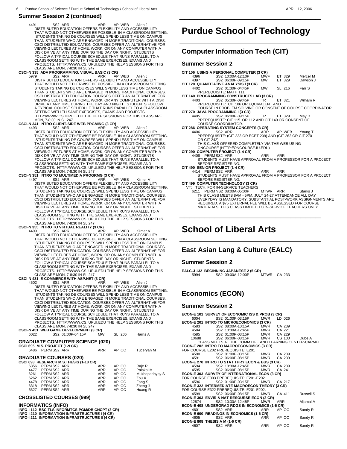4491 SS2 ARR ARR AP WEB Allen J DISTRIBUTED EDUCATION OFFERS FLEXIBILITY AND ACCESSIBILITY THAT WOULD NOT OTHERWISE BE POSSIBLE IN A CLASSROOM SETTING. STUDENTS TAKING DE COURSES WILL SPEND LESS TIME ON CAMPUS THAN STUDENTS WHO ARE ENGAGED IN MORE TRADITIONAL COURSES. CSCI DISTRIBUTED EDUCATION COURSES OFFER AN ALTERNATIVE FOR VIEWING LECTURES AT HOME, WORK, OR ON ANY COMPUTER WITH A DISK DRIVE AT ANY TIME DURING THE DAY OR NIGHT. STUDENTS FOLLOW A TYPICAL COURSE SCHEDULE THAT RUNS PARALLEL TO A CLASSROOM SETTING WITH THE SAME EXERCISES, EXAMS AND PROJECTS. HTTP://WWW.CS.IUPUI.EDU THE HELP SESSIONS FOR THIS<br>CLASS ARE MON, 7-8:30 IN SL 247<br>**CSCI-N 335 ADV PROGRAMMING, VISUAL BASIC (3 CR)** 

 5979 SS2 ARR ARR AP WEB Allen J DISTRIBUTED EDUCATION OFFERS FLEXIBILITY AND ACCESSIBILTY THAT WOULD NOT OTHERWISE BE POSSIBLE IN A CLASSROOM SETTING. STUDENTS TAKING DE COURSES WILL SPEND LESS TIME ON CAMPUS THAN STUDENTS WHO ARE ENGAGED IN MORE TRADITIONAL COURSES. CSCI DISTRIBUTED EDUCATION COURSES OFFER AN ALTERNATIVE FOR VIEWING LECTURES AT HOME, WORK, OR ANY COMPUTER WITH A DISK<br>DRIVE AT ANY TIME DURING THE DAY AND NIGHT. STUDENTS FOLLOW<br>A TYPICAL COURSE SCHEDULE THAT RUNS PARALLEL TO A CLASSROOM SETTING WITH TH SAME EXERCISES, EXAMS AND PROJECTS. HTTP://WWW.CS.IUPUI.EDU THE HELP SESSIONS FOR THIS CLASS ARE<br>MON, 7-8:30 IN SL 247

# MON, 7-8:30 IN SL 247<br>**CSCI-N 341 INTRO CLIENT-SIDE WEB PRGMING (3 CR)**<br>4493 SS2 ARR ARR AP WEB Allen J

DISTRIBUTED EDUCATION OFFERS FLEXIBILITY AND ACCESSIBILITY THAT WOULD NOT OTHERWISE BE POSSIBLE IN A CLASSROOM SETTING. STUDENTS TAKING DE COURSES WILL SPEND LESS TIME ON CAMPUS THAN STUDENTS WHO ARE ENGAGED IN MORE TRADITIONAL COURSES. CSCI DISTRIBUTED EDUCATION COURSES OFFER AN ALTERNATIVE FOR VIEWING LECTURES AT HOME, WORK, OR ON ANY COMPUTER WITH A DISK DRIVE AT ANY TIME DURING THE DAY OR NIGHT. STUDENTS FOLLOW A TYPICAL COURSE SCHEDULE THAT RUNS PARALLEL TO A CLASSROOM SETTING WITH THE SAME EXERCISES, EXAMS AND PROJECTS. HTTP://WWW.CS.IUPUI.EDU THE HELP SESSIONS FOR THIS

CLASS ARE MON, 7-8:30 IN SL 247 **CSCI-N 351 INTRO TO MULTIMEDIA PROGRMG (3 CR)** 4497 SS2 ARR ARR AP WEB Kilmer V DISTRIBUTED EDUCATION OFFERS FLEXIBILITY AND ACCESSIBILITY THAT WOULD NOT OTHERWISE BE POSSIBLE IN A CLASSROOM SETTING. STUDENTS TAKING DE COURSES WILL SPEND LESS TIME ON CAMPUS THAN STUDENTS WHO ARE ENGAGED IN MORE TRADITIONAL COURSES. CSCI DISTRIBUTED EDUCATION COURSES OFFER AN ALTERNATIVE FOR VIEWING LECTURES AT HOME, WORK, OR ON ANY COMPUTER WITH A DISK DRIVE AT ANY TIME DURING THE DAY OR NIGHT. STUDENTS FOLLOW A TYPICAL COURSE SCHEDULE THAT RUNS PARALLEL TO A CLASSROOM SETTING WITH THE SAME EXERCISES, EXAMS AND PROJECTS. HTTP://WWW.CS.IUPUI.EDU THE HELP SESSIONS FOR THIS CLASS ARE MON, 7-8:30 IN SL 247

#### **CSCI-N 355 INTRO TO VIRTUAL REALITY (3 CR)**

4499 SS2 ARR ARR AP WEB Kilmer V<br>DISTRIBUTED EDUCATION OFFERS FLEXIBILITY AND ACCESSIBILITY<br>THAT WOULD NOT OTHERWISE BE POSSIBLE IN A CLASSROOM SETTING.<br>STUDENTS TAKING DE COURSES WILL SPEND LESS TIME ON CAMPUS THAN STUDENTS WHO ARE ENGAGED IN MORE TRADITIONAL COURSE CSCI DISTRIBUTED EDUCATION COURSES OFFER AN ALTERNATIVE FOR VIEWING LECTURES AT HOME, WORK, OR ON ANY COMPUTER WITH A<br>DISK DRIVE AT ANY TIME DURING THE DAY OR NIGHT. STUDENTS<br>FOLLOW A TYPICAL COURSE SCHEDULE THAT RUNS PARALLEL TO A<br>CLASSROOM SETTING WITH THE SAME EXERCISES, EXAMS A PROJECTS. HTTP://WWW.CS.IUPUI.EDU THE HELP SESSIONS FOR THIS CLASS ARE MON, 7-8:30 IN SL 247

## **CSCI-N 431 E-COMMERCE WITH ASP.NET (3 CR)**<br>4502 SS2 ARR ARR

 4502 SS2 ARR ARR AP WEB Allen J DISTRIBUTED EDUCATION OFFERS FLEXIBILITY AND ACCESSIBILITY THAT WOULD NOT OTHERWISE BE POSSIBLE IN A CLASSROOM SETTING. STUDENTS TAKING DE COURSES WILL SPEND LESS TIME ON CAMPUS THAN STUDENTS WHO ARE ENGAGED IN MORE TRADITIONAL COURSES. CSCI DISTRIBUTED EDUCATION COURSES OFFER AN ALTERNATIVE FOR VIEWING LECTURES AT HOME, WORK, OR ON ANY COMPUTER WITH A DISK DRIVE AT ANY TIME DURING THE DAY OR NIGHT. STUDENTS FOLLOW A TYPICAL COURSE SCHEDULE THAT RUNS PARALLEL TO A CLASSROOM SETTING WITH THE SAME EXERCISES, EXAMS AND<br>PROJECTS. HTTP://WWW.CS.IUPUI.EDU THE HELP SESSIONS FOR THIS<br>CLASS ARE MON, 7-8:30 IN SL 247

**CSCI-N 451 WEB GAME DEVELOPMENT (3 CR)**<br>6022 SS2 01:00P-04:15P MW SL 206 Harris A

| <b>GRADUATE COMPUTER SCIENCE (020)</b> |  |
|----------------------------------------|--|

|      | CSCI 695 M.S. PROJECT (1-9 CR)<br>6486 PERM SS2 ARR |                                                                         | <b>ARR</b> | AP OC | Tuceryan M     |
|------|-----------------------------------------------------|-------------------------------------------------------------------------|------------|-------|----------------|
|      |                                                     | <b>GRADUATE COURSES (020)</b><br>CSCI 698 RESEARCH M.S.THESIS (1-18 CR) |            |       |                |
| 6356 | PERM SS2 ARR                                        |                                                                         | <b>ARR</b> | AP OC | Raje R         |
|      | 4477 PERM SS2 ARR                                   |                                                                         | <b>ARR</b> | AP OC | Palakal M      |
|      | 6261 PERM SS2 ARR                                   |                                                                         | ARR        | AP OC | Mukhopadhyay S |
| 6262 | PERM SS2 ARR                                        |                                                                         | ARR        | AP OC | Zou X          |
| 4478 | PERM SS2 ARR                                        |                                                                         | ARR        | AP OC | Fang S         |
| 6318 | PERM SS2 ARR                                        |                                                                         | ARR        | AP OC | Zheng J        |
| 6327 | PERM SS2 ARR                                        |                                                                         | ARR        | AP OC | Huang R        |
|      |                                                     |                                                                         |            |       |                |

#### **CROSSLISTED COURSES (999)**

#### **INFORMATICS (INFO)**

**INFO-I 112 BSC TLS INFORMTCS-PGM/DB CNCPT (3 CR) INFO-I 210 INFORMATION INFRASTRUCTURE I (4 CR) INFO-I 211 INFORMATION INFRASTRUCTURE II (4 CR)**

# **Purdue School of Technology**

## **Computer Information Tech (CIT)**

#### **Summer Session 2**

 $\overline{a}$ 

|             | CIT 106 USING A PERSONAL COMPUTER (3 CR)                     |            |          |                   |
|-------------|--------------------------------------------------------------|------------|----------|-------------------|
|             | 4396 SS2 10:00A-12:10P                                       | MWF        | ET 329   | Mercer M          |
|             | 4397 SS2 06:00P-09:15P                                       | <b>MW</b>  | ET 329   | Dawson J          |
|             | CIT 120 QUANTITATIVE ANALYSIS I (3 CR)                       |            |          |                   |
| 4402        | SS2 01:30P-04:45P                                            | MW         | SL 216   | Farr <sub>S</sub> |
|             | <b>PREREQUISITE: MATH 111</b>                                |            |          |                   |
|             | CIT 140 PROGRAMMING CONSTRUCTS LAB (3 CR)                    |            |          |                   |
| 4403        | SS2 05:30P-09:45P                                            | TR.        | ET 321   | Wilham R          |
|             | PREREQUISITE: CIT 106 OR EQUIVALENT AND                      |            |          |                   |
|             | COURSE IN PROBLEM SOLVING OR CONSENT OF COURSE COORDINATOR   |            |          |                   |
|             | CIT 270 JAVA PROGRAMMING I (3 CR)                            |            |          |                   |
| 4405        | SS2 06:00P-09:15P TR                                         |            | ET 329   | May D             |
|             | PREREQUISITE: CIT 115 OR 112 AND CIT 140 OR CONSENT OF       |            |          |                   |
|             | <b>COURSE COORDINATOR.</b>                                   |            |          |                   |
|             | CIT 286 OPERATING SYSTEM CONCEPTS (3 CR)                     |            |          |                   |
| 4406        | SS2 ARR                                                      | ARR        | AP WEB   | Young T           |
|             | PREREQUISITE: (CIT 233 OR ECET 209) AND (CIT 262 OR CIT 270  |            |          |                   |
| OR CIT 242) |                                                              |            |          |                   |
|             | THIS CLASS OFFERED COMPLETELY VIA THE WEB USING              |            |          |                   |
|             | ONCOURSE (HTTP://ONCOURSE.IU.EDU)                            |            |          |                   |
|             | CIT 290 COMPUTER PROJECT (1-4 CR)                            |            |          |                   |
|             | 4408 PERM SS2 ARR                                            | <b>ARR</b> | ARR      |                   |
|             | STUDENTS MUST HAVE APPROVAL FROM A PROFESSOR FOR A PROJECT   |            |          |                   |
|             | <b>BEFORE REGISTERING.</b>                                   |            |          |                   |
|             | CIT 490 SENIOR PROJECT (1-4 CR)                              |            |          |                   |
|             | 4414 PERMSS2 ARR                                             | ARR        | ARR      |                   |
|             | STUDENTS MUST HAVE APPROVAL FROM A PROFESSOR FOR A PROJECT   |            |          |                   |
|             | <b>BEFORE REGISTERING.</b>                                   |            |          |                   |
|             | CIT 499 COMPUTER TECHNOLOGY (3 CR)                           |            |          |                   |
|             | VT: TECH. FOR IN-SERVICE TEACHERS                            |            |          |                   |
|             | 6211 PERM NS2 08:00A-05:00P                                  |            | MTWR ARR | Starks J          |
|             | THIS CLASS MEETS 8AM - 5PM, JULY 24-27 ATTENDANCE ALL DAY    |            |          |                   |
|             | EVERYDAY IS MANDATORY, SUBSTANTIAL POST-WORK ASSIGNMENTS ARE |            |          |                   |
|             | REQUIRED. A \$75 EXTERNAL FEE WILL BE ASSESSED FOR COURSE    |            |          |                   |
|             | MATERIALS. THIS CLASS LIMITED TO IN-SERVICE TEACHERS ONLY.   |            |          |                   |
|             |                                                              |            |          |                   |
|             |                                                              |            |          |                   |
|             |                                                              |            |          |                   |

# **School of Liberal Arts**

## **East Asian Lang & Culture (EALC)**

#### **Summer Session 2**

 $\overline{a}$ 

 $\overline{a}$ 

**EALC-J 132 BEGINNING JAPANESE 2 (5 CR)** 5994 SS2 09:00A-12:00P MTWR CA 233

## **Economics (ECON)**

|      |              | ECON-E 101 SURVEY OF ECONOMIC ISS & PROB (3 CR)                                  |            |        |                                                         |
|------|--------------|----------------------------------------------------------------------------------|------------|--------|---------------------------------------------------------|
|      |              | 6004 SS2 01:00P-03:15P                                                           | MWR LD 026 |        |                                                         |
|      |              | ECON-E 201 INTRO TO MICROECONOMICS (3 CR)                                        |            |        |                                                         |
|      |              | 4583 SS2 08:00A-10:15A MWR CA 239                                                |            |        |                                                         |
|      |              | 4584  SS2  10:30A-12:45P  MWR  CA  221<br>4585  SS2  01:00P-03:15P  MWR  CA  229 |            |        |                                                         |
|      |              |                                                                                  |            |        |                                                         |
|      |              | 10688 SS2 06:00P-08:15P MWR CS 100                                               |            |        | Dube A                                                  |
|      |              |                                                                                  |            |        | CLASS MEETS AT THE COMM.LIFE AND LEARNING CENTER-CARMEL |
|      |              | ECON-E 202 INTRO TO MACROECONOMICS (3 CR)                                        |            |        |                                                         |
|      |              | FOR COURSE E202 PREREQUISITE: E201                                               |            |        |                                                         |
|      |              | 4590 SS2 01:00P-03:15P MWR CA 239                                                |            |        |                                                         |
|      |              | 4591 SS2 06:00P-08:15P MWR CA 239                                                |            |        |                                                         |
|      |              | ECON-E 270 INTRO TO STAT THRY ECON & BUS (3 CR)                                  |            |        |                                                         |
|      |              | 4594 SS2 10:30A-12:45P MWR CA 239                                                |            |        |                                                         |
|      |              | 4595 SS2 06:00P-08:15P MWR                                                       |            | CA 241 |                                                         |
|      |              | ECON-E 303 SURVEY OF INTERNATIONAL ECON (3 CR)                                   |            |        |                                                         |
|      |              | FOR COURSE E303 PREREQUISITE: E201-E202.                                         |            |        |                                                         |
| 4596 |              | SS2 01:00P-03:15P MWR CA 217                                                     |            |        |                                                         |
|      |              | <b>ECON-E 322 INTERMEDIATE MACROECON THEORY (3 CR)</b>                           |            |        |                                                         |
|      |              | FOR COURSE E322 PREREQUISITE: E201-E202.                                         |            |        |                                                         |
|      |              | 4599 SS2 06:00P-08:15P MWR CA 411                                                |            |        | <b>Russell S</b>                                        |
|      |              | ECON-E 363 ENVIR & NAT RESOURSE ECON (3 CR)                                      |            |        |                                                         |
|      |              | 12874 SS2 10:30A-12:45P                                                          | <b>MWR</b> | ARR    | Aljamal A                                               |
|      |              | ECON-E 408 UNDERGRAD RDGS IN ECONOMICS (1-6 CR)                                  |            |        |                                                         |
|      | 4601 SS2 ARR |                                                                                  | ARR        | AP OC  | Sandy R                                                 |
|      |              | <b>ECON-E 600 READINGS IN ECONOMICS (1-6 CR)</b>                                 |            |        |                                                         |
| 4605 |              | SS2 ARR                                                                          | ARR APOC   |        | Sandy R                                                 |
|      |              | <b>ECON-E 808 THESIS A M (1-6 CR)</b><br>4607 SS2 ARR                            |            |        |                                                         |
|      |              |                                                                                  | ARR        | AP OC  | Sandy R                                                 |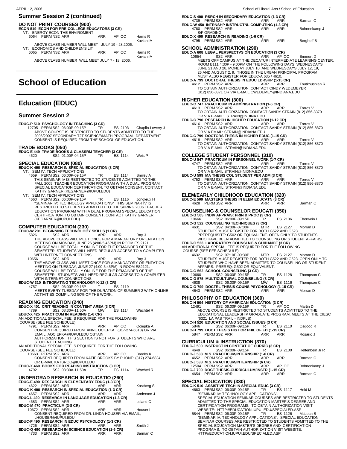### **Summer Session 2 (continued)**

#### **DO NOT PRINT COURSES (900)**

# **School of Education**

## **Education (EDUC)**

#### **Summer Session 2**

# **SPECIAL EDUCATION (080) EDUC-K 490 RESEARCH IN SPECIAL EDUCATION (3 CR)**

- COMPUTER EDUCATION (230)<br>
EDUC-W 201 BEGINNING TECHNOLOGY SKILLS (1 CR)<br>
5826 SS2 ARR ARR ARR Ray J<br>
THE ABOVE CLASS WILL MEET ONCE FOR A MANDATORY ORIENTATION<br>
MEETING ON MONDAY, JUNE 26 (4:00-5:45PM) IN ROOM ES 2121.<br>
CO WITH INTERNET CONNECTIONS.
	- 10656 SS2 ARR ARR ARR Ray J<br>THE ABOVE CLASS WILL MEET ONCE FOR A MANDATORY ORIENTATION<br>MEETING ON TUESDAY, JUNE 27 (4:00-5:45PM) IN ROOM ES2121.<br>COURSE WILL BE TOTALLY ONLINE FOR THE REMAINDER OF THE<br>SEMESTER. STUDNETS WIL

- **EDUC-X 425 PRACTICUM IN READING (1-6 CR)**<br>AN ADDITIONAL SPECIAL FEE IS REQUIRED FOR THE FOLLOWING<br>COURSE (SEE FEE SCHEDULE)
- - 4791 PERM SS2 ARR ARR AP OC Ociepka A CONSENT REQUIRED FROM ANNE OCIEPKA (317-274-6818) OR VIA EMAIL: AOCIEPKA@IUPUI.EDU OBTAIN
	- AUTHORIZATION. THIS SECTION IS NOT FOR STUDENTS WHO ARE
- STUDENT TEACHING. AN ADDITIONAL SPECIAL FEE IS REQUIRED FOR THE FOLLOWING
- COURSE (SEE FEE SCHEDULE)
	- 10663 PERM SS2 ARR ARR AP OC Brooks K CONSENT REQUIRED FROM KATIE BROOKS BY PHONE: (317) 274-6834, OR E-MAIL KATBROO@IUPUI.EDU
- 

## **UNDERGRAD RESEARCH IN EDUCATIO (260)**

| EDUC-E 490 RESEARCH IN ELEMENTARY EDUC (1-3 CR)    |            |     |            |
|----------------------------------------------------|------------|-----|------------|
| 4622 PERMSS2 ARR ARR ARR ARR                       |            |     | Kastberg S |
| EDUC-K 490 RESEARCH IN SPECIAL EDUCATION (1-3 CR)  |            |     |            |
| 4657 PERMSS2 ARR ARR                               |            | ARR | Anderson J |
| EDUC-L 490 RESEARCH IN LANGUAGE EDUCATION (1-3 CR) |            |     |            |
| 4683 PERM SS2 ARR ARR ARR ARR                      |            |     | Leland C   |
| EDUC-M 470 PRACTICUM (3-8 CR)                      |            |     |            |
| 10672 PERM SS2 ARR ARR                             |            | ARR | Houser L   |
| CONSENT REQUIRED FROM DR. LINDA HOUSER VIA EMAIL,  |            |     |            |
| LHOUSER@IUPUI.EDU                                  |            |     |            |
| EDUC-P 490 RESEARCH IN EDUC PSYCHOLOGY (1-3 CR)    |            |     |            |
| 4726 PERMSS2 ARR ARR                               |            | ARR | Smith J    |
| EDUC-Q 490 RESEARCH IN SCIENCE EDUCATION (1-6 CR)  |            |     |            |
| 4733 PERMSS2 ARR                                   | <b>ARR</b> | ARR | Barman C   |

| APRIL 12, 2006                                                                                                                                                                                                                                                                                                                                                                                             | 7<br>School of Liberal Arts / School of Education                                                                                                                                                                                                                                                                                                                                                                                              |
|------------------------------------------------------------------------------------------------------------------------------------------------------------------------------------------------------------------------------------------------------------------------------------------------------------------------------------------------------------------------------------------------------------|------------------------------------------------------------------------------------------------------------------------------------------------------------------------------------------------------------------------------------------------------------------------------------------------------------------------------------------------------------------------------------------------------------------------------------------------|
| <b>Summer Session 2 (continued)</b>                                                                                                                                                                                                                                                                                                                                                                        | EDUC-S 490 RSRCH IN SECONDARY EDUCATION (1-3 CR)                                                                                                                                                                                                                                                                                                                                                                                               |
| <b>DO NOT PRINT COURSES (900)</b><br>ECON 519 ECON FOR PRE-COLLEGE EDUCATORS (3 CR)                                                                                                                                                                                                                                                                                                                        | 4739 PERM SS2 ARR<br>ARR<br>ARR<br>Barman C<br>EDUC-W 450 INTRNSHP INSTRUCTNL COMPUTING (1-3 CR)<br>4760 PERMSS2 ARR<br>ARR<br>ARR<br>Bohnenkamp J                                                                                                                                                                                                                                                                                             |
| VT: ENERGY ECON THE ENVIROMENT<br>6064 PERM NS2 ARR<br><b>ARR</b><br>AP OC<br>Harris R<br>Kaviani M<br>ABOVE CLASS NUMBER WILL MEET JULY 19 - 28,2006.                                                                                                                                                                                                                                                     | S/F GRADING.<br>EDUC-X 490 RESEARCH IN READING (1-6 CR)<br>4795 PERMSS2 ARR<br><b>ARR</b><br>ARR<br>Berghoff B                                                                                                                                                                                                                                                                                                                                 |
| VT: ECONOMICS AND CHILDREN'S LIT<br>6065 PERM NS2 ARR<br><b>ARR</b><br>AP OC<br>Harris R<br>Kaviani M<br>ABOVE CLASS NUMBER WILL MEET JULY 7 - 18, 2006.                                                                                                                                                                                                                                                   | <b>SCHOOL ADMINISTRATION (290)</b><br>EDUC-A 608 LEGAL PERSPECTVS ON EDUCATION (3 CR)<br>SS2 ARR<br>10654<br>ARR<br>AP OC<br>Emmert D<br>MEETS OFF CAMPUS AT THE DECATUR INTERMEDIATE LEARNING CENTER,<br>ROOM B111 4:30P - 9:00PM ON THE FOLLOWING DAYS: WEDNESDAYS<br>JUNE 21 AND 28, MONDAY JULY 10, AND WEDNESDAYS JULY 12, 19,<br>26 AND AUGUST 2, 9. THOSE IN THE URBAN PRINCIPAL PROGRAM                                                |
| <b>School of Education</b>                                                                                                                                                                                                                                                                                                                                                                                 | MUST ALSO REGISTER FOR EDUC-A 635 / 4610.<br>EDUC-A 799 DOCTORAL THESIS IN EDUC LDRSHP (1-15 CR)<br>4612 PERM SS2 ARR<br>ARR<br>ARR<br>Toutkoushian R<br>TO OBTAIN AUTHORIZATION, CONTACT CINDY WEDEMEYER<br>(812) 856-8371 OR VIA E-MAIL CWEDEMEY@INDIANA.EDU                                                                                                                                                                                 |
| <b>Education (EDUC)</b>                                                                                                                                                                                                                                                                                                                                                                                    | <b>HIGHER EDUCATION (300)</b><br>EDUC-C 747 PRACTICUM IN ADMINISTRATION (1-6 CR)<br>4613 PERMSS2 ARR<br><b>ARR</b><br>Torres V<br>ARR                                                                                                                                                                                                                                                                                                          |
| <b>Summer Session 2</b>                                                                                                                                                                                                                                                                                                                                                                                    | TO OBTAIN AUTHORIZATION CONTACT SANDY STRAIN (812) 856-8370<br>OR VIA E-MAIL: STRAIN@INDINA.EDU                                                                                                                                                                                                                                                                                                                                                |
| EDUC-P 510 PSYCHOLOGY IN TEACHING (3 CR)<br>12705 PERM SS2 06:00P-09:15P<br>TR<br>ES 2103<br>Chaplin-Lowery J<br>ABOVE COURSE IS RESTRICTED TO STUDENTS ADMITTED TO THE<br>2006/2007 SECONDARY T2T SCIENCE/MATH PROGRAM. DEPARTMENT<br>CONSENT IS REQUIRED FROM THE SCHOOL OF EDUCATION.                                                                                                                   | EDUC-C 790 RESEARCH IN HIGHER EDUCATION (1-12 CR)<br>4616 PERMSS2 ARR<br>ARR<br>ARR<br>Torres V<br>TO OBTAIN AUTHORIZATION, CONTACT SANDY STRAIN (812) 856-8370<br>OR VIA EMAIL: STRAIN@INDIANA.EDU<br>EDUC-C 799 DOCTORS THESIS IN HIGHER EDUC (1-15 CR)<br>4618 PERMSS2 ARR<br>ARR<br>ARR<br>Torres V                                                                                                                                        |
| TRADE BOOKS (050)<br>EDUC-E 449 TRADE BOOKS & CLASSRM TEACHER (3 CR)                                                                                                                                                                                                                                                                                                                                       | TO OBTAIN AUTHORIZATION, CONTACT SANDY STRAIN (812) 856-8370<br>OR VIA E-MAIL STRAIN@INDIANA.EDU                                                                                                                                                                                                                                                                                                                                               |
| SS2 01:00P-04:15P<br>ES 1114<br>4620<br>TR<br>Weis P<br><b>SPECIAL EDUCATION (080)</b><br>EDUC-K 490 RESEARCH IN SPECIAL EDUCATION (3 CR)<br>VT: SEM IV: TECH APPLICATIONS<br>4659 PERM SS2 06:00P-09:15P<br>TR<br>ES 1114<br>Smiley A                                                                                                                                                                     | <b>COLLEGE STUDENT PERSONNEL (310)</b><br>EDUC-U 547 PRACTICUM IN PERSONNEL WORK (1-7 CR)<br>4747 PERM SS2 ARR<br><b>ARR</b><br>ARR<br>Torres V<br>TO OBTAIN AUTHORIZATION, CONTACT SANDY STRAIN (812) 856-8370<br>OR VIA E-MAIL STRAIN@INIDNA.EDU<br>EDUC-U 599 MA THESIS COL STUDENT PER ADM (3 CR)                                                                                                                                          |
| THIS SEMINAR IV IS RESTRICTED TO STUDENTS ADMITTED TO THE<br>FALL 2005 TEACHER EDUCATION PROGRAM WITH A DUAL PROGRAM<br>SPECIAL EDUCATION CERTIFICATION. TO OBTAIN CONSENT, CONTACT<br>KATHY GARNER (KEGARNER@IUPUI.EDU)<br>VT: SEM IV: TECH APPLICATIONS<br>4660 PERM SS2 06:00P-09:15P<br>TR<br>ES 1116<br>Jongleux H                                                                                    | 4752 PERMSS2 ARR<br>ARR<br>ARR<br>Torres V<br>TO OBTAIN AUTHORIZATION, CONTACT SANDY STRAIN (812) 856-8370<br>OR VIA E-MAIL: STRAIN@INDIANA.EDU<br><b>ELEM/EARLY CHILDHOOD EDUCATION (320)</b><br>EDUC-E 599 MASTERS THESIS IN ELEM EDUCATN (3 CR)                                                                                                                                                                                             |
| "SEMINAR IV: TECHNOLOGY APPLICATIONS" THIS SEMINAR IV IS<br>RESTRICTED TO STUDENTS ADMITTED TO THE SPRING 2006 TEACHER<br>EDUCATION PROGRAM WITH A DUAL PROGRAM SPECIAL EDUCATION<br>CERTIFICATION. TO OBTAIN CONSENT, CONTACT KATHY GARNER<br>(KEGARNER@IUPUI.EDU)                                                                                                                                        | 4628 PERMSS2 ARR<br><b>ARR</b><br>Barman C<br>ARR<br><b>COUNSELING &amp; COUNSELOR EDUCATI (350)</b><br>EDUC-G 505 INDIV APPRAIS: PRIN & PROC (3 CR)<br>10666<br>SS2 06:00P-09:15P<br>TR<br>ES 2106<br>Eberwein L<br>EDUC-G 522 COUNSELING TECHNIQUES (3 CR)                                                                                                                                                                                   |
| <b>COMPUTER EDUCATION (230)</b><br>EDUC-W 201 BEGINNING TECHNOLOGY SKILLS (1 CR)<br>5826<br>SS2 ARR<br>ARR<br>ARR<br>Ray J<br>THE ABOVE CLASS WILL MEET ONCE FOR A MANDATORY ORIENTATION<br>MEETING ON MONDAY, JUNE 26 (4:00-5:45PM) IN ROOM ES 2121.<br>COURSE WILL BE TOTALLY ONLINE FOR THE REMAINDER OF THE<br>SEMESTER. STUDENTS WILL NEED REGULAR ACCESS TO A COMPUTER<br>WITH INTERNET CONNECTIONS. | SS2 04:30P-07:00P<br>4631<br><b>MTR</b><br>ES 2127<br>Morran D<br>STUDENTS MUST REGISTER FOR BOTH G522 AND G523.<br>PREREQUISITE: G502 OR EQUIVALENT. OPEN ONLY TO STUDENTS<br>WHO HAVE BEEN ADMITTED TO COUNSELING OR STUDENT AFFAIRS.<br>EDUC-G 523 LABORATORY COUNSLNG & GUIDANCE (3 CR)<br>AN ADDITIONAL SPECIAL FEE IS REQUIRED FOR THE FOLLOWING<br>COURSE (SEE FEE SCHEDULE)<br>4632<br>SS2 07:10P-09:30P<br>MTR<br>ES 2127<br>Morran D |
| SS2 ARR<br>ARR<br><b>ARR</b><br>10656<br>Ray J<br>THE ABOVE CLASS WILL MEET ONCE FOR A MANDATORY ORIENTATION<br>MEETING ON TUESDAY, JUNE 27 (4:00-5:45PM) IN ROOM ES2121.<br>COURSE WILL BE TOTALLY ONLINE FOR THE REMAINDER OF THE<br>SEMESTER. STUDNETS WILL NEED REGULAR ACCESS TO A COMPUTER                                                                                                           | STUDENTS MUST REGISTER FOR BOTH G522 AND G523. OPEN ONLY TO<br>STUDENTS WHO HAVE BEEN ADMITTED TO COUNSELING OR STUDENT<br>AFFAIRS. PREREQ: G502 OR EQUIVALENT.<br>EDUC-G 562 SCHOOL COUNSELING (3 CR)<br>SS2 06:00P-09:15P<br>10660<br>ES 1128<br>TR.<br>Thompson C                                                                                                                                                                           |
| WITH INTERNET CONNECTIONS<br>EDUC-W 310 INTEGRATING TECHNOLOGY K-12 (3 CR)<br>SS2 06:00P-09:15P<br>4757<br>$\top$<br>ES 2119<br>MEETS EVERY TUESDAY FOR THE DURATION OF SUMMER 2 WITH ONLINE                                                                                                                                                                                                               | EDUC-G 575 MULTICULTURAL COUNSELING (3 CR)<br>SS2 06:00P-09:15P<br>4638<br>MW<br>ES 1116<br>Thompson C<br>EDUC-G 799 DOCTRL THESIS COUNS PSYCHOLOGY (1-15 CR)<br>4643 PERM SS2 ARR<br>Morran D<br>ARR<br>ARR                                                                                                                                                                                                                                   |
| ACTIVITIES COMPILING 50% OF THE WORK.<br><b>READING EDUCATION (240)</b><br>EDUC-X 401 CRIT READING IN CONTENT AREA (3 CR)                                                                                                                                                                                                                                                                                  | <b>PHILOSOPHY OF EDUCATION (360)</b><br>EDUC-H 504 HISTORY OF AMERICAN EDUCATION (3 CR)<br>SS2 06:00P-09:15P<br>AP OC<br>12491<br>TR<br>Martin D                                                                                                                                                                                                                                                                                               |
| 4789<br>SS2 08:30A-11:50A<br>MW<br>Wachtel R<br>ES 1114<br>EDUC-X 425 PRACTICUM IN READING (1-6 CR)<br>AN ADDITIONAL SPECIAL FEE IS REQUIRED FOR THE FOLLOWING<br><b>COURSE (SEE FEE SCHEDULE)</b><br>4791 PERM SS2 ARR<br>AP OC                                                                                                                                                                           | ABOVE COURSE IS RESTRICTED TO STUDENTS ADMITTED TO THE<br>EDUCATIONAL LEADERSHIP GRADUATE PROGRAM. MEETS AT THE CIESC<br>(6321 LA PAS TRAIL - INDPLS)<br>EDUC-H 520 EDUCATION AND SOCIAL ISSUES (3 CR)<br>TR<br>ES 2110                                                                                                                                                                                                                        |
| Ociepka A<br>ARR<br>CONSENT REQUIRED FROM ANNE OCIEPKA (317-274-6818) OR VIA<br>EMAIL: AOCIEPKA@IUPUI.EDU OBTAIN<br>AUTHORIZATION. THIS SECTION IS NOT FOR STUDENTS WHO ARE<br>STUDENT TEACHING.                                                                                                                                                                                                           | SS2 06:00P-09:15P<br>Osgood R<br>5846<br>EDUC-H 799 DOCT THESIS HIST OR PHIL OF ED (1-15 CR)<br>5847 PERM SS2 ARR<br><b>ARR</b><br><b>ARR</b><br>Rosario J<br><b>CURRICULUM &amp; INSTRUCTION (370)</b>                                                                                                                                                                                                                                        |
| AN ADDITIONAL SPECIAL FEE IS REQUIRED FOR THE FOLLOWING<br>COURSE (SEE FEE SCHEDULE)<br>10663 PERM SS2 ARR<br>AP OC<br>ARR<br>Brooks K<br>CONSENT REQUIRED FROM KATIE BROOKS BY PHONE: (317) 274-6834,                                                                                                                                                                                                     | EDUC-J 500 INSTRUCT IN CONTEXT OF CURRIC (3 CR)<br>4649<br>SS2 06:00P-09:15P<br>ES 2100<br>TR.<br>Helfenbein Jr R<br>EDUC-J 538 M.S. PRACTICUM/INTERNSHIP (1-6 CR)<br>4652 PERM SS2 ARR<br><b>ARR</b><br>ARR<br>Barman C                                                                                                                                                                                                                       |
| OR E-MAIL KATBROO@IUPUI.EDU<br>EDUC-X 460 BOOKS FOR READING INSTRUCTION (3 CR)<br>4792<br>SS2 08:30A-11:50A<br>ES 1114<br>Wachtel R<br>TR                                                                                                                                                                                                                                                                  | EDUC-J 538 M.S. PRACTICUM/INTERNSHIP (6 CR)<br>12504 PERMSS2 ARR<br>AP OC<br>Bohnenkamp J<br>ARR<br>EDUC-J 799 DOCT THESIS-CURRICULUM/INSTR (1-15 CR)                                                                                                                                                                                                                                                                                          |
| <b>UNDERGRAD RESEARCH IN EDUCATIO (260)</b><br>EDUC-E 490 RESEARCH IN ELEMENTARY EDUC (1-3 CR)                                                                                                                                                                                                                                                                                                             | 4654 PERM SS2 ARR<br>Barman C<br>ARR<br>ARR<br><b>SPECIAL EDUCATION (380)</b>                                                                                                                                                                                                                                                                                                                                                                  |
| 4622 PERMSS2 ARR<br><b>ARR</b><br><b>ARR</b><br>Kastberg S<br>EDUC-K 490 RESEARCH IN SPECIAL EDUCATION (1-3 CR)<br>4657 PERM SS2 ARR<br><b>ARR</b><br><b>ARR</b><br>Anderson J<br>EDUC-L 490 RESEARCH IN LANGUAGE EDUCATION (1-3 CR)<br>4683 PERM SS2 ARR<br>ARR<br>ARR<br>Leland C                                                                                                                        | EDUC-K 510 ASSISTIVE TECH IN SPECIAL EDUC (3 CR)<br>4663 PERM SS2 06:00P-09:15P<br>ES 1117<br>TR<br>Held M<br>"SEMINAR IV: TECHNOLOGY APPLICATIONS".<br>SPECIAL EDUCATION SEMINAR COURSES ARE RESTRICTED TO STUDENTS<br>ADMITTED TO THE SPECIAL EDUCATION MASTER'S DEGREE AND                                                                                                                                                                  |
| EDUC-M 470 PRACTICUM (3-8 CR)<br>10672 PERMSS2 ARR<br>ARR<br>ARR<br>Houser L<br>CONSENT REQUIRED FROM DR. LINDA HOUSER VIA EMAIL,<br>LHOUSER@IUPUI.EDU                                                                                                                                                                                                                                                     | CERTIFICATION PROGRAMS. TO OBTAIN AUTHORIZATION VISIT<br>WEBSITE: HTTP://EDUCATION.IUPUI.EDU/SPECIALED.ASP<br>5844 PERM SS2 06:00P-09:15P<br>TR.<br>ES 1126<br>McLean B<br>"SEMINAR IV: TECHNOLOGY APPLICATIONS". SPECIAL EDUCATION                                                                                                                                                                                                            |
| EDUC-P 490 RESEARCH IN EDUC PSYCHOLOGY (1-3 CR)<br>4726 PERMSS2 ARR<br>ARR<br>Smith J<br>ARR<br>EDUC-Q 490 RESEARCH IN SCIENCE EDUCATION (1-6 CR)                                                                                                                                                                                                                                                          | SEMINAR COURSES ARE RESTRICTED TO STUDENTS ADMITTED TO THE<br>SPECIAL EDUCATION MASTER'S DEGREE AND CERTIFICATION<br>PROGRAMS. TO OBTAIN AUTHORIZATION VISIT WEBSITE:                                                                                                                                                                                                                                                                          |

HTTP//EDUCATION.IUPUI.EDU/SPECIALED.ASP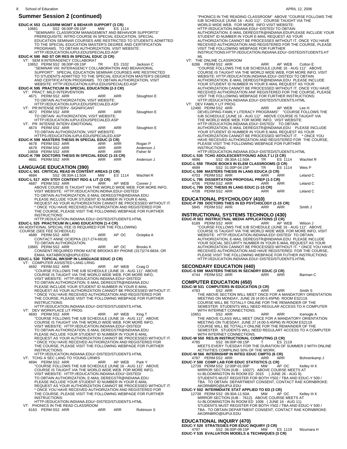**EDUC-K 553 CLASSRM MGMT & BEHAVR SUPPORT (3 CR)** 10681 SS2 06:00P-09:15P MW ES 1114 "SEMINARII: CLASSROOM MANAGEMENT AND BEHAVIOR SUPPORTS" PREREQUISITE: INTRO COURSE IN SPECIAL EDUCATION, SPECIAL EDUCATION SEMINAR COURSES ARE RESTRICTED TO STUDENTS ADMITTED<br>TO THE SPECIAL EDUCATION MASTER'S DEGREE AND CERTIFICATION<br>PROGRAMS. TO OBTAIN AUTHORIZATION, VISIT WEBSITE:<br>HTTP://EDUCATION.IUPUI.EDU/SPECIALED.ASP<br>FOUC-K 590 **EDUC-K 595 PRACTICUM IN SPECIAL EDUCATION (2-3 CR)** VT: PRACT: MILD INTERVENTION 4671 PERM SS2 ARR ARR ARR Stoughton E TO OBTAIN AUTHORIZATION, VISIT WEBSITE: HTTP://EDUCATION.IUPUI.EDU/SPECIALED.ASP VT: PR:INTENSE INTERV -SIGNIFICANT 4672 PERM SS2 ARR ARR ARR Stoughton E TO OBTAIN AUTHORIZATION, VISIT WEBSITE: HTTP://EDUCATION.IUPUI.EDU/SPECIALED.ASP VT: PR: INTENSE INTERV-EMOTIONAL 4674 PERM SS2 ARR ARR ARR Stoughton E TO OBTAIN AUTHORIZATION, VISIT WEBSITE: HTTPS://EDUCATION.IUPUI.EDU/SPECIALED.ASP<br>**EDUC-K 599 MASTERS THESIS IN SPECIAL EDUC (3 CR)**<br>4678 PERM SS2 ARR ARR ARR Rogan P 4679 PERM SS2 ARR ARR ARR Anderson J 10658 PERM SS2 ARR ARR ARR Fisher M **EDUC-K 799 DOCTORS THESIS IN SPECIAL EDUC (1-15 CR)** 4681 PERM SS2 ARR ARR ARR Anderson J **LANGUAGE EDUCATION (390) EDUC-L 501 CRITICAL READ IN CONTENT AREAS (3 CR)** 4684 SS2 08:30A-11:50A MW ES 1114 Wachtel R **EDUC-L 517 ADV STDY CONTENT RDG & LIT (3 CR)** 4687 PERM SS2 ARR ARR AP WEB Conner J ABOVE COURSE IS TAUGHT VIA THE WORLD WIDE WEB. FOR MORE INFO, VISIT WEBSITE: HTTP://EDUCATION.INDINA.EDU/~DISTED/ TO OBTAIN AUTHORIZATION, E-MAIL DEREGSTR@INDIANA.EDU<br>PLEASE INCLUDE YOUR STUDENT ID NUMBER IN YOUR E-MAIL<br>REQUEST AS YOUR AUTHORIZATION CANNOT BE PROCESSED WITHOUT IT.<br>\* ONCE YOU HAVE RECEIVED AUTHORIZATION AND REGISTERED INSTRUCTIONS:<br>
HTTP://EDUCATION.INDIANA.EDU/~DISTED/STUDENTS.HTML<br>
HTTP://EDUCATION IN LANG EDUCATION (1-4 CR)<br>
AN ADDITIONAL SPECIAL FEE IS REQUIRED FOR THE FOLLOWING<br>
COURSE (SEE FEE SCHEDULE)<br>
4668 PERM SS2 ARR AP OC Oc EDUC-L 530 TOPICAL WKSHP IN LANGUAGE EDUC (3 CR)<br>VT: COMPUTER ASSISTED LANG LRNG<br>4692 PERM SS2 ARR ARR AP WEB Craig D<br>COURSE FOLLOWS THE IUB SCHEDULE (JUNE 16 - AUG 11)". ABOVE<br>COURSE IS TAUGHT VIA THE WORLD WIDE WEB. FOR TO OBTAIN AUTHORIZATION, E-MAIL DEREGSTR@INDIANA.EDU<br>PLEASE INCLUDE YOUR STUDENT ID NUMBER IN YOUR E-MAIL<br>REQUEST AS YOUR AUTHORIZATION CANNOT BE PROCESSED WITHOUT IT. \* ONCE YOU HAVE RECEIVED AUTHORIZATION AND REGISTERED FOR THE COURSE, PLEASE VISIT THE FOLLOWING WEBPAGE FOR FURTHER INSTRUCTIONS: HTTP://EDUCATION.INDIANA.EDU/~DISTED/STUDENTS.HTML<br>VT: DEV WORKPLACE LIT PROG<br>4693 PERM SS2 ARR AP WEB King T<br>COURSE FOLLOWS THE IUB SCHEDULE (JUNE 16 - AUG 11)". ABOVE<br>COURSE IS TAUGHT VIA THE WORLD WIDE WEB. FOR MORE INF VISIT WEBSITE: HTTP://EDUCATION.INDIANA.EDU/~DISTED/ TO OBTAIN AUTHORIZATION, E-MAIL DEREGSTR@INDIANA.EDU<br>PLEASE INCLUDE YOUR STUDENT ID NUMBER IN YOUR E-MAIL<br>REQUEST AS YOUR AUTHORIZATION CANNOT BE PROCESSED WITHOUT IT. \* ONCE YOU HAVE RECEIVED AUTHORIZATION AND REGISTERED FOR THE COURSE, PLEASE VISIT THE FOLLOWING WEBPAGE FOR FURTHER INSTRUCTIONS: HTTP://EDUCATION.INDIANA.EDU/~DISTED/STUDENTS.HTML VT: TCHG A SEC LANG TO YOUNG LRNRS 4694 PERM SS2 ARR ARR AP WEB Park Y<br>"COURSE FOLLOWS THE IUB SCHEDULE (JUNE 16 - AUG 11)". ABOVE<br>"COURSE IS TAUGHT VIA THE WORLD WIDE WEB. FOR MORE INFO, VISIT WEBSITE: HTTP://EDUCATION.INDIANA.EDU/~DISTED/<br>TO OBTAIN AUTHORIZATION, E-MAIL DEREGSTR@INDIANA.EDU<br>PLEASE INCLUDE YOUR STUDENT ID NUMBER IN YOUR E-MAIL REQUEST AS YOUR AUTHORIZATION CANNOT BE PROCESSED WITHOUT IT.<br>\* ONCE YOU HAVE RECEIVED AUTHORIZATION AND REGISTERED FOR<br>THE COURSE, PLEASE VISIT THE FOLLOWING WEBPAGE FOR FURTHER INSTRUCTIONS: HTTP://EDUCATION.INDIANA.EDU/~DISTED/STUDENTS.HTML VT: PHONICS IN THE READ CLASSROOM

6163 PERM SS2 ARR ARR ARR Robinson S

8 APRIL 12, 2006 School of Education"PHONICS IN THE READING CLASSROOM" ABOVE "COURSE FOLLOWS THE<br>IUB SCHEDULE (JUNE 16 - AUG 11)". COURSE TAUGHT VIA THE<br>WORLD WIDE WEB. FOR MORE INFO VISIT WEBSITE:<br>HTTP://EDUCATION.INDIANA.EDU/~DISTED/ TO OBTAIN AUTHORIZATION, E-MAIL DEREGSTR@INDIANA.EDUPLEASE INCLUDE YOUR STUDENT ID NUMBER IN YOUR E-MAIL REQUEST AS YOUR AUTHORIZATION CANNOT BE PROCESSES WITHOUT IT. ONCE YOU HAVE RECEIVED AUTHORIZATION AND REGISTERED FOR THE COURSE, PLEASE VISIT THE FOLLOWING WEBPAGE FOR FURTHER INSTRUCTIONS:HTTP://EDUCATION.INDIANA.EDU/~DISTED/STUDENTS.HT ML<br>VT: THE ONLINE CLASSROOM 6286 PERM SS2 ARR ARR AP WEB Cotton E "COURSE FOLLOWS THE IUB SCHEDULE (JUNE 16 - AUG 11)". ABOVE COURSE IS TAUGHT VIA THE WORLD WIDE WEB, FOR MORE INFO, VISIT WEBSITE: HTTP://EDUCATION.INDIANA.EDU/~DISTED/ TO OBTAIN<br>AUTHORIZATION, E-MAIL DEREGSTR@INDIANA.EDU PLEASE INCLUDE<br>YOUR STUDENT ID NUMBER IN YOUR E-MAIL REQUEST AS YOUR AUTHORIZATION CANNOT BE PROCESSED WITHOUT IT. ONCE YOU HAVE<br>RECEIVED AUTHORIZATION ANF REGISTERED FOR THE COURSE, PLEASE<br>VISIT THE FOLLOWING WEBPAGE FOR FURTHER INSTRUCTIONS: HTTP://EDUCATION.INDIANA.EDU/~DISTED/STUDENTS.HTML VT: DEV FAMILY LIT PROG 12490 PERM SS2 ARR ARR AP WEB Lee H DEVELOPING FAMILY LITERACY PROGRAMS" "COURSE FOLLOWS THE<br>IUB SCHEDULE (JUNE 16 - AUG 11)". ABOVE COURSE IS TAUGHT VIA<br>THE WORLD WIDE WEB. FOR MORE INFO, VISIT WEBSITE:<br>HTTP://EDUCATION.INDIANA.EDU/~DISTED/ TO OBTAIN<br>AUTHOR INSTRUCTIONS: HTTP://EDUCATION.INDIANA.EDU/~DISTED/STUDENTS.HTML **EDUC-L 535 TCHG ADOLESCENT/YOUNG ADULT LI (3 CR)** 4696 SS2 08:30A-11:50A TR ES 1114 Wachtel R **EDUC-L 559 TRADE BOOKS IN ELEM CLASSROOMS (3 CR)** 4699 SS2 01:00P-04:15P TR ES 1114 Weis P **EDUC-L 599 MASTERS THESIS IN LANG EDUCA (3 CR)** 4703 PERM SS2 ARR ARR ARR Leland C **EDUC-L 795 DISSERTATION PROPOSAL PREP (1-3 CR)** 4706 PERM SS2 ARR ARR ARR Leland C<br>**EDUC-L 799 DOC THESIS IN LANG EDUC (1-15 CR)**<br>4708 PERM SS2 ARR ARR ARR Leland C **EDUCATIONAL PSYCHOLOGY (410) EDUC-P 799 DOCTORS THES IN ED PSYCHOLOGY (1-15 CR)** 5845 PERM SS2 ARR ARR ARR Smith J **INSTRUCTIONAL SYSTEMS TECHNOLO (430)**<br>
EDUC-R 503 INSTRUCTNAL MEDIA APPLICATIONS (3 CR)<br>
6189 PERM SS2 ARR<br>
"COURSE FOLLOWS THE IUB SCHEDULE (JUNE 16 - AUG 11)". ABOVE<br>
COURSE IS TAUGHT VIA THE WORLD WIDE WEB. FOR MORE IN HTTP://EDUCATION.INDIANA.EDU/~DISTED/STUDENTS.HTML **SECONDARY EDUCATION (440)<br>EDUC-S 599 MASTERS THESIS IN SECNDRY EDUC (3 CR)<br>4744 PERM SS2 ARR ARR ARR Barman C COMPUTER EDUCATION (450) EDUC-W 531 COMPUTERS IN EDUCATION (3 CR)** 4783 SS2 ARR ARR Smith S<br>THE ABOVE SECTION WILL MEET ONCE FOR A MANDATORY ORIENTATION<br>MEETING ON MONDAY, JUNE 26 (4:00-5:45PM) ROOM ES2119.<br>COURSE WILL BE TOTALLY ONLINE FOR THE REMAINDER OF THE SEMESTER. STUDENTS WILL NEED REGULAR ACCESS TO A COMPUTER WITH INTERNET CONNECTIONS. 10651 SS2 ARR ARR ARR Icenogle A<br>THE ABOVE CLASS WILL MEET ONCE FOR A MANDATORY ORIENTATION<br>MEETING ON TUESDAY, JUNE 27 (4:00-5:45PM) IN ROOM ES2119.<br>COURSE WILL BE TOTALLY ONLINE FOR THE REMAINDER OF THE SEMESTER. STUDENTS WILL NEED REGULART ACCESS TO A COMPUTER WITH INTERNET CONNECTIONS. **EDUC-W 550 RES.IN INSTRUCTIONAL COMPUTING (3 CR)** 4785 SS2 06:00P-09:15P T<br>MEETS EVERY TUESDAY FOR THE DURATION OF SUMMER 2 WITH ONLINE<br>ACTIVITIES COMPILING 50% OF THE WORK.<br>EDUC-W 566 INTERNSHIP IN INTEG EDUC CMPTG (6 CR)<br>4787 PERM SS2 ARR ARR ARR Bohnenkamp J **EDUC-Y 500 COMP LAB FOR EDUC STATISTICS (1 CR)**<br> **EDUC-Y 500 COMP LAB FOR EDUC STATISTICS (1 CR)**<br>
MW AP OC 12739 PERM SS2 12:00P-01:00P MW AP OC Kelley III K<br>MIRROR SECTION (IUB - 1002F). ABOVE COURSE MEETS AT<br>IU-BLOOMINGTON IN ROOM ED 2015 (JUNE 26 - AUG 9).<br>STUDENTS MUST REGISTER FOR BOTH Y502 / TBA AND EDUC-Y 500 /<br>TBA. TO O

# AKORNBRO@IUPUI.EDU<br>TO EDICATE TO ED (3 CR)<br>12738 PERMISSI2 09:30A-11:50A MW AP OC Kelley III K<br>12738 PERMISSI2 09:30A-11:50A MW COURSE MEETS AT<br>IU-BLOOMINGTON IN ROOMED 1006 (JUNE 16 - AUG 11).<br>13TUDENTS MUST REGISTER FOR TBA. TO OBTAIN DEPARTMENT CONSENT, CONTACT RAE KORNBROKE: AKORNBRO@IUPUI.EDU

**EDUCATIONAL INQUIRY (470) EDUC-Y 520 STRATEGIES FOR EDUC INQUIRY (3 CR)** 4797 SS2 06:00P-09:15P MW ES 1119 Mzumara H **EDUC-Y 535 EVALUATION MODELS & TECHNIQUES (3 CR)**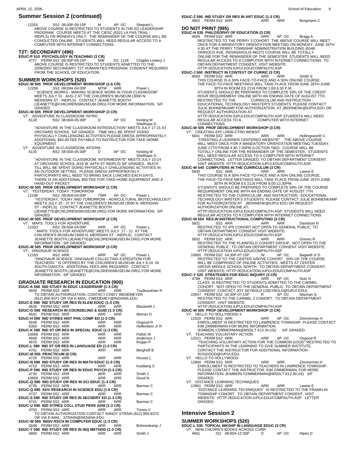12255 SS2 06:00P-09:15P M AP OC Shepard L ABOVE COURSE IS RESTRICTED TO STUDENTS IN THE ED LEADERSHIP PROGRAM. COURSE MEETS AT THE CIESC (6321 LA PAS TRAIL -<br>INDPLS) ON MONDAYS ONLY. THE REMAINDER OF THE COURSE WILL BE<br>CONDUCTED ONLINE. STUDENTS WILL NEED REGULAR ACCESS TO A COMPUTER WITH INTERNET CONNECTIONS.

**T2T: SECONDARY (496)<br>EDUC-P 510 PSYCHOLOGY IN TEACHING (3 CR)<br>4727 PERM SS2 06:00P-09:15P MW ES 1126 Chaplin-Lowery J** ABOVE COURSE IS RESTRICTED TO STUDENTS ADMITTED TO THE<br>2006/2007 SECONDARY T2T HUMANITIES PROGRAM. CONSENT REQUIRED<br>FROM THE SCHOOL OF EDUCATION.

# **SUMMER WORKSHOPS (520) EDUC-W 505 PROF DEVELOPMENT WORKSHOP (1-6 CR)**

12206 SS2 09:00A-04:00P MTW ARR Power L<br>"SCIENCE WORKS - MAKING SCIENCE WORK IN YOUR CLASSROOM"<br>"MEETS JULY 31 - AUG 2 AT THE CHILDREN'S MUSEUM (3000 N. MERIDIAN ST - INDPLS). CONTACT JEANETTE BOOTH (JEANETTE@CHILDRENSMUSEUM.ORG) FOR MORE INFORMATION. S/F GRADED

**EDUC-W 505 PROF DEVELOPMENT WORKSHOP (3 CR)<br>UT: ADVENTURE IN CLASSROOM: INTRO<br>6128 NS2 08:00A-05:30P D AP OC Kesling M** Shellhaas D

"ADVENTURE IN THE CLASSROOM INTRODUCTION" MEETS JULY 17-21 AT<br>ORCHARD SCHOOL. S/F GRADED. TIME WILL BE SPENT DOING<br>PHYSICALLY CHALLENGING ACTIVITIES PLEASE DRESS APPROPRIATELY. ADDITIONAL \$50.00 FEE PAYABLE TO INSTRUCTOR FOR TAKE HIOME **EQUIPMENT** 

VT: ADVENTURE IN CLASSROOM: INTERM

NS2 08:00A-05:30P D AP OC Kesling M<br>Shellhaas D "ADVENTURE IN THE CLASSROOM: INTERMEDIATE" MEETS JULY 10-14<br>AT ORCHARD SCHOOL (615 W. 64TH ST INDPLS) S/F GRADED. MUCH<br>TILL WILL BE SPENT DOING PHYSICALLY CHALLENGING ACTIVITIES IN AN OUTDOOR SETTING. PLEASE DRESS APPROPRIATELY.<br>PARTICIPANTS WILL NEED TO BRING SACK LUNCHES EACH DAYS. THERE IS AN ADDITIONAL \$50 FEE FOR TAKE-HOME EQUIPMENT AND A

- HAND-OUT PACKET.<br>
VT: YESTERDAY, TODAY. TOMORROW<br>
VT: YESTERDAY, TODAY. TOMORROW<br>
12198 NS2 09:00A-04:00P<br>
"YESTERDAY, TODAY AND TOMORROW AGRICULTURAL BIOTECHNOLOGY"<br>
"YESTERDAY, TODAY AND TOMORROW AGRICULTURAL BIOTECH
	-

#### **EDUC-W 505 PROF DEVELOPMENT WORKSHOP (2 CR)**

VT: MAPS: TOOLS FOR ADVENTURE<br>12203 NS2 09:004-04:00P 12203 NS2 09:00A-04:00P<br>"MAPS: TOOLS FOR ADVENTURE" MEETS JULY 17 - 21 AT THE<br>"CHILDREN'S MUSEUM (3000 N. MERIDIAN ST - INDPLS). CONTACT<br>JEANETTE BOOTH (JEANETTE @CHILDRENSMUSEUM.ORG) FOR MORE<br>"INFORMATION. S/F GRADED

#### **EDUC-W 505 PROF DEVELOPMENT WORKSHOP (3 CR)**

VT: DINOSAUR SCIENCE

12193 NS2 ARR ARR AP OC Power L "DINOSAUR SCIENCE: DINOSAUR COLLECTING EXPEDITION FOR TEACHERS " IS OFFERED BY THE CHILDREN'S MUSEUM JULY 6-10 IN SOUTH DAKOTA. ADDITIONAL FEES ARE REQUIRED. CONTACT JEANETTE BOOTH (JEANETTE@CHILDRENSMUSEUM.ORG) FOR MORE INFORMATION. S/F GRADED

# **GRADUATE RESEARCH IN EDUCATION (900) EDUC-A 590 IND STUDY IN EDUC LEADERSHIP (1-3 CR)** 4609 PERM SS2 ARR ARR ARR Toutkoushian R TO OBTAIN AUTHORIZATION, CONTACT CINDY WEDEMEYER<br>(812) 856-8371 OR VIA E-MAIL: CWEDEMEY@INDIANA.EDU<br>**EDUC-E 590 IND STUDY OR RES IN ELEM EDUC (1-3 CR)**

|  | $\sim$ 000 mp or 00 mm $\sim$ 000 mm $\sim$ 000 mm $\sim$ 000 mm                                               |  |                    |
|--|----------------------------------------------------------------------------------------------------------------|--|--------------------|
|  | 4626 PERM SS2 ARR ARR ARR ARR                                                                                  |  | <b>Blackwell J</b> |
|  | EDUC-G 590 RESEARCH IN COUNSELING & GUID (1-3 CR)                                                              |  |                    |
|  | 4641 PERMSS2 ARR ARR ARR ARR                                                                                   |  | Morran D           |
|  | EDUC-H 590 IND ST/RES HIST PHIL COMP ED (1-3 CR)                                                               |  |                    |
|  |                                                                                                                |  | Osgood R           |
|  |                                                                                                                |  | Helfenbein Jr R    |
|  | EDUC-K 590 IND ST OR RES IN SPECIAL EDUC (1-3 CR)                                                              |  |                    |
|  |                                                                                                                |  |                    |
|  | 10668 PERMISS2 ARR ARR ARR Fisher M<br>4669 PERMISS2 ARR ARR ARR Andersor<br>4670 PERMISS2 ARR ARR ARR Rogan P |  | Anderson J         |
|  |                                                                                                                |  |                    |
|  | EDUC-L 590 IND ST OR RES IN LANGUAGE ED (1-3 CR)                                                               |  |                    |
|  |                                                                                                                |  | Berghoff B         |
|  |                                                                                                                |  |                    |
|  |                                                                                                                |  | Houser L           |
|  | EDUC-N 590 IND STUDY OR RES IN MATH EDUC (1-3 CR)                                                              |  |                    |
|  | 4723 PERM SS2 ARR ARR ARR ARR                                                                                  |  | Kastberg S         |
|  | EDUC-P 590 IND STUDY OR RES IN EDUC PSYCH (1-3 CR)                                                             |  |                    |
|  |                                                                                                                |  | Smith J            |
|  |                                                                                                                |  | Goud N             |
|  | EDUC-Q 590 IND STUDY OR RES IN SCI EDUC (1-3 CR)                                                               |  |                    |
|  | 4735 PERMISS2 ARR ARR ARR ARR                                                                                  |  | Barman C           |
|  | EDUC-Q 690 ADV RESEARCH IN SCIENCE EDU (1-6 CR)                                                                |  |                    |
|  | 4737 PERMSS2 ARR ARR ARR ARR                                                                                   |  | Barman C           |
|  | EDUC-S 590 IND STUDY OR RES IN SECNDRY ED (1-3 CR)                                                             |  |                    |
|  | 4741 PERMSS2 ARR ARR ARR ARR                                                                                   |  | Barman C           |
|  | EDUC-U 590 IND ST/RES COLL STUD PERS ADM (1-3 CR)                                                              |  |                    |
|  | 4750 PERM SS2 ARR ARR ARR ARR Torres V                                                                         |  |                    |
|  | TO OBTAIN AUTHORIZATION CONTACT SANDY STRAIN (812) 856-8370                                                    |  |                    |
|  | OR VIA E-MAIL: STRAIN@INDIANA.EDU                                                                              |  |                    |
|  | EDUC-W 590 INDIV RSCH IN COMPUTER EDUC (1-3 CR)                                                                |  |                    |
|  | 5848 PERM SS2 ARR ARR ARR ARR                                                                                  |  | Bohnenkamp J       |
|  | EDUC-Y 590 IND STUDY OR RES IN INQ METHOD (1-3 CR)                                                             |  |                    |

4800 PERM SS2 ARR ARR ARR ARR Smith J

### **EDUC-Z 590 IND STUDY OR RES IN ART EDUC (1-3 CR)** 4802 PERM SS2 ARR ARR ARR Borgmann C

**DO NOT PRINT (995)**

**EDUC-H 530 PHILOSOPHY OF EDUCATION (3 CR)** 4646 PERM SS2 ARR ARR AP OC Bragg A RESTRICTED TO THE PERRY 3 COHORT. THE ABOVE COURSE WILL MEET ONCE FOR A MANDATORY ORIENTATION MEETING ON MONDAY, JUNE 26TH 4:30 AT THE PERRY TOWNSHIP ADMINISTRATION BUILDING (6548 ORINOCO AVE, INDIANAPOLIS-46227) COURSE WILL BE TOTALLY<br>ONLINE FOR THE REMAINDER OF THE SEMESTER. STUDENTS WILL NEED<br>REGULAR ACCESS TO A COMPUTER WITH INTERNET CONNECTIONS. TO

OBTAIN DEPARTMENT CONSENT, VISIT WEBSITE:<br>HTTP://EDUCATION.IUPUI.EDU/COMPAUTH.ASP<br>EDUC-J 500 INSTRUCT IN CONTEXT OF CURRIC (3 CR)<br>4650 PERM SS2 ARR ARR ARR ARR SERIES IN THIS COURSE.<br>THE FACE-TO-FACE MEETINGS WILL TAKE PLA 30TH IN ROOM ES 2116 FROM 1:00-5:30 P.M. STUDENTS SHOULD BE PREPARED TO COMPLETE 50% OF THE CREDIT HOUR REQUIREMENT ONLINE WITH AN ENDING DATE OF AUGUST 7TH.

RESTRICTED TO THE<br>EDUCATIONAL TECHNOLOGY MASTER'S STUDENTS. PLEASE CONTACT<br>JULIE BOHNENKAMP FOR AUTHORIZATION AT JBOHNENK@IUPUI.EDU OR REQUEST AUTHORIZATION AT HTTP://EDUCATION.IUPUI.EDU/COMPAUTH.ASP STUDENTS WILL NEED REGULAR ACCESS TO A COMPUTER WITH INTERNET CONNECTIONS.

## **EDUC-W 505 PROF DEVELOPMENT WORKSHOP (3 CR)** VT: CREATING EFF LRNR-CTRD WEBSIT

 5841 PERM SS2 ARR ARR ARR Hollingsworth C "CREATING A LEARNER CENTERED WEBSITE" . THE ABOVE COURSE WILL MEEY ONCE FOR A MANDATORY ORIENTATION MEETING TUESDAY, JUNE 27TH FROM 4:30-7:30PM (LOCTION TBD): COURSE WILL BE TOTALLY ONLINE FOR THE REMAINDER OF THE SEMESTER. STUDENTS WILL NEED REGULAR ACCESS TO A COMPUTER WITH INTERNET CONNECTIONS. LETTER GRADED. TO OBTAIN DEPARTMENT CONSENT, VISIT WEBSITE: HTTP://EDUCATION.IUPUI.EDU/COMPAUTH.ASP

## **EDUC-W 540 COMPUTERS IN THE CURRICULUM (3 CR)**<br>5830 SS2 ARR ARR AR

 5830 SS2 ARR ARR ARR Lawrie E THIS COURSE IS A 50% FACE-TO-FACE AND A 50% ONLINE COURSE. THE FACE-TO-FACE MEETINGS WILL TAKE PLACE FROM JUNE 26TH-JUNE 30TH IN ROOM ES 2116 FROM 8:00-12:30PM. STUDENTS SHOULD BE PREPARED TO COMPLETE 50% OF THE COURSE REQUIREMENT ONLINE WITH AN ENDING DATE OF AUGUST 7TH. RESTRICTED TO THE CURRICULUM AND INSTRUCTION - EDUCATIONAL<br>TECHNOLOGY MASTER'S STUDENTS. PLEASE CONTACT JULIE BOHNENKAMP<br>FOR AUTHORIZATION AT JBOHNENK@IUPUI.EDU OR REQUEST

AUTHORIZATION ONLINE AT:<br>
HTTP://EDUCATION.IUPUI.EDU/COMPAUTH.ASP STUDENTS WILL NEED<br>
REGULAR ACCESS TO A COMPUTER WITH INTERNET CONNECTIONS<br>
FDUC-W 550 RES.IN INSTRUCTIONAL COMPUTING (3 CR)<br>
5831 SS2 ARR ARR Davidson N<br>
R

5832 PERM SS2 ARR<br>
RESTRICTED TO THE PLAINFIELD COHORT GROUP. NOT OPEN TO THE<br>
GENERAL PUBLIC TO OBTAIN DEPARTMENT CONSENT VISIT WEBSITE:<br>
HTTP://EDUCATION.IUPUI.EDU/COMPAUTH.ASP<br>
10685 PERM SS2 04:30P-07:15P W AP OC Bagwe

VISIT WEBSITE: HTTP://EDUCATION.IUPUI.EDU/COMPAUTH.ASP<br>
4798 STRATEGIES FOR EDUC INQUIRY (3 CR)<br>
4798 PERM SS2 ARR<br>
CLASS IS RESTRICTED TO STUDENTS ADMITTED TO THE CARMEL<br>
COHORT. NOT OPEN TO THE GENERAL PUBLIC. TO OBTAIN

CONSENT, VISIT WEBSITE: HTTP://EDUCATION.IUPUI.EDU/COMPAUTH.ASP **EDUC-W 505 PROF DEVELOPMENT WORKSHOP (3 CR)**

VT: HELLO TO HOLLYWOOD II

12520 PERM SS2 ARR ARR AP OC Zimmerman K ENROLLMENT IS RESTRICTED TO LAWRENCE TOWNSHIP. PLEASE CONTACT KIM ZIMMERMAN FOR MORE INFORMATION<br>(KIMBERLYZIMMERMAN@MSDLT.K12.IN.US) . S/F GRADED.<br>VT: TEACHING VOLUNTARY ACTION

- 
- 12521 PERM SS2 ARR ARR AP OC Osgood R "TEACHING VOLUNTARY ACTION FOR THE COMMON GOOD" RESTRICTED TO PARTICIPANTS IN THE LEARNING TO GIVE SUMMER INSTITUTE. CONTACT THE INSTRUCTOR FOR ADDITIONAL INFORMATION -
- ROSGOOD@IUPUI.EDU. VT: HELLO TO HOLLYWOOD

12800 PERM SS2 ARR ARR ARR Zimmerman K ENROLLMENT IS RESTRICTED TO TEACHERS IN LAWRENCE TOWNSHIP. PLEASE CONTACT THE INSTRUCTOR, KIM ZIMMERMAN, FOR MORE INFORMATION: (KIMBERLYZIMMERMAN@MSDLT.K12.IN.US) S/F GRADED.

VT: DISTANCE LEARNING TECHNIQUES

12801 PERM SS2 ARR ARR ARR Lawrie E "DISTANCE LEARNING TECHNIQUES" IS RESTRICTED TO THE FRANKLIN TOWNSHIP COHORT. TO OBTAIN DEPARTMENT CONSENT, VISIT WEBSITE: HTTP://EDUCATION.IUPUI.EDU/COMPAUTH.ASP LETTER GRADED.

#### **Intensive Session 2**

#### **SUMMER WORKSHOPS (520)**

|      | EDUC-L 530 TOPICAL WKSHP IN LANGUAGE EDUC (3 CR)        |       |         |
|------|---------------------------------------------------------|-------|---------|
| 4691 | VT: NEW CHLDRN'S BOOKS ACROSS CURR<br>IS2 08:00A-12:30P | AP OC | Hipes D |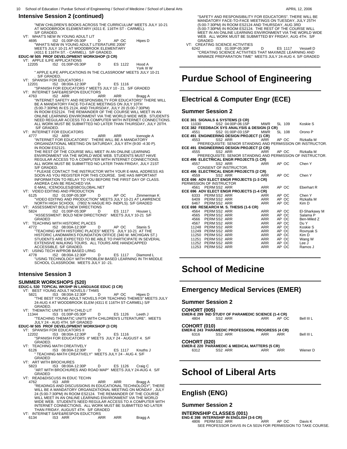**Intensive Session 2 (continued)** "NEW CHILDREN'S BOOKS ACROSS THE CURRICULUM" MEETS JULY 10-21 AT WOODBROOK ELEMENTARY (4311 E. 116TH ST - CARMEL). S/F GRADED. VT: WHAT'S NEW IN YOUNG ADULT LIT<br>4695 1S2 01:00P-05:30P 4695 IS2 01:00P-05:30P D AP OC Hipes D "WHAT'S NEW IN YOUNG ADULT LITERATURE 2006" MEETS JULY 10-21 AT WOODBROOK ELEMENTARY (4311 E 116TH ST. - CARMEL). S/F GRADED. **EDUC-W 505 PROF DEVELOPMENT WORKSHOP (3 CR)** VT: APPLE ILIFE APPLICATIONS 12205 IS2 01:00P-05:30P D ES 1122 Hood A York III W " APPLE ILIFE APPLICATIONS IN THE CLASSROOM" MEETS JULY 10-21 . S/F GRADED. VT: SPANISH FOR EDUCATORS I 12201 IS2 08:00A-12:30P D ES 1116 "SPANISH FOR EDUCATORS I" MEETS JULY 10 - 21. S/F GRADED VT: INTERNET SAFE&RESPON EDUCTORS 4763 IS2 ARR ARR ARR Bragg A "INTERNET SAFETY AND RESPONSIBILTY FOR EDUCATORS" THERE WILL<br>BE A MANDATORY FACE-TO-FACE MEETINGS ON JULY 10TH<br>(5:00-7:30PM) IN ES 2124, AND THURSDAY, JULY 20 (5:00-7:30PM) IN ROOM ES2124. THE REMAINDER OF THE COURSE WILL MEET IN AN<br>ONLINE LEARNING ENVIRONMENT VIA THE WORLD WIDE WEB. STUDENTS<br>NEED REGULAR ACCESS TO A COMPUTER WITH INTERNET CONNECTIONS. ALL WORK MUST BE SUBMITTED NO LATER THAN THURSDAY, JULY 20TH. S/F GRADED. VT: INTERNET FOR EDUCATORS<br>4777 IS2 ARR 4777 IS2 ARR ARR ARR Icenogle A "INTERNET FOR EDUCATORS". THERE WILL BE A MANDATORY ORGANIZATIONAL MEETING ON SATURDAY, JULY 8TH (9:00 -4:30 P). IN ROOM ES2121. THE REST OF THE COURSE WILL MEET IN AN ONLINE LEARNING ENVIRONMENT VIA THE WORLD WIDE WEB. STUDENTS MUST HAVE REGULAR ACCESS TO A COMPUTER WITH INTERNET CONNECTIONS. ALL WORK MUST BE SUBMITTED NO LATER THAN FRIDAY, JULY 21ST S/F GRADED. \* PLEASE CONTACT THE INSTRUCTOR WITH YOUR E-MAIL ADDRESS AS<br>SOON AS YOU REGISTER FOR THIS COURSE. SHE HAS IMPORTANT<br>INFORMATION TO RELAY TO YOU BEFORE THE FIRST DAY OF CLASS. ANDREA CAN BE REACHED VIA E-MAIL: ICENOGLES@SBCGLOBAL.NET VT: VIDEO EDITING AND PRODUCTION<br>6125 SIGN 052 01:00P-05:30P<br>"VIDEO EDITING AND PRODUCTION" MEETS JULY 10-21 AT LAWRENCE<br>NORTH HIGH SCHOOL (7802 N HAGUE RD- INDPLS). S/F GRADED<br>17: ASSESSMENT:BOLD NEW DIRECTIONS BEST 1117 GRADED VT: TEACHING WITH HISTORIC PLACES<br>4772 IS2 08:00A-12:30P 4772 IS2 08:00A-12:30P D AP OC Stanis S<br>"TEACHING WITH HISTORIC PLACES" MEETS JULY 10-21 AT THE<br>HISTORIC LANDMARKS FOUNDATION OFFICE (340 W. MICHIGAN ST.) STUDENTS ARE EXPECTED TO BE ABLE TO PARTICIPATE IN SEVERAL EXTENSIVE WALKING TOURS. ALL TOURS ARE HANDICAPPED ACCESSIBLE. S/F GRADED. VT: USING TECH W/PROB BASED LRNG 4778 IS2 08:00A-12:30P D ES 1117 Diamond L "USING TECHNOLOGY WITH PROBLEM BASED LEARNING IN TH MIDDLE SCHOOL CLASSROOM. MEETS JULY 10 -21. **Intensive Session 3 SUMMER WORKSHOPS (520) EDUC-L 530 TOPICAL WKSHP IN LANGUAGE EDUC (3 CR)** VT: BEST YOUNG ADULT NOVELS / THMS<br>5821 1S3 08:00A-12:30P

- 5821 IS3 08:00A-12:30P D AP OC Hipes D<br>"THE BEST YOUNG ADULT NOVELS FOR TEACHING THEMES" MEETS JULY 24-AUG 4 AT WOODBROOK ELEM (4311 E 116TH ST-CARMEL) S/F GRADED.
- VT: THEMATIC UNITS WITH CHILD LIT
- 11344 IS3 01:00P-05:30P D ES 1126 Leeth J "TEACHING THEMATIC UNITS WITH CHILDREN'S LITERATURE". MEETS JULY 24 AUG 4TH. S/F GRADED

#### **EDUC-W 505 PROF DEVELOPMENT WORKSHOP (3 CR)**

- VT: SPANISH FOR EDUCATORS II 12202 IS3 08:00A-12:30P D ES 1116
	- "SPANISH FOR EDUCATORS II" MEETS JULY 24 AUGUST 4. S/F GRADED.
- VT: TEACHING MATH CREATIVELY
- 6126 IS3 08:00A-12:30P D ES 1117 Knuths J " TEACHING MATH CREATIVELY" MEETS JULY 24 AUG 4. S/F GRADED
- VT: ART WITH BROCHURES<br>-5823 IS3 08:00A
- 5823 IS3 08:00A-12:30P D ES 1126 Craig C "ART WITH BROCHURES AND ROAD MAP" MEETS JULY 24-AUG 4. S/F GRADED
- 
- VT: READ&DISCUSS IN EDUC TECHN 4762 IS3 ARR ARR ARR Bragg A "READINGS AND DISCUSSIONS IN EDUCATIONAL TECHNOLOGY", THERE<br>WILL BE A MANDATORY ORGANIZATIONAL MEETING ON MONDAY , JULY<br>24 (5:00-7:30PM) IN ROOM ES2124. THE REMAINDER OF THE COURSE WILL MEET IN AN ONLINE LEARNING ENVIRONMENT VIA THE WORLD WIDE WEB. STUDENTS NEED REGULAR ACCESS TO A COMPUTER WITH<br>INTERNET CONNECTIONS. ALL WORK MUST BE SUBMITTED NO LATER<br>THAN FRIDAY, AUGUST 4TH. S/F GRADED<br>VT: INTERNET SAFE&RESPON EDUCTORS<br>6134 IS3 ARR ARR ARR Bragg A
- 

"SAFETY AND RESPONSIBILITY FOR EDUCATORS". THERE WILL BE MANDATORY FACE-TO-FACE MEETINGS ON TUESDAY, JULY 25TH<br>(5:00-7:30PM) IN ROOM ES2124 AND THURSDAY, AUG 3RD<br>(5:00-7:30PM) IN ROOM ES2124. THE REST OF THE COURSE WILL<br>MEET IN AN ONLINE LEARNING ENVIRONMENT VIA THE WORLD WIDE<br>W GRADED

VT: CREATING SCIENCE ACTIVITIES 6242 IS3 01:00P-05:30P D ES 1117 Vessell D "CREATING SCIENCE ACTIVITIES THAT MAXIMIZE LEARNING AND MINIMIZE PREPARATION TIME" MEETS JULY 24-AUG 4. S/F GRADED \_\_\_\_\_\_\_\_\_\_\_\_\_\_\_\_\_\_\_\_\_\_\_\_\_\_\_\_

# **Purdue School of Engineering**

### **Electrical & Computer Engr (ECE)**

#### **Summer Session 2**

 $\overline{a}$ 

| ECE 301 SIGNALS & SYSTEMS (3 CR)                                     |            |        |                     |
|----------------------------------------------------------------------|------------|--------|---------------------|
| SS2 04:00P-06:15P<br>11030                                           | MWR        | SL 109 | Koskie S            |
| ECE 382 FEEDBACK SYS ANALYSIS & DESIGN (3 CR)<br>SS2 01:00P-03:15P   | <b>MWR</b> | SL 108 | Orono P             |
| ECE 491 ENGINEERING DESIGN PROJECT (1 CR)                            |            |        |                     |
| SS2 ARR<br>4553                                                      | ARR        | AP OC  | Rizkalla M          |
| PREREQUISITE: SENIOR STANDING AND PERMISSION OR INSTRUCTOR.          |            |        |                     |
| ECE 491 ENGINEERING DESIGN PROJECT (2 CR)                            |            |        |                     |
| SS2 ARR<br>4555                                                      | ARR        | AP OC  | Rizkalla M          |
| PREREQUISITE: SENIOR STANDING AND PERMISSION OF INSTRUCTOR.          |            |        |                     |
| ECE 496 ELECTRICAL ENGR PROJECTS (1 CR)                              |            |        |                     |
| SS2 ARR<br>4557                                                      | ARR        | AP OC  | Chen Y              |
| CONSENT OF INSTRUCTOR.                                               |            |        |                     |
| ECE 496 ELECTRICAL ENGR PROJECTS (2 CR)                              |            |        |                     |
| SS2 ARR<br>4559                                                      | <b>ARR</b> | AP OC  | Chen Y              |
| ECE 696 ADV ELECT ENGR PROJECTS (1-3 CR)<br>PERMISSION OF INSTRUCTOR |            |        |                     |
| 4561 PERMSS2 ARR                                                     | ARR        | AP OC  | Eberhart R          |
| ECE 696 ADV ELECT ENGR PROJECTS (1-4 CR)                             |            |        |                     |
| 6333 PERM SS2 ARR                                                    | <b>ARR</b> | AP OC  | Chen Y              |
| 6409 PERM SS2 ARR                                                    | ARR        | AP OC  | Rizkalla M          |
| 6467 PERM SS2 ARR                                                    | ARR        | AP OC  | Kim D               |
| ECE 698 RESEARCH M. S. THESIS (1-6 CR)                               |            |        |                     |
| 4564 PERM SS2 ARR                                                    | ARR        | AP OC  | El-Sharkawy M       |
| 4565 PERM SS2 ARR                                                    | ARR        | AP OC  | Salama <sub>P</sub> |
| 4566 PERM SS2 ARR                                                    | ARR        | AP OC  | Ben-Miled Z         |
| 4567 PERM SS2 ARR                                                    | ARR        | AP OC  | Du Y                |
| 11248 PERMSS2 ARR                                                    | ARR        | AP OC  | Koskie S            |
| 11249 PERM SS2 ARR                                                   | ARR        | AP OC  | Rovnyak S           |
| 11250 PERM SS2 ARR                                                   | ARR        | AP OC  | Kim D               |
| 11251 PERM SS2 ARR                                                   | ARR        | AP OC  | Wang W              |
| 11252 PERM SS2 ARR                                                   | ARR        | AP OC  | Lee J               |
| 11253 PERM SS2 ARR                                                   | ARR        | AP OC  | Ramos J             |
|                                                                      |            |        |                     |
|                                                                      |            |        |                     |

# **School of Medicine**

### **Emergency Medical Services (EMER)**

#### **Summer Session 2**

 $\overline{a}$ 

 $\overline{a}$ 

| <b>COHORT (005)</b><br>4804 | EMER-E 299 IND STUDY OF PARAMEDIC SCIENCE (1-4 CR)<br>SS <sub>2</sub> ARR | ARR | AP OC | Bell III L |
|-----------------------------|---------------------------------------------------------------------------|-----|-------|------------|
| <b>COHORT (010)</b><br>6316 | EMER-E 243 PARAMEDIC PROFESSIONL PROGRESS (4 CR)<br>SS <sub>2</sub> ARR   | ARR | ARR   | Bell III L |
| <b>COHORT (020)</b><br>6312 | EMER-E 220 PARAMEDIC & MEDICAL MATTERS (5 CR)<br>SS2 ARR                  | ARR | ARR   | Wiener D   |

# **School of Liberal Arts**

## **English (ENG)**

### **Summer Session 2**

#### **INTERNSHIP CLASSES (001) ENG-E 398 INTERNSHIP IN ENGLISH (3-6 CR)**

4806 PERM SS2 ARR ARR AP OC Davis K<br>SEE PROFESSOR DAVIS IN CA 501N FOR PERMISSION TO TAKE COURSE.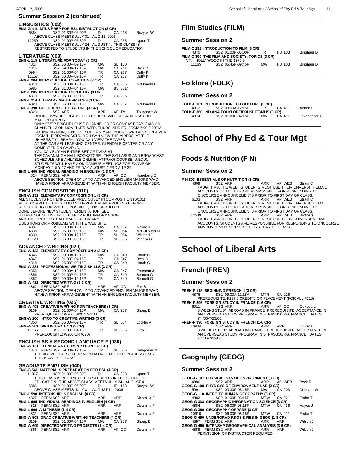#### **LINGUISTICS (002)**

|       |  |                   | ENG-G 441 MTLS PREP FOR ESL INSTRUCTION (3 CR)      |  |        |           |  |
|-------|--|-------------------|-----------------------------------------------------|--|--------|-----------|--|
| 6384  |  | NS2 01:30P-06:00P | . D                                                 |  | CA 218 | Rozycki W |  |
|       |  |                   | ABOVE CLASS MEETS JULY 31 - AUG 11, 2006            |  |        |           |  |
| 12259 |  |                   | NS2 01:00P-05:30P D CA 233 Upton T                  |  |        |           |  |
|       |  |                   | ABOVE CLASS MEETS JULY 24 - AUGUST 4. THIS CLASS IS |  |        |           |  |
|       |  |                   | RESTRICTED TO STUDENTS IN THE SCHOOL OF EDUCATION.  |  |        |           |  |
|       |  |                   |                                                     |  |        |           |  |
|       |  |                   |                                                     |  |        |           |  |

## **LITERATURE (003) ENG-L 115 LITERATURE FOR TODAY (3 CR)**

|       | <b>ENG-L 115 LITERATURE FOR TODAY (3 CR)</b>   |           |                |            |
|-------|------------------------------------------------|-----------|----------------|------------|
| 4814  | SS2 06:00P-09:15P                              | <b>MW</b> | SL 150         |            |
| 4815  | SS2 09:00A-12:15P                              | <b>MW</b> | CA 211         | Beck D     |
| 5984  | SS2 01:00P-04:15P                              | TR.       | CA 237         | Duffy K    |
| 11167 | SS2 06:00P-09:15P                              | <b>TR</b> | CA 237         | Duffy K    |
|       | ENG-L 204 INTRODUCTION TO FICTION (3 CR)       |           |                |            |
| 4818  | SS2 09:00A-12:15P                              | <b>TR</b> | CA 235         | McDonald B |
| 5985  | SS2 01:00P-04:15P                              | <b>MW</b> | <b>BS 3014</b> |            |
|       | <b>ENG-L 205 INTRODUCTION TO POETRY (3 CR)</b> |           |                |            |
| 4819  | SS2 06:00P-09:15P                              | TR        | CA 235         |            |
|       |                                                |           |                |            |

#### **ENG-L 214 LITERARY MASTERPIECES (3 CR)** 4820 SS2 06:00P-09:15P MW CA 237 McDonald B

**ENG-L 390 CHILDREN'S LITERATURE (3 CR)**<br>4823 SS2 ARR 4823 SS2 ARR ARR AP TV Touponce W<br>ONLINE TV/VIDEO CLASS THIS COURSE WILL BE BROADCAST IN<br>MARION COUNTY ONLY OVER BRIGHT HOUSE CHANNEL 98 OR COMCAST CABLEVISION

CHANNEL 13 ON MON, TUES, WED, THURS, AND FRI FROM 7:00-8:00PM<br>BEGINNING MON, JUNE 26. YOU CAN MAKE YOUR OWN TAPES ON A VCR<br>FROM THE BROADCASTS. YOU CAN VIEW THE VIDEOS AT THE<br>UNIVERSITY LIBRARY . YOU CAN VIEW THE TAPES AT THE CARMEL LEARNING CENTER, GLENDALE CENTER OR ANY

COMPUTER ON CAMPUS.<br>YOU CAN BUY AN ENTIRE SET OF DVD'S AT<br>THE CAVANAUGH HALL BOOKSTORE. THE SYLLABUS AND BROADCAST<br>SCHEDULE ARE AVILABLE ONLINE (HTTP://ONCOURSE.IU.EDU).<br>STUDENTS WILL HAVE 2 ON CAMPUS MEETINGS FOR EXAMS ON

**ENG-L 495 INDIVIDUAL READING IN ENGLISH (1-3 CR)**<br>4824 PERM SS2 ARR<br>ABOVE SECTION OPEN ONLY TO ADVANCED ENGLISH MAJORS WHO HAVE A PRIOR ARRANGEMENT WITH AN ENGLISH FACULTY MEMBER.

#### **ENGLISH COMPOSITION (010)**

**ENG-W 131 ELEMENTARY COMPOSITION 1 (3 CR)** ALL STUDENTS NOT ENROLLED PREVIOUSLY IN COMPOSITION (W131) MUST COMPLETE THE GUIDED SELF-PLACEMENT PROCESS BEFORE<br>REGISTERING FOR W131. IF POSSIBLE, THIS SHOULD BE<br>DONE BEFORE NEW STUDENT ORIENTATION. SEE HTTP://ENGLISH.US.IUPUI.EDU FOR FULL INFORMATION AND THE PROCESS. CALL 274-3824 FOR ANY QUESTIONS OR PROBLEMS WITH THE WEB SITE. 4837 SS2 09:00A-12:15P MW CA 237 Moline J

| TWW<br>4838 | <b>UUL UU.UUL 14.1JI</b><br>SS2 06:00P-09:15P | <br><b>MW</b> | $\sum$<br>SL 054 |              |
|-------------|-----------------------------------------------|---------------|------------------|--------------|
|             |                                               |               |                  | McCullough M |
| 4839        | SS2 09:00A-12:15P                             | TR.           | SL 054           | Wieland J    |
| 11129       | SS2 06:00P-09:15P                             | TR.           | SL 056           | Vecera G     |
|             |                                               |               |                  |              |

#### **ADVANCED WRITING (020)**

|      | ENG-W 132 ELEMENTARY COMPOSITION 2 (3 CR)           |           |        |                  |
|------|-----------------------------------------------------|-----------|--------|------------------|
| 4846 | SS2 09:00A-12:15P                                   | <b>MW</b> | CA 349 | Hauth C          |
| 4847 | SS2 01:00P-04:15P                                   | TR.       | CA 347 | Beck D           |
| 4848 | SS2 06:00P-09:15P                                   | TR        | CA 349 | Hauth C          |
|      | <b>ENG-W 231 PROFESSIONAL WRITING SKILLS (3 CR)</b> |           |        |                  |
| 4855 | SS2 09:00A-12:15P                                   | <b>MW</b> | CA 347 | Freeman J        |
| 4856 | SS2 01:00P-04:15P                                   | TR.       | CA 349 | <b>Bennett G</b> |
| 4857 | SS2 09:00A-12:15P                                   | TR.       | CA 349 | <b>Bennett G</b> |
|      | <b>ENG-W 411 DIRECTED WRITING (1-3 CR)</b>          |           |        |                  |

**4862 PERM SS2 ARR** 4862 PERM SS2 ARR ARR AP OC Fox S<br>ABOVE SECTION OPEN ONLY TO ADVANCED ENGLISH MAJORS WHO HAVE A PRIOR ARRANGEMENT WITH AN ENGLISH FACULTY MEMBER.

|       | <b>CREATIVE WRITING (025)</b>                  |           |        |           |
|-------|------------------------------------------------|-----------|--------|-----------|
|       | ENG-W 408 CREATIVE WRITING FOR TEACHERS (3 CR) |           |        |           |
| 6139  | SS2 01:00P-04:15P MW                           |           | CA 237 | Shoup B   |
|       | PREREQUISITE: W206, W207, W208                 |           |        |           |
|       | ENG-W 206 INTRO TO CREATIVE WRITING (3 CR)     |           |        |           |
| 4850  | SS2 06:00P-09:15P                              | TR.       | SL 054 | Locklin A |
|       | ENG-W 301 WRITING FICTION (3 CR)               |           |        |           |
| 11166 | SS2 01:00P-04:15P                              | <b>TR</b> | SL 056 | Kirts T   |
|       | PREREQUISITE: W206 OR W207                     |           |        |           |

## **ENGLISH AS A SECOND LANGUAGE-E (030) ENG-W 131 ELEMENTARY COMPOSITION 1 (3 CR)**

4840 PERM SS2 09:00A-12:15P TR SL 056 Henggeler M<br>THE ABOVE CLASS IS FOR NON-NATIVE ENGLISH SPEAKERS ONLY<br>THIS IS AN ESL CLASS

**GRADUATE ENGLISH (040) ENG-G 541 MATERIALS PREPARATION FOR ESL (4 CR)**

| 11317                         | NS2 01:00P-05:30P D CA 233                             |        | Upton T     |
|-------------------------------|--------------------------------------------------------|--------|-------------|
|                               | THIS CLASS IS RESTRICTED TO STUDENTS IN THE SCHOOL OF  |        |             |
|                               | EDUCATION. THE ABOVE CLASS MEETS JULY 24 - AUGUST 4.   |        |             |
|                               | NS2 01:30P-06:00P D IT 163                             |        | Rozycki W   |
|                               | ABOVE CLASS MEETS JULY 31 - AUGUST 11, 2006            |        |             |
|                               | <b>ENG-L 590 INTERNSHIP IN ENGLISH (4 CR)</b>          |        |             |
|                               | 4827 PERMSS2 ARR ARR ARR ARR                           |        | Dicamilla F |
|                               | <b>ENG-L 695 INDIVIDUAL READINGS IN ENGLISH (4 CR)</b> |        |             |
|                               | 4828 PERMSS2 ARR ARR                                   | ARR    | Dicamilla F |
| ENG-L 699 A M THESIS (1-4 CR) |                                                        |        |             |
|                               | 4831 PERM SS2 ARR ARR                                  | ARR    | Dicamilla F |
|                               | <b>ENG-W 508 GRAD CREATIVE WRITING-TEACHERS (4 CR)</b> |        |             |
|                               | 6159 SS2 01:00P-04:15P MW                              | CA 237 | Shoup B     |
|                               | <b>ENG-W 609 DIRECTED WRITING PROJECTS (1-4 CR)</b>    |        |             |
|                               | 4866 PERMSS2 ARR ARR APOC                              |        | Dicamilla F |

#### APRIL 12, 2006 2009 2009 2012 2006 2012 2013 2014 2012 2013 2014 2014 2015 2016 2017 2018 2017 2018 2017 2018 2017 2018 2017 2018 2017 2018 2017 2018 2017 2018 2017 2018 2017 2018 2017 2018 2017 2018 2017 2018 2017 2018 20

## **Film Studies (FILM)**

#### **Summer Session 2**

 $\overline{a}$ 

 $\overline{a}$ 

 $\overline{a}$ 

 $\overline{a}$ 

 $\overline{a}$ 

| 4870  | FILM-C 292 INTRODUCTION TO FILM (3 CR)<br>SS2 01:00P-05:00P<br>FILM-C 390 THE FILM AND SOCIETY: TOPICS (3 CR) | TR        | NU 103        | Bingham D |
|-------|---------------------------------------------------------------------------------------------------------------|-----------|---------------|-----------|
| 11165 | VT: HOLLYWOOD IN THE 1970'S<br>SS2 05:45P-09:45P                                                              | <b>MW</b> | <b>NU 103</b> | Bingham D |

## **Folklore (FOLK)**

#### **Summer Session 2**

|      | FOLK-F 101 INTRODUCTION TO FOLKLORE (3 CR)      |           |        |             |
|------|-------------------------------------------------|-----------|--------|-------------|
| 4872 | SS2 09:00A-12:15P                               | TR.       | CA 411 | Aldred B    |
|      | FOLK-F 360 INDIANA FOLKLORE/FOLKLIFE/MUS (3 CR) |           |        |             |
| 4874 | SS2 01:00P-04:15P                               | <b>MW</b> | CA 411 | Lavengood K |
|      |                                                 |           |        |             |
|      |                                                 |           |        |             |

# **School of Phy Ed & Tour Mgt**

## **Foods & Nutrition (F N)**

#### **Summer Session 2**

#### **F N 303 ESSENTIALS OF NUTRITION (3 CR)**

- 4869 SS2 ARR ARR AP WEB Strain C TAUGHT VIA THE WEB. STUDENTS MUST USE THEIR UNVERSITY EMAIL ACCOUNTS. STUDENTS ARE RESPONSIBLE FOR RESPONDING TO
- ONCOURSE ANNOUNCEMENTS PRIOR TO FIRST DAY OF CLASS. 6133 SS2 ARR ARR AP WEB Strain C TAUGHT VIA THE WEB. STUDENTS MUST USE THEIR UNVERSITY EMAIL
- ACCOUNTS. STUDENTS ARE RESPONSIBLE FOR RESPONDING TO<br>ONCOURSE ANNOUNCEMENTS PRIOR TO FIRST DAY OF CLASS.<br>12539 SS2 ARR<br>TAUGHT VIA THE WEB. STUDENTS MUST USE THEIR UNIVERSITY EMAIL<br>ACCOUNTS. STUDENTS ARE RESPONSIBLE ANNOUNCEMENTS PRIOR TO FIRST DAY OF CLASS. \_\_\_\_\_\_\_\_\_\_\_\_\_\_\_\_\_\_\_\_\_\_\_\_\_\_\_\_

# **School of Liberal Arts**

## **French (FREN)**

#### **Summer Session 2**

**FREN-F 118 BEGINNING FRENCH II (3 CR)**

 4876 SS2 09:00A-11:15A MTR CA 226 PREREQUISITE: F117 3 CREDITS OR PLACEMENT (FOR ALL F118) **FREN-F 296 FOREIGN STUDY IN FRANCE (1-6 CR)**

6011 NS2 ARR ARR AP OC Oukada L 3 WEEKS STUDY ABROAD IN FRANCE PREREQUISITE: ACCEPTANCE IN

AN OVERSEAS STUDY PROGRAM IN STRASBOURG, FRANCE DATES: 7/4/06-7/23/06.

## **FREN-F 396 FOREIGN STUDY IN FRENCH (1-6 CR)**<br>10904 NS2 ARR ARR

10904 NS2 ARR ARR ARR Oukada L 3 WEEKS STUDY ABROAD IN FRANCE PREREQUISITE: ACCEPTANCE IN AN OVERSEAS STUDY PROGRAM IN STRASBOURG, FRANCE DATES: 7/4/06-7/23/06.

## **Geography (GEOG)**

|  |                                     | GEOG-G 107 PHYSICAL SYS OF ENVIRONMENT (3 CR)           |        |           |
|--|-------------------------------------|---------------------------------------------------------|--------|-----------|
|  |                                     | 4880 SS2 ARR ARR AP WEB                                 |        | Beck R    |
|  |                                     | GEOG-G 108 PHYS SYS OF ENVIRONMENT-LAB (2 CR)           |        |           |
|  |                                     | 5991 SS2 03:30P-05:45P MW CA 203                        |        | Deboard W |
|  |                                     | GEOG-G 110 INTRO TO HUMAN GEOGRAPHY (3 CR)              |        |           |
|  | 4883 SS2 01:00P-03:15P MTW          |                                                         | CA 221 | Fedor T   |
|  |                                     | <b>GEOG-G 338 GEOGRAPHIC INFORMATION SCIENCE (3 CR)</b> |        |           |
|  |                                     | 4884 SS2 06:00P-08:15P MTW CA 436                       |        | Hayes J   |
|  | GEOG-G 360 GEOGRAPHY OF WINE (3 CR) |                                                         |        |           |
|  |                                     | 10910 SS2 06:00P-08:15P MTW CA 211                      |        | Fedor T   |
|  |                                     | GEOG-G 450 UNDERGRAD RDGS & RES IN GEOG (1-3 CR)        |        |           |
|  | 4887 PERM SS2 ARR ARR               |                                                         | ARR    | Wilson J  |
|  |                                     | GEOG-G 460 INTRNSHP GEOGRAPHICAL ANALYSIS (3-6 CR)      |        |           |
|  |                                     | 4888 PERM SS2 ARR ARR ARR ARR                           |        | Wilson J  |
|  | PERMISSION OF INSTRUCTOR REQUIRED.  |                                                         |        |           |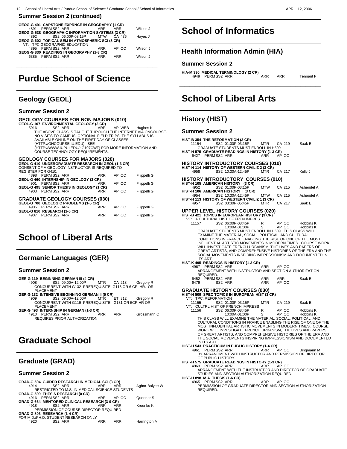| GEOG-G 491 CAPSTONE EXPRNCE IN GEOGRAPHY (1 CR)<br>4891 PERMSS2 ARR | ARR ARR |        | Wilson J |
|---------------------------------------------------------------------|---------|--------|----------|
| <b>GEOG-G 538 GEOGRAPHIC INFORMATION SYSTEMS (3 CR)</b>             |         |        |          |
| SS2 06:00P-08:15P MTW<br>4892                                       |         | CA 436 | Hayes J  |
| GEOG-G 602 TOPICAL SEM IN ATMOSPHERIC SCI (3 CR)                    |         |        |          |
| VT: TPC:GEOGRAPHIC EDUCATION<br>4895 PERMSS2 ARR                    | ARR     | AP OC  | Wilson J |
| GEOG-G 830 READINGS IN GEOGRAPHY (1-3 CR)                           |         |        |          |
| 6385 PERMSS2 ARR                                                    | ARR     | ARR    | Wilson J |
|                                                                     |         |        |          |
|                                                                     |         |        |          |

# **Purdue School of Science**

### **Geology (GEOL)**

 $\overline{a}$ 

#### **Summer Session 2**

#### **GEOLOGY COURSES FOR NON-MAJORS (010)**

**GEOL-G 107 ENVIRONMENTAL GEOLOGY (3 CR)**<br>5916 SS2 ARR ARR

5916 SS2 ARR ARR AP WEB Hughes K<br>THE ABOVE CLASS IS TAUGHT THROUGH THE INTERNET VIA ONCOURSE. NO VISITS TO CAMPUS; OPTIONAL FIELD TRIPS. THE SYLLABUS IS AVAILABLE ONLINE ON THE FIRST DAY OF CLASSES: (HTTP://ONCOURSE.IU.EDU). SEE

(HTTP://WWW.IUPUI.EDU/~G107CWT) FOR MORE INFORMATION AND COURSE TECHNOLOGY REQUIREMENTS.

## **GEOLOGY COURSES FOR MAJORS (020) GEOL-G 410 UNDERGRADUATE RESEARCH IN GEOL (1-3 CR)**

CONSENT OF A GEOLOGY INSTRUCTOR IS REQUIRED TO

| <b>REGISTER FOR G410.</b>                  |            |       |              |
|--------------------------------------------|------------|-------|--------------|
| 4898 PERM SS2 ARR                          | <b>ARR</b> | AP OC | Filippelli G |
| GEOL-G 460 INTERNSHIP IN GEOLOGY (3 CR)    |            |       |              |
| PERM SS2 ARR<br>4901                       | <b>ARR</b> | AP OC | Filippelli G |
| GEOL-G 495 SENIOR THESIS IN GEOLOGY (1 CR) |            |       |              |
| PERM SS2 ARR<br>4903                       | <b>ARR</b> | AP OC | Filippelli G |
|                                            |            |       |              |
| <b>GRADUATE GEOLOGY COURSES (030)</b>      |            |       |              |
| GEOL-G 700 GEOLOGIC PROBLEMS (1-5 CR)      |            |       |              |
| 4905 PERM SS2 ARR                          | <b>ARR</b> | AP OC | Filippelli G |
| GEOL-G 810 RESEARCH (1-6 CR)               |            |       |              |
| 4907 PERM SS2 ARR                          | <b>ARR</b> | AP OC | Filippelli G |
|                                            |            |       |              |
|                                            |            |       |              |

# **School of Liberal Arts**

#### **Germanic Languages (GER)**

#### **Summer Session 2**

 $\overline{a}$ 

 $\overline{a}$ 

- 
- **GER-G 119 BEGINNING GERMAN III (4 CR)** 4908 SS2 09:00A-12:00P MTR CA 218 Gregory R CONCURRENT WITH G132 PREREQUISITE: G118 OR 6 CR. HR. OR PLACEMENT
- **GER-G 132 INTENSIVE BEGINNING GERMAN II (5 CR)** 4909 SS2 09:00A-12:00P MTR ET 312 Gregory R CONCURRENT WITH G119 PREREQUISITE: G131 OR 5CR HR OR
	- PLACEMENT

\_\_\_\_\_\_\_\_\_\_\_\_\_\_\_\_\_\_\_\_\_\_\_\_\_\_\_\_

**GER-G 493 INTERNSHIP IN GERMAN (1-3 CR)**<br>4910 PERM SS2 ARR ARR ARR Grossmann C<br>REQUIRES PRIOR AUTHORIZATION.

# **Graduate School**

## **Graduate (GRAD)**

#### **Summer Session 2**

| 4914 | SS2 ARR             | ARR                                                                                    |                                      | Agbor-Baiyee W                                                                                                                                                                                        |
|------|---------------------|----------------------------------------------------------------------------------------|--------------------------------------|-------------------------------------------------------------------------------------------------------------------------------------------------------------------------------------------------------|
|      |                     |                                                                                        |                                      |                                                                                                                                                                                                       |
|      |                     |                                                                                        |                                      |                                                                                                                                                                                                       |
|      |                     | ARR                                                                                    | AP OC                                | Queener S                                                                                                                                                                                             |
|      |                     |                                                                                        |                                      |                                                                                                                                                                                                       |
| 4918 | SS2 ARR             | ARR                                                                                    | ARR                                  | Kroenke K                                                                                                                                                                                             |
|      |                     |                                                                                        |                                      |                                                                                                                                                                                                       |
|      |                     |                                                                                        |                                      |                                                                                                                                                                                                       |
|      |                     |                                                                                        |                                      |                                                                                                                                                                                                       |
| 4920 | SS <sub>2</sub> ARR | ARR                                                                                    | <b>ARR</b>                           | Harrington M                                                                                                                                                                                          |
|      |                     | GRAD-G 599 THESIS RESEARCH (0 CR)<br>4916 PERM SS2 ARR<br>GRAD-G 803 RESEARCH (1-4 CR) | FOR M.D./PH.D. STUDENT RESEARCH ONLY | GRAD-G 594 GUIDED RESEARCH IN MEDICAL SCI (3 CR)<br>ARR<br>RESTRICTED TO M.S. IN MEDICAL SCIENCE STUDENTS<br>GRAD-G 664 MENTORED CLINICAL RESEARCH (3-9 CR)<br>PERMISSION OF COURSE DIRECTOR REQUIRED |

# **School of Informatics**

## **Health Information Admin (HIA)**

#### **Summer Session 2**

 $\overline{a}$ 

 $\overline{a}$ 

**HIA-M 330 MEDICAL TERMINOLOGY (2 CR)** 4949 PERM SS2 ARR ARR ARR Tennant F \_\_\_\_\_\_\_\_\_\_\_\_\_\_\_\_\_\_\_\_\_\_\_\_\_\_\_\_

# **School of Liberal Arts**

## **History (HIST)**

| <b>HIST-B 354 THE REFORMATION (3 CR)</b>                                                                                                       |                          |                     |            |
|------------------------------------------------------------------------------------------------------------------------------------------------|--------------------------|---------------------|------------|
| 11154<br>SS2 01:00P-03:15P<br>GRADUATE STUDENTS MUST ENROLL IN H509                                                                            | MTR                      | CA 219              | Saak E     |
| HIST-H 575 GRADUATE READINGS IN HISTORY (1-3 CR)<br>6427 PERM SS2 ARR                                                                          | ARR                      | AP OC               |            |
| <b>HISTORY INTRODUCTORY COURSES (010)</b>                                                                                                      |                          |                     |            |
| HIST-H 114 HISTORY OF WESTERN CIVILIZ 2 (3 CR)<br>SS2 10:30A-12:45P<br>4958                                                                    | MTR                      | CA 217              | Kelly J    |
| HISTORY INTRODUCTORY COURSES (010)                                                                                                             |                          |                     |            |
| HIST-H 105 AMERICAN HISTORY I (3 CR)<br>SS2 01:00P-03:15P<br>4952<br>HIST-H 106 AMERICAN HISTORY II (3 CR)                                     | <b>MTW</b>               | CA 215              | Ashendel A |
| SS2 10:30A-12:45P<br>4954                                                                                                                      | <b>MTW</b>               | CA 215              | Ashendel A |
| HIST-H 113 HISTORY OF WESTERN CIVILIZ 1 (3 CR)<br>SS2 03:30P-05:45P<br>4957                                                                    | MTR.                     | CA 217              | Saak E     |
| <b>UPPER LEVEL HISTORY COURSES (020)</b>                                                                                                       |                          |                     |            |
| HIST-B 421 TOPICS IN EUROPEAN HISTORY (3 CR)<br>VT: A CULTURAL HIST OF FREN IMPRES                                                             |                          |                     |            |
| 11157<br>SS2 06:00P-08:45P                                                                                                                     | R                        | AP OC               | Robbins K  |
| 10:00A-01:00P<br>GRADUATE STUDENTS MUST ENROLL IN H509. THIS CLASS WILL                                                                        | S                        | AP OC               | Robbins K  |
| EXAMINE THE MATERIAL, SOCIAL, POLITICAL, AND CULTURAL                                                                                          |                          |                     |            |
| CONDITIONS IN FRANCE ENABLING THE RISE OF ONE OF THE MOST<br>INFLUENTIAL ARTISTIC MOVEMENTS IN MODERN TIMES. COURSE WORK                       |                          |                     |            |
| WILL INVESTIGATE FRENCH URBANISM, THE LIVES AND PAPERS OF                                                                                      |                          |                     |            |
| GREAT ARTISTS, AND COMPREHENSIVE HISTORIES OF THE ERA AND THE<br>SOCIAL MOVEMENTS INSPIRING IMPRESSIONISM AND DOCUMENTED IN<br><b>ITS ART.</b> |                          |                     |            |
| HIST-K 495 READINGS IN HISTORY (1-3 CR)                                                                                                        |                          |                     |            |
| 4967<br>PERM SS2 ARR<br>ARRANGEMENT WITH INSTRUCTOR AND SECTION AUTHORIZATION                                                                  | <b>ARR</b>               | AP OC               |            |
| REQUIRED.                                                                                                                                      |                          |                     |            |
| PERM SS2 ARR<br>6452<br>SS2 ARR<br>6479                                                                                                        | <b>ARR</b><br><b>ARR</b> | <b>ARR</b><br>AP OC | Saak E     |
| <b>GRADUATE HISTORY COURSES (030)</b>                                                                                                          |                          |                     |            |
| HIST-H 509 SPEC TOPICS IN EUROPEAN HIST (3 CR)<br>VT: TPC: REFORMATION                                                                         |                          |                     |            |
| SS2 01:00P-03:15P<br>11155                                                                                                                     | MTR                      | CA 219              | Saak E     |
| VT: CULTRL HIST OF FRENCH IMPRESS<br>11156<br>SS2 06:00P-08:45P                                                                                | R                        | AP OC               | Robbins K  |
| 10:00A-01:00P                                                                                                                                  | S                        | AP OC               | Robbins K  |
| THIS CLASS WILL EXAMINE THE MATERIAL, SOCIAL, POLITICAL, AND<br>CULTURAL CONDITIONS IN FRANCE ENABLING THE RISE OF ONE OF THE                  |                          |                     |            |
| MOST INFLUENTIAL ARTISTIC MOVEMENTS IN MODERN TIMES. COURSE                                                                                    |                          |                     |            |
| WORK WILL INVESTIGATE FRENCH URBANISM, THE LIVES AND PAPERS<br>OF GREAT ARTISTS, AND COMPREHENSIVE HISTORIES OF THE ERA AND                    |                          |                     |            |
| THE SOCIAL MOVEMENTS INSPIRING IMPRESSIONISM AND DOCUMENTED<br>IN ITS ART.                                                                     |                          |                     |            |
| HIST-H 543 PRACTICUM IN PUBLIC HISTORY (1-4 CR)                                                                                                |                          |                     |            |
| PERM SS2 ARR<br>4961<br>BY ARRANGMENT WITH INSTRUCTOR AND PERMISSION OF DIRECTOR                                                               | ARR                      | AP OC               | Bingmann M |
| OF PUBLIC HISTORY.                                                                                                                             |                          |                     |            |
| HIST-H 575 GRADUATE READINGS IN HISTORY (1-3 CR)<br>PERM SS2 ARR<br>4963                                                                       | ARR                      | AP OC               |            |
| ARRANGEMENT WITH THE INSTRUCTOR AND DIRECTOR OF GRADUATE                                                                                       |                          |                     |            |
| STUDIES AND SECTION AUTHORIZATION REQUIRED.<br>HIST-H 898 M.A. THESIS (1-6 CR)                                                                 |                          |                     |            |
| PERM SS2 ARR<br>4965                                                                                                                           | ARR                      | AP OC               |            |
| PERMISSION OF GRADUATE DIRECTOR AND SECTION AUTHORIZATION<br>REQUIRED.                                                                         |                          |                     |            |
|                                                                                                                                                |                          |                     |            |
|                                                                                                                                                |                          |                     |            |
|                                                                                                                                                |                          |                     |            |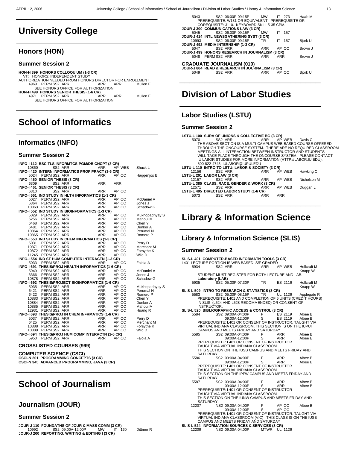$\overline{a}$ 

# **University College**

### **Honors (HON)**

#### **Summer Session 2**

**HON-H 399 HONORS COLLOQUIUM (1-3 CR)** VT: HONORS: INDEPENDENT STUDY AUTHORIZATION NEEDED FROM HONORS DIRECTOR FOR ENROLLMENT<br>ARR PERM SS2 ARR ARR ARR ARR Mullen E<br>SEE HONORS OFFICE FOR AUTHORIZATION. **HON-H 499 HONORS SENIOR THESIS (1-6 CR)** 4971 PERM SS2 ARR ARR ARR Mullen E SEE HONORS OFFICE FOR AUTHORIZATION \_\_\_\_\_\_\_\_\_\_\_\_\_\_\_\_\_\_\_\_\_\_\_\_\_\_\_\_

# **School of Informatics**

### **Informatics (INFO)**

#### **Summer Session 2**

| SS2 ARR<br><b>ARR</b><br>AP WEB<br>Shuck L<br>10860<br>INFO-I 420 INTERN INFORMATICS PROF PRACT (3-6 CR)<br>5024 PERMSS2 ARR<br><b>ARR</b><br>AP OC<br>Haggenjos B<br>INFO-1460 SENIOR THESIS (3 CR)<br>SS2 ARR<br>ARR<br><b>ARR</b><br>6309 |  |
|----------------------------------------------------------------------------------------------------------------------------------------------------------------------------------------------------------------------------------------------|--|
|                                                                                                                                                                                                                                              |  |
|                                                                                                                                                                                                                                              |  |
|                                                                                                                                                                                                                                              |  |
|                                                                                                                                                                                                                                              |  |
|                                                                                                                                                                                                                                              |  |
| INFO-1461 SENIOR THESIS (3 CR)                                                                                                                                                                                                               |  |
| SS2 ARR<br><b>ARR</b><br>AP OC<br>6310                                                                                                                                                                                                       |  |
| INFO-1 551 IND STUDY IN HLTH INFORMATICS (1-3 CR)                                                                                                                                                                                            |  |
| 5027 PERMSS2 ARR<br><b>ARR</b><br>AP OC<br>McDaniel A                                                                                                                                                                                        |  |
| 6364 PERM SS2 ARR<br><b>ARR</b><br>AP OC<br>Jones J                                                                                                                                                                                          |  |
| 10863 PERM SS2 ARR<br><b>ARR</b><br>AP OC<br>Schadow G                                                                                                                                                                                       |  |
| INFO-1552 IND STUDY IN BIOINFORMATICS (1-3 CR)                                                                                                                                                                                               |  |
| 5029 PERM SS2 ARR<br>ARR<br>AP OC<br>Mukhopadhyay S                                                                                                                                                                                          |  |
| ARR<br>6256 PERMSS2 ARR<br>AP OC<br>Mahoui M                                                                                                                                                                                                 |  |
| AP OC<br>6468 PERM SS2 ARR<br>ARR<br>Chen Y                                                                                                                                                                                                  |  |
| 6481 PERMSS2 ARR<br>ARR<br>AP OC<br>Dunker A                                                                                                                                                                                                 |  |
| ARR<br>10864 PERMSS2 ARR<br>AP OC<br>Perumal N                                                                                                                                                                                               |  |
| AP OC<br>10865 PERM SS2 ARR<br><b>ARR</b><br>Romero P                                                                                                                                                                                        |  |
| INFO-I 553 IND STUDY IN CHEM INFORMATICS (1-3 CR)                                                                                                                                                                                            |  |
| 5031 PERM SS2 ARR<br>ARR<br>AP OC<br>Perry D                                                                                                                                                                                                 |  |
| 10871 PERMSS2 ARR<br>ARR<br>ARR<br>AP OC<br>Merchant M                                                                                                                                                                                       |  |
| 10872 PERM SS2 ARR<br>AP OC<br>Forsythe K                                                                                                                                                                                                    |  |
| 11245 PERM SS2 ARR<br><b>ARR</b><br>AP OC<br>Wild D                                                                                                                                                                                          |  |
| INFO-I 554 IND ST HUM COMPUTER INTERACTN (1-3 CR)                                                                                                                                                                                            |  |
| 5033 PERM SS2 ARR<br>AP OC<br><b>ARR</b><br>Faiola A                                                                                                                                                                                         |  |
| INFO-1 691 THESIS/PROJ HEALTH INFORMATICS (1-6 CR)                                                                                                                                                                                           |  |
| 5949 PERMSS2 ARR<br><b>ARR</b><br>AP OC<br>McDaniel A                                                                                                                                                                                        |  |
| 6366 PERMSS2 ARR<br><b>ARR</b><br>AP OC<br>Jones J                                                                                                                                                                                           |  |
| ARR<br>AP OC<br>10878 PERM SS2 ARR<br>Schadow G                                                                                                                                                                                              |  |
| INFO-I 692 THESIS/PROJECT BIOINFORMATICS (1-6 CR)                                                                                                                                                                                            |  |
| PERM SS2 ARR<br>ARR<br>AP OC<br>5035<br>Mukhopadhyay S                                                                                                                                                                                       |  |
| Perumal N<br>6421 PERM SS2 ARR<br>ARR<br>AP OC                                                                                                                                                                                               |  |
| ARR<br>6422 PERM SS2 ARR<br>AP OC<br>Romero P                                                                                                                                                                                                |  |
| 10883 PERM SS2 ARR<br>AP OC<br>ARR<br>ARR<br>Chen Y                                                                                                                                                                                          |  |
| 10884 PERM SS2 ARR<br>AP OC<br>Dunker A                                                                                                                                                                                                      |  |
| 10885 PERM SS2 ARR<br>ARR<br>AP OC<br>Mahoui M                                                                                                                                                                                               |  |
| 12931 PERM SS2 ARR<br><b>ARR</b><br>AP OC<br>Huang R                                                                                                                                                                                         |  |
| INFO-I 693 THESIS/PROJ IN CHEM INFRMATICS (1-6 CR)                                                                                                                                                                                           |  |
| PERM SS2 ARR<br>ARR<br>5037<br>AP OC<br>Perry D                                                                                                                                                                                              |  |
| PERM SS2 ARR<br>ARR<br>Merchant M<br>6425<br>AP OC                                                                                                                                                                                           |  |
| 10888 PERM SS2 ARR<br><b>ARR</b><br>Forsythe K<br>AP OC                                                                                                                                                                                      |  |
| 10889 PERM SS2 ARR<br><b>ARR</b><br>AP OC<br>Wild D                                                                                                                                                                                          |  |
| INFO-I 694 THESIS/PROJ HUM COMP INTERACTN (1-6 CR)                                                                                                                                                                                           |  |
| PERM SS2 ARR<br><b>ARR</b><br>AP OC<br>Faiola A<br>5950                                                                                                                                                                                      |  |
|                                                                                                                                                                                                                                              |  |

#### **CROSSLISTED COURSES (999)**

**COMPUTER SCIENCE (CSCI) CSCI-N 201 PROGRAMMING CONCEPTS (3 CR) CSCI-N 345 ADVANCED PROGRAMMING, JAVA (3 CR)** \_\_\_\_\_\_\_\_\_\_\_\_\_\_\_\_\_\_\_\_\_\_\_\_\_\_\_\_

# **School of Journalism**

## **Journalism (JOUR)**

#### **Summer Session 2**

 $\overline{a}$ 

| 5043                                            | PREREQUISITE: W131 OR EQUIVALENT. PREREQUISITE OR<br>COREQUISITE: J110. KEYBOARD SKILLS 35 CPM. | SS2 06:00P-09:15P MW IT 273 |            |     |        | Haab M  |
|-------------------------------------------------|-------------------------------------------------------------------------------------------------|-----------------------------|------------|-----|--------|---------|
| JOUR-J 300 COMMUNICATIONS LAW (3 CR)            |                                                                                                 |                             |            |     |        |         |
|                                                 | 5045 SS2 06:00P-09:15P                                                                          |                             | МW         |     | IT 157 |         |
| JOUR-J 414 INTL NEWSGATHERING SYST (3 CR)       |                                                                                                 |                             |            |     |        |         |
|                                                 | 10993 SS2 06:00P-09:15P TR                                                                      |                             |            | ш   | 157    | Bjork U |
| JOUR-J 492 MEDIA INTERNSHIP (1-3 CR)            |                                                                                                 |                             |            |     |        |         |
|                                                 | 5047 SS2 ARR                                                                                    |                             | ARR        |     | AP OC  | Brown J |
| JOUR-J 499 HONORS RESEARCH IN JOURNALISM (3 CR) |                                                                                                 |                             |            |     |        |         |
|                                                 | 5048 PERMSS2 ARR                                                                                |                             | ARR        | ARR |        | Brown J |
|                                                 |                                                                                                 |                             |            |     |        |         |
| <b>GRADUATE JOURNALISM (010)</b>                |                                                                                                 |                             |            |     |        |         |
| JOUR-J 804 READ & RESEARCH IN JOURNALISM (3 CR) |                                                                                                 |                             |            |     |        |         |
| 5049                                            | SS2 ARR                                                                                         |                             | <b>ARR</b> |     | AP OC  | Bjork U |

\_\_\_\_\_\_\_\_\_\_\_\_\_\_\_\_\_\_\_\_\_\_\_\_\_\_\_\_

# **Division of Labor Studies**

## **Labor Studies (LSTU)**

#### **Summer Session 2**

 $\overline{a}$ 

 $\overline{a}$ 

| LSTU-L 100 SURV OF UNIONS & COLLECTIVE BG (3 CR)<br>SS2 ARR<br>5070<br>THE ABOVE SECTION IS A MULTI-CAMPUS WEB-BASED COURSE OFFERED<br>THROUGH THE ONCOURSE SYSTEM. THERE ARE NO REQUIRED CLASSROOM<br>MEETINGS-ALL INTERACTION BETWEEN INSTRUCTOR AND STUDENTS<br>WILL TAKE PLACE THROUGH THE ONCOURSE SYSTEM. PLEASE CONTACT |            | ARR APWEB  | Davis C     |
|--------------------------------------------------------------------------------------------------------------------------------------------------------------------------------------------------------------------------------------------------------------------------------------------------------------------------------|------------|------------|-------------|
| IU LABOR STUDIES FOR MORE INFORMATION (HTTP://LABOR.IU.EDU).                                                                                                                                                                                                                                                                   |            |            |             |
| 800-822-4743. IULABOR@IUPUI.EDU                                                                                                                                                                                                                                                                                                |            |            |             |
| LSTU-L 110 INTRO TO LSTU: LABOR & SOCIETY (3 CR)                                                                                                                                                                                                                                                                               |            |            |             |
| SS2 ARR<br>12156                                                                                                                                                                                                                                                                                                               |            | ARR AP WEB | Hawking C   |
| LSTU-L 201 LABOR LAW (3 CR)                                                                                                                                                                                                                                                                                                    |            |            |             |
| SS2 ARR<br>12157                                                                                                                                                                                                                                                                                                               | ARR        | AP WEB     | Nicholson M |
| LSTU-L 385 CLASS, RACE, GENDER & WORK (3 CR)                                                                                                                                                                                                                                                                                   |            |            |             |
| SS2 ARR NORTH THE SAME IN THE STATE OF THE STATE OF THE STATE OF THE STATE OF THE STATE OF THE STATE OF THE ST<br>12571                                                                                                                                                                                                        | ARR        | AP WEB     | Duggan L    |
| LSTU-L 495 DIRECTED LABOR STUDY (1-6 CR)                                                                                                                                                                                                                                                                                       |            |            |             |
| SS <sub>2</sub> ARR<br>5073                                                                                                                                                                                                                                                                                                    | <b>ARR</b> | <b>ARR</b> |             |
|                                                                                                                                                                                                                                                                                                                                |            |            |             |

# **Library & Information Science**

### **Library & Information Science (SLIS)**

| SLIS-L 401 COMPUTER-BASED INFORMATN TOOLS (3 CR)      |         |                                             |                |                 |                                                           |                                                             |
|-------------------------------------------------------|---------|---------------------------------------------|----------------|-----------------|-----------------------------------------------------------|-------------------------------------------------------------|
| L401 LECTURE PORTION IS WEB BASED. S/F GRADED<br>5934 | SS2 ARR |                                             |                | <b>ARR</b>      | AP WFR                                                    | <b>Hollcraft M</b><br>Knapp W                               |
| Laboratory (LAB)                                      |         |                                             |                |                 | STUDENT MUST REGISTER FOR BOTH LECTURE AND LAB.           |                                                             |
| 5935                                                  |         | SS2 05:30P-07:30P                           |                | TR <sub>1</sub> | ES 2116                                                   | <b>Hollcraft M</b><br>Knapp W                               |
| SLIS-L 509 INTRO TO RESEARCH & STATISTICS (3 CR)      |         |                                             |                |                 |                                                           |                                                             |
| 5583                                                  |         | SS2 05:30P-08:15P                           |                | <b>TR</b>       | <b>UL 1126</b>                                            | Applegate R                                                 |
| INSTRUCTOR.                                           |         |                                             |                |                 | IN SLIS (L524 AND L528 RECOMMENDED) OR CONSENT OF         | PREREQUISITE: L401 AND COMPLETION OF 6 UNITS (CREDIT HOURS) |
| SLIS-L 520 BIBLIOGRAPHIC ACCESS & CONTROL (3 CR)      |         |                                             |                |                 |                                                           |                                                             |
| 5584                                                  |         | SS2 09:00A-04:00P                           |                | F.              | ES 2119                                                   | Albee B                                                     |
|                                                       |         | 09:00A-12:00P                               |                | S               | ES 2119 Albee B                                           |                                                             |
|                                                       |         |                                             |                |                 | PREREQUISITE: L401 OR CONSENT OF INSTRUCTOR, TAUGHT VIA   |                                                             |
|                                                       |         |                                             |                |                 | VIRTUAL INDIANA CLASSROOM. THIS SECTION IS ON THE IUPUI   |                                                             |
|                                                       |         | CAMPUS AND MEETS FRIDAY AND SATURDAY.       |                |                 |                                                           |                                                             |
| 5585                                                  |         | SS2 09:00A-04:00P                           | $\overline{F}$ |                 | ARR                                                       | Albee B                                                     |
|                                                       |         | 09:00A-12:00P                               |                | S               | ARR                                                       | Albee B                                                     |
|                                                       |         | PREREQUISITE: L401 OR CONSENT OF INSTRUCTOR |                |                 |                                                           |                                                             |
|                                                       |         | TAUGHT VIA VIRTUAL INDIANA CLASSROOM        |                |                 |                                                           |                                                             |
| SATURDAY.                                             |         |                                             |                |                 | THIS SECTION ON THE IUSB CAMPUS AND MEETS FRIDAY AND      |                                                             |
| 5586                                                  |         | SS2 09:00A-04:00P                           |                | F               | ARR                                                       | Albee B                                                     |
|                                                       |         | 09:00A-12:00P                               |                | S               | ARR                                                       | Albee B                                                     |
|                                                       |         | PREREQUISITE: L401 OR CONSENT OF INSTRUCTOR |                |                 |                                                           |                                                             |
|                                                       |         | TAUGHT VIA VIRTUAL INDIANA CLASSROOM        |                |                 |                                                           |                                                             |
| SATURDAY.                                             |         |                                             |                |                 | THIS SECTION ON THE IPFW CAMPUS AND MEETS FRIDAY AND      |                                                             |
| 5587                                                  |         | SS2 09:00A-04:00P                           |                | F               | <b>ARR</b>                                                | Albee B                                                     |
|                                                       |         | 09:00A-12:00P                               |                | S               | <b>ARR</b>                                                | Albee B                                                     |
|                                                       |         | PREREQUISITE: L401 OR CONSENT OF INSTRUCTOR |                |                 |                                                           |                                                             |
|                                                       |         | TAUGHT VIA VIRTUAL INDIANA CLASSROOM        |                |                 |                                                           |                                                             |
| SATURDAY.                                             |         |                                             |                |                 | THIS SECTION ON THE IUNW CAMPUS AND MEETS FRIDAY AND      |                                                             |
| 12207                                                 |         | NS2 09:00A-04:00P<br>09:00A-12:00P          |                | F<br>S          | AP OC<br>AP OC                                            | Albee B                                                     |
|                                                       |         |                                             |                |                 | PREREQUISITE: L401 OR CONSENT OF INSTRUCTOR, TAUGHT VIA   |                                                             |
|                                                       |         |                                             |                |                 | VIRTUAL INDIANA CLASSROOM (VIC) THIS CLASS IS ON THE IUSE |                                                             |
|                                                       |         | CAMPUS AND MEETS FRIDAY AND SATURDAY        |                |                 |                                                           |                                                             |
| SLIS-L 524 INFORMATION SOURCES & SERVICES (3 CR)      |         |                                             |                |                 |                                                           |                                                             |
| 12209                                                 |         | NS2 09:00A-04:00P                           |                |                 | <b>MTWR UL 1126</b>                                       |                                                             |
|                                                       |         |                                             |                |                 |                                                           |                                                             |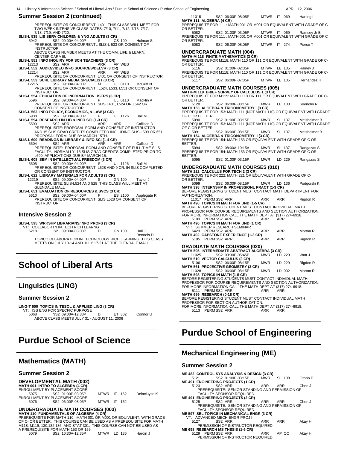PREREQUISITE OR CONCURRENT: L401 THIS CLASS WILL MEET FOR TWO WEEK INTENSIVE CLASS DATES: 7/10, 7/11, 7/12, 7/13, 7/17, 7/18, 7/19, AND 7/20. **SLIS-L 535 LIB SERV CHILDREN & YNG ADULTS (3 CR)**

 5942 SS2 09:00A-04:00P S CS 100 Holman S PREREQUISITE OR CONCURRENTL SLIS-L 533 OR CONSENT OF INSTRUCTOR. ABOVE CLASS NUMBER MEETS AT THE COMM. LIFE & LEARN. CENTER-CARMEL

**SLIS-L 551 INFO INQUIRY FOR SCH TEACHERS (3 CR)**

12213 SS2 ARR ARR AP WEB **SLIS-L 552 AUDIO/VIDEO INFO SOURCES/DELVR (3 CR)** 12214 SS2 ARR ARR AP WEB PREREQUISITE OR CONCURRENT: L401 OR CONSENT OF INSTRUCTOR **SLIS-L 553 SCHL LIBRARY MEDIA SPECIALIST (3 CR)** 12215 SS2 09:00A-04:00P M UL 0110 McGriff N

PREREQUISITE OR CONCURRENT : L524, L533, L551 OR CONSENT OF INSTRUCTOR

**SLIS-L 554 EDUCATION OF INFORMATION USERS (3 CR)**<br>5596 SS2 09:00A-04:00P F UL 5596 SS2 09:00A-04:00P F UL 0110 Macklin A PREREQUISITE OR CONCURRENT: SLIS L401, L524 OR L542 OR CONSENT OF INSTRUCTOR

**SLIS-L 563 INFO POLICY, ECONOMICS, & LAW (3 CR)** 5938 SS2 09:00A-04:00P F UL 1126 Ball M

**SLIS-L 594 RESEARCH IN LIB & INFO SCI (1-3 CR)**

 5599 SS2 ARR ARR ARR Callison D PREREQUISITE: PROPOSAL FORM AND CONSENT OF INSTRUCTOR AND 15 SLIS GRAD CREDITS COMPLETED INCLUDING SLIS-L509 OR 651 PROPOSAL FORM DUE BY MARCH 15TH. **SLIS-L 600 READINGS IN LIBRARY & INFO SCI (1-4 CR)** 5604 SS2 ARR ARR ARR Callison D

PREREQUISITE: PROPOSAL FORM AND CONSENT OF FULL-TIME SLIS FACULTY. NORMALLY, 15 SLIS GRAD CREDITS COMPLETED PRIOR TO L600. APPLICATIONS DUE BY MARCH 15.

**SLIS-L 608 SEM IN INTELLECTUAL FREEDOM (3 CR)** 5605 SS2 09:00A-04:00P S UL 1126 Ball M PREREQUISITE OR CONCURRENT: L528 AND 9 CR. IN SLIS COMPLETED OR CONSENT OF INSTRUCTOR.<br>**SLIS-L 622 LIBRARY MATERIALS FOR ADULTS (3 CR)**<br>12219 SS2 09:00A-04:00P S GN 100 Taylor J

PREREQUISITE: SLIS-L524 AND 528 THIS CLASS WILL MEET AT GLENDALE MALL

**SLIS-L 651 EVALUATION OF RESOURCES & SVCS (3 CR)**<br>5610 **SS2 09:00A-04:00P** F ES 3

 5610 SS2 09:00A-04:00P F ES 2100 Applegate R PREREQUISITE OR CONCURRENT: SLIS L528 OR CONSENT OF INSTRUCTOR.

#### **Intensive Session 2**

**SLIS-L 595 WRKSHP LIBRARIANS/INFO PROFS (3 CR)** VT: COLLABORTN IN TECH RICH LEARNG

 6218 IS2 09:00A-03:00P D GN 100 Hall J Rennels D TOPIC:COLLABORATION IN TECHNOLOGY RICH LEARNING THIS CLASS MEETS ON JULY 10-14 AND JULY 17-21 AT THE GLENDALE MALL

\_\_\_\_\_\_\_\_\_\_\_\_\_\_\_\_\_\_\_\_\_\_\_\_\_\_\_\_

# **School of Liberal Arts**

## **Linguistics (LING)**

#### **Summer Session 2**

 $\overline{a}$ 

 $\overline{a}$ 

**LING-T 600 TOPICS IN TESOL & APPLIED LING (3 CR)** VT: ISS ENG FOR SPECFIC PURPOSE

 5068 NS2 09:00A-12:30P D ET 302 Connor U ABOVE CLASS MEETS JULY 31 - AUGUST 11, 2006 \_\_\_\_\_\_\_\_\_\_\_\_\_\_\_\_\_\_\_\_\_\_\_\_\_\_\_\_

# **Purdue School of Science**

## **Mathematics (MATH)**

#### **Summer Session 2**

#### **DEVELOPMENTAL MATH (002) MATH 001 INTRO TO ALGEBRA (4 CR)**

|      | ENROLLMENT BY PLACEMENT SCORE. |                    |  |              |
|------|--------------------------------|--------------------|--|--------------|
| 5075 | SS2 01:00P-03:05P              | <b>MTWR IT 162</b> |  | Delacluyse K |
|      | ENROLLMENT BY PLACEMENT SCORE. |                    |  |              |
| 5076 | SS2 06:00P-08:05P              | MTWR IT 162        |  |              |

**UNDERGRADUATE MATH COURSES (003) MATH 110 FUNDAMENTALS OF ALGEBRA (4 CR)** PREREQUISITE FOR MATH 110: MATH 001 OR M001 OR EQUIVLENT, WITH GRADE OF C- OR BETTER. THIS COURSE CAN BE USED AS A PREREQUISITE FOR MATH M118, M119, 130,132,136, AND STAT 301. THIS COURSE CAN NOT BE USED AS A PREREQUISITE FOR MATH 153 OR 159.

| 5079 | SS2 10:30A-12:35P |  | MTWR LD 136 | Hardin J |
|------|-------------------|--|-------------|----------|
|------|-------------------|--|-------------|----------|

11015 SS2 06:00P-08:05P MTWR IT 069 Harting L **MATH 111 ALGEBRA (4 CR)** PREREQUISITE FOR 111 : MATH 001 OR M001 OR EQUIVALENT WITH GRADE OF C

OR BETTER.

5082 SS2 01:00P-03:05P MTWR IT 069 Ramsey Jr B PREREQUISITE FOR 111 : MATH 001 OR M001 OR EQUIVALENT WITH GRADE OF C

OR BETTER.<br>5083 5083 SS2 06:00P-08:05P MTWR IT 274 Pierce T

#### **UNDERGRADUATE MATH (004)**

**MATH-M 118 FINITE MATHEMATICS (3 CR)** PREREQUISITE FOR M118: MATH 110 OR 111 OR EQUIVALENT WITH GRADE OF C-OR BETTER.

5116 SS2 01:00P-02:35P MTWR LE 105 Rainey J PREREQUISITE FOR M118: MATH 110 OR 111 OR EQUIVALENT WITH GRADE OF C-

OR BETTER.<br>5117 5117 SS2 06:00P-07:35P MTWR LE 105 Hernandez H

#### **UNDERGRADUATE MATH COURSES (005)**

**MATH-M 119 BRIEF SURVEY OF CALCULUS 1 (3 CR)** PREREQUISITE FOR M119: MATH 110 OR 111 OR EQUIVALENT WITH GRADE OF C-OR BETTER.

 5120 SS2 06:00P-08:15P MWR LE 103 Soendlin R **MATH 153 ALGEBRA & TRIGONOMETRY I (3 CR)** PREREQUISITE FOR 153: MATH 111 (NOT MATH 110) OR EQUIVALENT WITH GRADE

OF C OR BETTER.<br>5090 5090 SS2 01:00P-03:15P MWR SL 137 Melsheimer B

PREREQUISITE FOR 153: MATH 111 (NOT MATH 110) OR EQUIVALENT WITH GRADE OF C OR BETTER.

SS2 06:00P-08:15P MWR SL 137 Melsheimer B **MATH 154 ALGEBRA & TRIGONOMETRY II (3 CR)** PREREQUISITE FOR 154: MATH 153 OR EQUIVALENT WITH GRADE OF C OR

BETTER. 5094 SS2 08:00A-10:15A MWR SL 137 Rangazas S PREREQUISITE FOR 154: MATH 153 OR EQUIVALENT WITH GRADE OF C OR

BETTER.<br>5095

5095 SS2 01:00P-03:15P MWR LD 229 Rangazas S

#### **UNDERGRADUATE MATH COURSES (010)**

**MATH 222 CALCULUS FOR TECH 2 (3 CR)** PREREQUISITE FOR 222: MATH 221 OR EQUIVALENT WITH GRADE OF C-OR BETTER.

5099 SS2 06:00P-08:15P MWR LD 136 Podgorski K **MATH 398 INTERNSHP IN PROFESSIONL PRACT (1-3 CR)** BEFORE REGISTERING STUDENT MUST CONTACT MATH DEPARTMENT FOR

AUTHORIZATION. 11017 PERM SS2 ARR ARR ARR Rigdon R **MATH 490 TOPICS IN MATH FOR UND (1-5 CR)**

BEFORE REGISTERING STUDENT MUST CONTACT INDIVIDUAL MATH PROFESSOR FOR COURSE REQUIREMENTS AND SECTION AUTHORIZATION. FOR MORE INFORMATION CALL THE MATH DEPT AT (317) 274-6918.

| 5103 PERM SS2 ARR                      | ARR |  |
|----------------------------------------|-----|--|
| MATH 400 TODICS IN MATH EOD HND (4 CD) |     |  |

## **MATH 490 TOPICS IN MATH FOR UND (1 CR)** VT: SUMMER RESEARCH SEMINAR

| 6423 PERMSS2 ARR                             | ARR | ARR | Morton R |
|----------------------------------------------|-----|-----|----------|
| <b>MATH 492 CAPSTONE EXPERIENCE (1-3 CR)</b> |     |     |          |
| 5105 PERMSS2 ARR                             | ARR | ARR | Riadon R |

#### **GRADUATE MATH COURSES (020)**

|             | MATH 505 INTERMEDIATE ABSTRACT ALGEBRA (3 CR) |             |                |          |
|-------------|-----------------------------------------------|-------------|----------------|----------|
| 11025       | SS2 03:30P-05:45P                             | MWR         | $1D$ 229       | Watt J   |
|             | <b>MATH 510 VECTOR CALCULUS (3 CR)</b>        |             |                |          |
| <b>E106</b> | CCO AG-AAD AG-15D                             | <b>MAID</b> | $1 \nabla 220$ | Diadon D |

5106 SS2 06:00P-08:15P MWR LD 229 Rigdon R **MATH 561 PROJECTIVE GEOMETRY (3 CR)**

11028 SS2 06:00P-08:15P MWR LD 002 Morton R **MATH 598 TOPICS IN MATH (1-5 CR)** BEFORE REGISTERING STUDENTS MUST CONTACT INDIVIDUAL MATH

PROFESSOR FOR COURSE REQUIREMENTS AND SECTION AUTHORIZATION.<br>FOR MORE INFORMATION CALL THE MATH DEPT AT (317) 274-6918.<br>5111 PERM SS2 ARR ARR ARR ARR 1980.

**MATH 699 RESEARCH (0-18 CR)**<br>BEFORE REGISTERING STUDENT MUST CONTACT INDIVIDUAL MATH<br>PROFESSOR FOR SECTION AUTHORIZATION.

FOR MORE INFORMATION CALL THE MATH DEPT AT (317) 274-6918. 5113 PERM SS2 ARR

**Purdue School of Engineering**

\_\_\_\_\_\_\_\_\_\_\_\_\_\_\_\_\_\_\_\_\_\_\_\_\_\_\_\_

## **Mechanical Engineering (ME)**

#### **Summer Session 2**

 $\overline{a}$ 

**ME 482 CONTROL SYS ANALYSIS & DESIGN (3 CR)**<br>5121 552 01:00P-03:15P MWR

- 5121 SS2 01:00P-03:15P MWR SL 108 Orono P **ME 491 ENGINEERING PROJECTS (1 CR)**
	- 5123 SS2 ARR ARR ARR Chen J PREREQUISITE: SENIOR STANDING AND PERMISSION OF FACULTY SPONSOR REQUIRED.
- **ME 491 ENGINEERING PROJECTS (2 CR)**
- 5125 SS2 ARR ARR ARR Chen J<br>PREREQUISITE: SENIOR STANDING AND PERMISSION OF<br>FACULTY SPONSOR REQUIRED.<br>**ME 597 SEL TOPICS IN MECHANICAL ENGR (3 CR)**<br>VT: ADVANCED MECH ENGR PROJ I
- 
- 5127 SS2 ARR ARR ARR Akay H PERMISSION OF INSTRUCTOR REQUIRED
- **ME 698 RESEARCH MS THESIS (1-6 CR)** 5129 PERM SS2 ARR ARR AP OC Akay H PERMISSION OF INSTRUCTOR REQUIRED.
-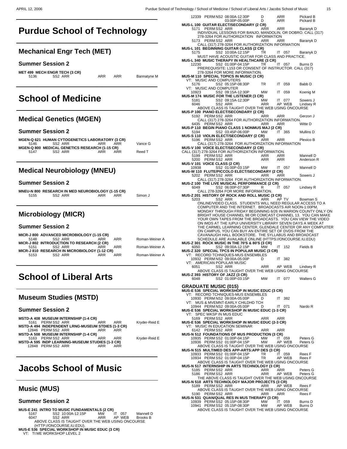## **Purdue School of Technology**  $\overline{a}$

## **Mechanical Engr Tech (MET)**

#### **Summer Session 2**

|      | MET 499 MECH ENGR TECH (3 CR) |     |     |             |
|------|-------------------------------|-----|-----|-------------|
| 5136 | SS <sub>2</sub> ARR           | ARR | ARR | Bannatyne M |
|      |                               |     |     |             |
|      |                               |     |     |             |

# **School of Medicine**

## **Medical Genetics (MGEN)**

### **Summer Session 2**

 $\overline{a}$ 

 $\overline{a}$ 

 $\overline{a}$ 

|      | MGEN-Q 621 HUMAN CYTOGENETICS LABORATORY (3 CR) |     |     |         |
|------|-------------------------------------------------|-----|-----|---------|
| 5146 | SS2 ARR                                         | ARR | ARR | Vance G |
|      | MGEN-Q 800 MEDICAL GENETICS RESEARCH (1-15 CR)  |     |     |         |
| 5147 | SS <sub>2</sub> ARR                             | ARR | ARR | Reed T  |
|      |                                                 |     |     |         |
|      |                                                 |     |     |         |

## **Medical Neurobiology (MNEU)**

#### **Summer Session 2**

|      | MNEU-N 800 RESEARCH IN MED NEUROBIOLOGY (1-15 CR) |     |     |         |
|------|---------------------------------------------------|-----|-----|---------|
| 5155 | SS2 ARR                                           | ARR | ARR | Simon J |

## **Microbiology (MICR)**

#### **Summer Session 2**

|      | MICR-J 800 ADVANCED MICROBIOLOGY (1-15 CR)    |            |     |                |
|------|-----------------------------------------------|------------|-----|----------------|
| 5148 | SS <sub>2</sub> ARR                           | <b>ARR</b> | ARR | Roman-Weiner A |
|      | MICR-J 802 INTRODUCTION TO RESEARCH (2 CR)    |            |     |                |
| 5151 | SS <sub>2</sub> ARR                           | ARR        | ARR | Roman-Weiner A |
|      | MICR-J 810 RESEARCH IN MICROBIOLOGY (1-12 CR) |            |     |                |
| 5153 | SS <sub>2</sub> ARR                           | ARR        | ARR | Roman-Weiner A |
|      |                                               |            |     |                |
|      |                                               |            |     |                |

# **School of Liberal Arts**

## **Museum Studies (MSTD)**

#### **Summer Session 2**

| MSTD-A 408 MUSEUM INTERNSHIP (1-4 CR)                   |            |     |               |
|---------------------------------------------------------|------------|-----|---------------|
| 5161 PERMSS2 ARR                                        | <b>ARR</b> | ARR | Kryder-Reid E |
| MSTD-A 494 INDEPENDENT LRNG-MUSEUM STDIES (1-3 CR)      |            |     |               |
| 12846 PERMSS2 ARR                                       | ARR        | ARR |               |
| MSTD-A 508 MUSEUM INTERNSHIP (1-4 CR)                   |            |     |               |
| 5163 PERMSS2 ARR                                        | ARR        | ARR | Kryder-Reid E |
| <b>MSTD-A 595 INDP LEARNING-MUSEUM STUDIES (1-3 CR)</b> |            |     |               |
| 12848 PERMSS2 ARR                                       | ARR        | ARR |               |
|                                                         |            |     |               |
|                                                         |            |     |               |

## **Jacobs School of Music**  $\overline{a}$

### **Music (MUS)**

- **MUS-E 241 INTRO TO MUSIC FUNDAMENTALS (2 CR)**<br>5167 SS2 10:00A-12:15P MW IT 057 Mannell D<br>6047 SS2 ARR ARR AP WEB Brooks B ABOVE CLASS IS TAUGHT OVER THE WEB USING ONCOURSE (HTTP://ONCOURSE.IU.EDU). **MUS-E 536 SPECIAL WORKSHOP IN MUSIC EDUC (3 CR)**
- VT: TI:ME WORKSHOP LEVEL 2

|              | 12339 PERM NS2 08:00A-12:30P                                                                                  | 03:00P-05:00P                         | D<br>D     | ARR<br>ARR |        | Pickard B<br>Pickard B                                                                                                       |
|--------------|---------------------------------------------------------------------------------------------------------------|---------------------------------------|------------|------------|--------|------------------------------------------------------------------------------------------------------------------------------|
| 5171         | MUS-L 100 GUITAR ELECT/SECONDARY (2 CR)<br>PERM SS2 ARR                                                       |                                       | ARR        |            |        |                                                                                                                              |
|              |                                                                                                               |                                       |            | ARR        |        | Baranyk D<br>INDIVIDUAL LESSONS FOR BANJO, MANDOLIN, OR DOBRO. CALL (317)                                                    |
| 5173         | 278-3264 FOR AUTHORIZATION INFORMATION<br>PERM SS2 ARR                                                        |                                       | ARR        | ARR        |        | Baranyk D                                                                                                                    |
|              | CALL (317) 278-3264 FOR AUTHORIZATION INFORMATION                                                             |                                       |            |            |        |                                                                                                                              |
| 5175         | <b>MUS-L 101 BEGINNING GUITAR CLASS (2 CR)</b>                                                                | SS2 10:00A-12:15P                     | TR         |            | IT 057 | Baranyk D                                                                                                                    |
|              | MUST HAVE ACOUSTIC GUITAR FOR CLASS AND PRACTICE.<br>MUS-L 340 MUSIC THERAPY IN HEALTHCARE (3 CR)             |                                       |            |            |        |                                                                                                                              |
| 12230        |                                                                                                               | SS2 01:00P-04:15P                     | TR.        | ΙT         | 057    | Burns D                                                                                                                      |
|              | PREREQUISITE: L153 OR CONSENT OF INSTRUCTOR. CALL (317)<br>278-3264 FOR MORE INFORMATION.                     |                                       |            |            |        |                                                                                                                              |
|              | MUS-M 110 SPECIAL TOPICS IN MUSIC (3 CR)<br>VT: MUSIC AND COMPUTERS                                           |                                       |            |            |        |                                                                                                                              |
| 5176         |                                                                                                               | SS2 05:15P-08:30P                     | TR         | IT.        | 059    | Babb D                                                                                                                       |
| VT:<br>10923 | MUSIC AND COMPUTER                                                                                            | SS2 09:15A-12:30P                     | МW         | ΙT         | 059    | Koenig M                                                                                                                     |
| 5181         | <b>MUS-M 174 MUSIC FOR THE LISTENER (3 CR)</b>                                                                | SS2 09:15A-12:30P                     | МW         | IT.        | 077    | Sowers J                                                                                                                     |
| 6046         |                                                                                                               | SS2 ARR                               | ARR        |            | AP WEB | Lindsey R                                                                                                                    |
|              | ABOVE CLASS IS TAUGHT OVER THE WEB USING ONCOURSE<br><b>MUS-P 100 PIANO ELECT/SECONDARY (2 CR)</b>            |                                       |            |            |        |                                                                                                                              |
| 5192         | PERM SS2 ARR<br>CALL (317) 278-3264 FOR AUTHORIZATION INFORMATION.                                            |                                       | ARR        | ARR        |        | Gerzon J                                                                                                                     |
| 6435         | PERM SS2 ARR                                                                                                  |                                       | ARR        | ARR        |        | Witte D                                                                                                                      |
| 5194         | MUS-P 110 BEGIN PIANO CLASS 1 NONMUS MAJ (2 CR)                                                               | SS2 03:45P-06:00P                     | МW         | IT         | 365    | Mullins D                                                                                                                    |
| 5196         | MUS-S 110 VIOLIN ELECT/SECONDARY (2 CR)<br>PERM SS2 ARR                                                       |                                       | ARR        | ARR        |        | Plexico B                                                                                                                    |
|              | CALL (317) 278-3264 FOR AUTHORIZATION INFORMATION<br>MUS-V 100 VOICE ELECT/SECONDARY (2 CR)                   |                                       |            |            |        |                                                                                                                              |
|              | CALL (317) 278-3264 FOR AUTHORIZATION INFORMATION.                                                            |                                       |            |            |        |                                                                                                                              |
| 5199<br>5200 | PERM SS2 ARR<br>PERM SS2 ARR                                                                                  |                                       | ARR<br>ARR | ARR<br>ARR |        | Mannell D<br>Anderson R                                                                                                      |
| 10938        | MUS-V 101 VOICE CLASS (2 CR)                                                                                  | SS2 01:00P-03:15P                     | MW         | IT 057     |        | Mannell D                                                                                                                    |
|              | MUS-W 110 FLUTE/PICCOLO ELECT/SECONDARY (2 CR)                                                                |                                       |            |            |        |                                                                                                                              |
| 5202         | PERM SS2 ARR<br>CALL (317) 278-3264 FOR AUTHORIZATION INFORMATION.                                            |                                       | ARR        | ARR        |        | Sowers J                                                                                                                     |
| 6049         | MUS-Z 100 THE LIVE MUSICAL PERFORMANCE (2 CR)                                                                 | SS2 06:00P-07:30P                     | R          | IT 057     |        | Lindsey R                                                                                                                    |
|              | CALL 278-3264 FOR MORE INFORMATION.<br>MUS-Z 201 HISTORY OF ROCK AND ROLL MUSIC (3 CR)                        |                                       |            |            |        |                                                                                                                              |
| 5203         |                                                                                                               | SS2 ARR                               | ARR        | AP TV      |        | Bowman S                                                                                                                     |
|              | COMPUTER AND THE INTERNET. BROADCASTS AIR NOON-1:00PM,                                                        |                                       |            |            |        | ONLINE/VIDEO CLASS. STUDENTS WILL NEED REGULAR ACCESS TO A                                                                   |
|              |                                                                                                               |                                       |            |            |        | MONDAY THROUGH FRIDAY BEGINNING 6/26 IN MARION COUNTY ONLY ON<br>BRIGHT HOUSE CHANNEL 98 OR COMCAST CHANNEL 13. YOU CAN MAKE |
|              |                                                                                                               |                                       |            |            |        | YOUR OWN TAPES FROM THE BROADCASTS. YOU CAN VIEW THE VIDEO<br>ON IMDS AT THE IUPUI UNIVERSITY LIBRARY SEVEN DAYS A WEEK AT   |
|              |                                                                                                               |                                       |            |            |        | THE CARMEL LEARNING CENTER, GLENDALE CENTER OR ANY COMPUITER                                                                 |
|              | ON CAMPUS, YOU CAN BUY AN ENTIRE SET OF DVDS FROM THE<br>CAVANAUGH HALL BOOKSTORE. THE SYLLABUS AND BROADCAST |                                       |            |            |        |                                                                                                                              |
|              | SCHEDULE ARE AVAILABLE ONLINE (HTTPS://ONCOURSE.IU.EDU)<br>MUS-Z 301 ROCK MUSIC IN THE 70'S & 80'S (3 CR)     |                                       |            |            |        |                                                                                                                              |
| 6050         | MUS-Z 320 SPECIAL TPCS IN POPULAR MUSIC (3 CR)                                                                | SS2 09:00A-12:15P                     | МW         | IT.        | 152    | Fields B                                                                                                                     |
| VI:          | RECORD TCHNIQUES-MUS ENSEMBLES                                                                                |                                       |            |            |        |                                                                                                                              |
|              | 10932 PERM NS2 09:00A-05:00P<br>VT: AMERICAN POPULAR MUSIC                                                    |                                       | D          | IT.        | 382    |                                                                                                                              |
| 6051         | ABOVE CLASS IS TAUGHT OVER THE WEB USING ONCOURSE                                                             | SS2 ARR                               | ARR        |            | AP WEB | Lindsey R                                                                                                                    |
| 6048         | MUS-Z 393 HISTORY OF JAZZ (3 CR)                                                                              | SS2 01:00P-03:15P MW IT 077 Walters G |            |            |        |                                                                                                                              |
|              |                                                                                                               |                                       |            |            |        |                                                                                                                              |
|              | <b>GRADUATE MUSIC (015)</b><br>MUS-E 536 SPECIAL WORKSHOP IN MUSIC EDUC (3 CR)                                |                                       |            |            |        |                                                                                                                              |
|              |                                                                                                               |                                       |            |            |        |                                                                                                                              |
|              | VT: RECORD TCHNIQUES-MUS ENSEMBLES                                                                            |                                       | D          | IT 382     |        |                                                                                                                              |
|              | 10930 PERM NS2 09:00A-05:00P<br>VT: MUS & MVEMNT-EARLY CHILDHD TCH                                            |                                       |            |            |        |                                                                                                                              |
|              | 10944 PERM NS2 09:00A-05:00P<br>MUS-E 536 SPECIAL WORKSHOP IN MUSIC EDUC (1-3 CR)                             |                                       | D          |            | IT 071 | Nardo R                                                                                                                      |
| 5169         | VT: SPEC WKSP IN MUS EDUC<br>PERM SS2 ARR                                                                     |                                       | ARR        | ARR        |        |                                                                                                                              |
|              | MUS-E 536 SPECIAL WORKSHOP IN MUSIC EDUC (2-3 CR)<br>VT: MUSIC IN EDUCATION SEMINAR                           |                                       |            |            |        |                                                                                                                              |
|              | 6142 PERMSS2 ARR                                                                                              |                                       | ARR        | ARR        |        |                                                                                                                              |
|              | MUS-N 512 FOUNDATIONS OF MUS PRODUCTION (3 CR)<br>10935 PERM SS2 01:00P-04:15P                                |                                       | MW         |            | IT 059 | Peters G                                                                                                                     |
|              | 10936 PERM SS2 01:00P-04:15P<br>ABOVE CLASS IS TAUGHT OVER THE WEB USING ONCOURSE                             |                                       | MW         |            | AP WEB | Peters G                                                                                                                     |
|              | MUS-N 515 MULTIMED DES APP-ARTS: APP DES (3 CR)<br>10933 PERM SS2 01:00P-04:15P                               |                                       | TR         |            | IT 059 | Rees F                                                                                                                       |
|              | 10934 PERM SS2 01:00P-04:15P                                                                                  |                                       | TR.        |            | AP WEB | Rees F                                                                                                                       |
|              | ABOVE CLASS IS TAUGHT OVER THE WEB USING ONCOURSE<br>MUS-N 517 INTERNSHIP IN ARTS TECHNOLOGY (3 CR)           |                                       |            |            |        |                                                                                                                              |
| 5185<br>5186 | PERM SS2 ARR<br>PERM SS2 ARR                                                                                  |                                       | ARR<br>ARR | ARR        | AP WEB | Peters G<br>Peters G                                                                                                         |
|              | THE ABOVE CLASS IS TAUGHT OVER THE WEB USING ONCOURSE<br>MUS-N 518 ARTS TECHNOLOGY MAJOR PROJECTS (3 CR)      |                                       |            |            |        |                                                                                                                              |
|              | 5189 PERMSS2 ARR                                                                                              |                                       | ARR        |            | AP WEB | Rees F                                                                                                                       |
|              | ABOVE CLASS IS TAUGHT OVER THE WEB USING ONCOURSE<br>5190 PERMSS2 ARR                                         |                                       | ARR        | ARR        |        | Rees F                                                                                                                       |
|              | MUS-N 531 QUAN/QUAL RES IN MUS THERAPY (3 CR)<br>10939 PERM SS2 05:15P-08:30P                                 |                                       | MW         |            | IT 059 | Burns D                                                                                                                      |
|              | 10941 PERM SS2 05:15P-08:30P<br>ABOVE CLASS IS TAUGHT OVER THE WEB USING ONCOURSE                             |                                       | MW         |            | AP WEB | Burns D                                                                                                                      |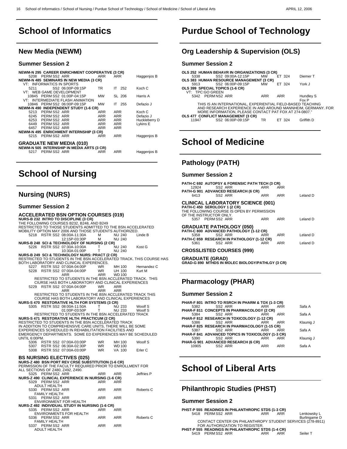## **School of Informatics**  $\overline{a}$

## **New Media (NEWM)**

### **Summer Session 2**

| <b>NEWM-N 295 CAREER ENRICHMENT COOPERATIVE (3 CR)</b><br>5208 PERMSS2 ARR<br>NEWM-N 485 SEMINARS IN NEW MEDIA (3 CR)<br>VT: INFORMATICS IN SPORTS                                                    | ARR                                    | ARR                                    | Haggenjos B                                      |
|-------------------------------------------------------------------------------------------------------------------------------------------------------------------------------------------------------|----------------------------------------|----------------------------------------|--------------------------------------------------|
| SS2 06:00P-09:15P<br>5211<br>VT: WEB GAME DEVELOPMENT                                                                                                                                                 | TR.                                    | $IT$ 252                               | Koch C                                           |
| 10845 PERM SS2 01:00P-04:15P<br>VT: INTERMEDIATE FLASH ANIMATION                                                                                                                                      | <b>MW</b>                              | SL 206                                 | Harris A                                         |
| 10846 PERM SS2 06:00P-09:15P                                                                                                                                                                          | <b>MW</b>                              | $IT$ 255                               | Defazio J                                        |
| <b>NEWM-N 490 INDEPENDENT STUDY (1-6 CR)</b><br>5213 PERMSS2 ARR<br>6245 PERMSS2 ARR<br>6253 PERM SS2 ARR<br>6449 PERM SS2 ARR<br>6457 PERM SS2 ARR<br><b>NEWM-N 495 ENRICHMENT INTERNSHIP (3 CR)</b> | ARR<br>ARR<br>ARR<br>ARR<br><b>ARR</b> | ARR<br>ARR<br>ARR<br>ARR<br><b>ARR</b> | Koch C<br>Defazio J<br>Huckleberry D<br>Lykins E |
| PERM SS2 ARR<br>5215                                                                                                                                                                                  | <b>ARR</b>                             | <b>ARR</b>                             | Haggenjos B                                      |
| <b>GRADUATE NEW MEDIA (010)</b><br>NEWM-N 505 INTERNSHIP IN MEDIA ARTS (3 CR)<br>PERM SS2 ARR<br>5217                                                                                                 | <b>ARR</b>                             | ARR                                    | Haggenjos B                                      |

## **School of Nursing**  $\overline{a}$

## **Nursing (NURS)**

### **Summer Session 2**

| <b>ACCELERATED BSN OPTION COURSES (019)</b>                          |              |               |                    |
|----------------------------------------------------------------------|--------------|---------------|--------------------|
| NURS-B 232 INTRO TO DISCIPLINE (3 CR)                                |              |               |                    |
| THE FOLLOWING COURSES B232, B248, AND B249                           |              |               |                    |
| RESTRICTED TO THOSE STUDENTS ADMITTED TO THE BSN ACCELERATED         |              |               |                    |
| MOBILITY OPTION MAY 2006 AND THOSE STUDENTS AUTHORIZED.              |              |               |                    |
| RSTR SS2 08:00A-11:30A<br>5218                                       | м            | <b>NU 240</b> | Linde B            |
| 12:15P-03:30P                                                        | м            | <b>NU 240</b> |                    |
| NURS-B 248 SCI & TECHNOLOGY OF NURSING (2 CR)                        |              |               |                    |
| 5226 RSTR SS2 07:30A-10:00A                                          | T.           | <b>NU 240</b> | Kost G             |
| 10:30A-01:00P                                                        | T            | <b>NU 240</b> |                    |
| NURS-B 249 SCI & TECHNOLOGY NURS: PRACT (2 CR)                       |              |               |                    |
| RESTRICTED TO STUDENTS IN THE BSN ACCELERATED TRACK. THIS COURSE HAS |              |               |                    |
| BOTH LABORATORY AND CLINICAL EXPERENCES.                             |              |               |                    |
| 5227 RSTR SS2 07:00A-04:00P                                          | WR .         | MH 100        | Hernandez C        |
| 5228<br>RSTR SS2 07:00A-04:00P                                       | WR           | UH 100        | Kurt M             |
| ARR                                                                  | ARR          | <b>WD100</b>  |                    |
| RESTRICTED TO STUDENTS IN THE BSN ACCLERATED TRACK. THIS             |              |               |                    |
| CIURSE HAS BOTH LABORATORY AND CLINICAL EXPERIENCES                  |              |               |                    |
| RSTR SS2 07:00A-04:00P<br>5229                                       | <b>WR</b>    | <b>ARR</b>    |                    |
| <b>ARR</b>                                                           | ARR          | <b>ARR</b>    |                    |
| RESTRICTED TO STUDENTS IN THE BSN ACCLERATED TRACK THIS              |              |               |                    |
| COURSE HAS BOTH LABORATORY AND CLINICAL EXPERIENCES                  |              |               |                    |
| <b>NURS-S 470 RESTORATIVE HLTH FOR SYSTEMS (3 CR)</b>                |              |               |                    |
| 5305 RSTR SS2 08:00A-11:50A                                          | T.           | <b>NU 233</b> | Woolf S            |
|                                                                      | $\mathsf{T}$ |               |                    |
| 01:00P-03:50P<br>RESTRICTED TO STUDENTS IN THE BSN ACCELERATED TRACK |              | NU 233        | Woolf S            |
|                                                                      |              |               |                    |
| <b>NURS-S 471 RESTORATIVE HLTH: PRACTICUM (2 CR)</b>                 |              |               |                    |
| RESTRICTED TO STUDENTS IN THE BSN ACCELERATED TRACK                  |              |               |                    |
| IN ADDITION TO COMPREHENSIVE CARE UNITS, THERE WILL BE SOME          |              |               |                    |
| EXPERIENCES SCHEDULED IN REHABILITATION FACILITIES AND               |              |               |                    |
| EMERGENCY DEPARTMENTS. SOME ED EXPERIENCES MAY BE SCHEDULED          |              |               |                    |
| UNTIL 6:00PM.                                                        |              |               |                    |
| 5306 RSTR SS2 07:00A-03:00P                                          | WR.          | MH 100        | Woolf S            |
| 5307 RSTR SS2 06:30A-02:30P                                          | WR<br>WR     | WD 100        |                    |
| 5308 RSTR SS2 07:00A-03:00P                                          |              | VA 100        | Erler <sub>C</sub> |
|                                                                      |              |               |                    |
| <b>BS NURSING ELECTIVES (025)</b>                                    |              |               |                    |
| NURS-Z 480 BSN PORT REV CRSÈ SUBSTITUTION (1-6 CR)                   |              |               |                    |
| PERMISSION OF THE FACULTY REQUIRED PRIOR TO ENROLLMENT FOR           |              |               |                    |
| ALL SECTIONS OF Z480, Z492, Z490.                                    |              |               |                    |
| 5325 PERMSS2 ARR                                                     | <b>ARR</b>   | <b>ARR</b>    | Jeffries P         |
| NURS-Z 490 CLINICAL EXPERIENCE IN NURSING (1-6 CR)                   |              |               |                    |
| 5329 PERMSS2 ARR                                                     | ARR          | <b>ARR</b>    |                    |
| ADULT HEALTH                                                         |              |               |                    |
| 5330 PERM SS2 ARR                                                    | ARR          | ARR           | Roberts C          |
| <b>FAMILY HEALTH</b>                                                 |              |               |                    |
| PERMSS2 ARR<br>5331                                                  | ARR          | ARR           |                    |
| <b>ENVIRONMENT FOR HEALTH</b>                                        |              |               |                    |
| NURS-Z 492 INDIVIDUAL STUDY IN NURSING (1-6 CR)                      |              |               |                    |
| 5335 PERM SS2 ARR                                                    | ARR          | ARR           |                    |
| <b>ENVIRONMENTS FOR HEALTH</b>                                       |              |               |                    |
| PERM SS2 ARR<br>5336                                                 | ARR          | ARR           | Roberts C          |
| <b>FAMILY HEALTH</b>                                                 |              |               |                    |
| 5337 PERM SS2 ARR                                                    | ARR          | <b>ARR</b>    |                    |
| ADULT HEALTH                                                         |              |               |                    |

# **Purdue School of Technology**

## **Org Leadership & Supervision (OLS)**

### **Summer Session 2**

 $\overline{a}$ 

 $\overline{a}$ 

 $\overline{a}$ 

 $\overline{a}$ 

| OLS 252 HUMAN BEHAVR IN ORGANIZATIONS (3 CR) |                                                             |  |            |            |                                                              |
|----------------------------------------------|-------------------------------------------------------------|--|------------|------------|--------------------------------------------------------------|
| 5338                                         | SS2 09:00A-12:15P                                           |  | <b>MW</b>  | ET 324     | Diemer T                                                     |
|                                              | <b>OLS 383 HUMAN RESOURCE MANAGEMENT (3 CR)</b>             |  |            |            |                                                              |
| 5913                                         | SS2 06:00P-09:15P                                           |  | <b>MW</b>  | ET 324     | York J                                                       |
|                                              | OLS 399 SPECIAL TOPICS (1-6 CR)                             |  |            |            |                                                              |
|                                              | VT: TPC:GO GREEN                                            |  |            |            |                                                              |
|                                              | 5342 PERM NS2 ARR                                           |  | <b>ARR</b> | <b>ARR</b> | Hundley S                                                    |
|                                              |                                                             |  |            |            | Fox P                                                        |
|                                              | THIS IS AN INTERNATIONAL, EXPERIENTIAL FIELD-BASED TEACHING |  |            |            |                                                              |
|                                              |                                                             |  |            |            | AND RESEARCH EXPERIENCE IN AND AROUND MANNHEIM, GERMANY. FOR |
|                                              | MORE INFORMATION, PLEASE CONTACT PAT FOX AT 274-0807."      |  |            |            |                                                              |
|                                              | <b>OLS 477 CONFLICT MANAGEMENT (3 CR)</b>                   |  |            |            |                                                              |
| 11947                                        | SS2 06:00P-09:15P                                           |  | <b>TR</b>  | ET 324     | Griffith D                                                   |
|                                              |                                                             |  |            |            |                                                              |
|                                              |                                                             |  |            |            |                                                              |

# **School of Medicine**

## **Pathology (PATH)**

### **Summer Session 2**

|                                                                            |                   | PATH-C 692 AUTOPSY & FORENSIC PATH TECH (3 CR)<br>12924 SS2 ARR<br>PATH-G 901 ADVANCED RESEARCH (6 CR) | ARR ARR    |     |          |
|----------------------------------------------------------------------------|-------------------|--------------------------------------------------------------------------------------------------------|------------|-----|----------|
|                                                                            | 6413 SS2 ARR      |                                                                                                        | ARR        | ARR | Leland D |
| PATH-C 450 SEROLOGY 1 (2 CR)<br>OF THE INSTRUCTOR ONLY.                    |                   | <b>CLINICAL LABORATORY SCIENCE (001)</b><br>THE FOLLOWING COURSE IS OPEN BY PERMISSION                 |            |     |          |
|                                                                            | 5357 PERM SS2 ARR |                                                                                                        | <b>ARR</b> | ARR | Leland D |
|                                                                            |                   | GRADUATE PATHOLOGY (050)<br>PATH-C 800 ADVANCED PATHOLOGY (1-12 CR)                                    |            |     |          |
| 5358 — 100                                                                 |                   | SS2 ARR FOR THE SS2 ARR                                                                                | ARR        | ARR | Leland D |
|                                                                            | 5361 SS2 ARR      | PATH-C 859 RESEARCH IN PATHOLOGY (1-12 CR)                                                             | ARR        | ARR | Leland D |
|                                                                            |                   | <b>CROSSLISTED COURSES (999)</b>                                                                       |            |     |          |
| <b>GRADUATE (GRAD)</b><br>GRAD-G 890 MTHDS IN MOLEC BIOLOGY/PATHLGY (3 CR) |                   |                                                                                                        |            |     |          |

## **Pharmacology (PHAR)**

#### **Summer Session 2**

|       | PHAR-F 801 INTRO TO RSRCH IN PHARM & TOX (1-3 CR) |            |     |           |
|-------|---------------------------------------------------|------------|-----|-----------|
| 5382  | SS2 ARR                                           | <b>ARR</b> | ARR | Safa A    |
|       | PHAR-F 811 CONCEPTS IN PHARMACOLOGY (2 CR)        |            |     |           |
| 5384  | SS2 ARR                                           | ARR        | ARR | Safa A    |
|       | PHAR-F 812 RESEARCH IN TOXICOLOGY (1-12 CR)       |            |     |           |
| 5386  | SS2 ARR FOR THE SS2 ARR                           | ARR        | ARR | Klaunig J |
|       | PHAR-F 825 RESEARCH IN PHARMACOLOGY (1-15 CR)     |            |     |           |
| 5387  | SS2 ARR                                           | ARR ARR    |     | Safa A    |
|       | PHAR-F 841 ADVANCED TOPICS IN TOXICOLOGY (1-3 CR) |            |     |           |
| 5390  | SS2 ARR                                           | ARR        | ARR | Klaunig J |
|       | PHAR-G 901 ADVANCED RESEARCH (6 CR)               |            |     |           |
| 10905 | SS <sub>2</sub> ARR                               | <b>ARR</b> | ARR | Safa A    |
|       |                                                   |            |     |           |
|       |                                                   |            |     |           |

# **School of Liberal Arts**

## **Philanthropic Studies (PHST)**

|  |                  | PHST-P 555 READINGS IN PHILANTHROPIC STDS (1-3 CR) |     |     |                                                                            |
|--|------------------|----------------------------------------------------|-----|-----|----------------------------------------------------------------------------|
|  | 5418 PERMSS2 ARR |                                                    | ARR | ARR | Lenkowsky L                                                                |
|  |                  |                                                    |     |     | Burlingame D<br>CONTACT CENTER ON PHILANTHROPY STUDENT SERVICES (278-8911) |
|  |                  | FOR AUTHORIZATION TO REGISTER.                     |     |     |                                                                            |
|  |                  | PHST-P 555 READINGS IN PHILANTHROPIC STDS (1-4 CR) |     |     |                                                                            |
|  | 5419 PERMSS2 ARR |                                                    | ARR | ARR | Seiler T                                                                   |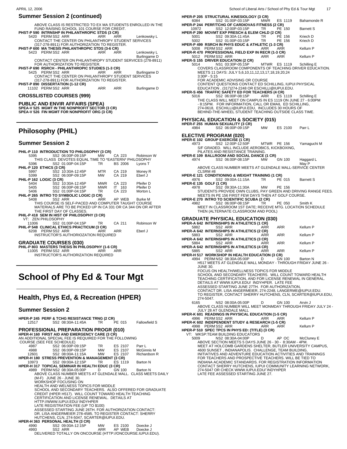|                                               | ABOVE CLASS IS RESTRICTED TO EX MA STUDENTS ENROLLED IN THE                                                                                                                                                                                                                                                                                                                                 |
|-----------------------------------------------|---------------------------------------------------------------------------------------------------------------------------------------------------------------------------------------------------------------------------------------------------------------------------------------------------------------------------------------------------------------------------------------------|
|                                               |                                                                                                                                                                                                                                                                                                                                                                                             |
|                                               |                                                                                                                                                                                                                                                                                                                                                                                             |
|                                               | Lenkowsky L                                                                                                                                                                                                                                                                                                                                                                                 |
|                                               |                                                                                                                                                                                                                                                                                                                                                                                             |
|                                               |                                                                                                                                                                                                                                                                                                                                                                                             |
|                                               |                                                                                                                                                                                                                                                                                                                                                                                             |
|                                               | Lenkowsky L                                                                                                                                                                                                                                                                                                                                                                                 |
|                                               | Burlingame D                                                                                                                                                                                                                                                                                                                                                                                |
|                                               | CONTACT CENTER ON PHILANTHROPY STUDENT SERVICES (278-8911)                                                                                                                                                                                                                                                                                                                                  |
|                                               |                                                                                                                                                                                                                                                                                                                                                                                             |
|                                               |                                                                                                                                                                                                                                                                                                                                                                                             |
|                                               | Burlingame D                                                                                                                                                                                                                                                                                                                                                                                |
|                                               |                                                                                                                                                                                                                                                                                                                                                                                             |
|                                               | CONTACT THE CENTER ON PHILANTHROPY STUDENT SERVICES                                                                                                                                                                                                                                                                                                                                         |
| (317-278-8911) FOR AUTHORIZATION TO REGISTER. |                                                                                                                                                                                                                                                                                                                                                                                             |
|                                               |                                                                                                                                                                                                                                                                                                                                                                                             |
| ARR ARR                                       | Burlingame D                                                                                                                                                                                                                                                                                                                                                                                |
|                                               |                                                                                                                                                                                                                                                                                                                                                                                             |
| FOR AUTHORIZATION TO REGISTER.                | FUND RAISING SCHOOL 101 COURSE FOR CREDIT.<br>PHST-P 590 INTRNSHP IN PHILANTHROPIC STDS (3 CR)<br>5420 PERM SS2 ARR ARR ARR ARR<br>CONTACT THE CENTER ON PHILANTHROPY STUDENT SERVICES<br>(317-278-8911) FOR AUTHORIZATION TO REGISTER.<br>PHST-P 600 MA THESIS PHILANTHROPIC STDS (3-6 CR)<br>ARR ARR<br>PHST-P 690 RSRCH - PHILANTHROPIC STUDIES (1-3 CR)<br>5425 PERMSS2 ARR ARR ARR ARR |

## **Philosophy (PHIL)**

#### **Summer Session 2**

|                          | PHIL-P 110 INTRODUCTION TO PHILOSOPHY (3 CR)                  |           |                |            |
|--------------------------|---------------------------------------------------------------|-----------|----------------|------------|
| 5395                     | SS2 06:00P-09:15P                                             | <b>MW</b> | CA 223         | Robinson W |
|                          | THIS CLASS DEVOTES EQUAL TIME TO *EASTERN* PHILOSOPHY         |           |                |            |
| 5396                     | SS2 01:00P-04:15P TR                                          |           | <b>BS 2006</b> | Lyons T    |
| PHIL-P 120 ETHICS (3 CR) |                                                               |           |                |            |
| 5997                     | SS2 10:30A-12:45P                                             | MTR L     | CA 219         | Money R    |
| 5399                     | SS2 06:00P-09:15P                                             | <b>MW</b> | CA 219         | Eberl J    |
| PHIL-P 162 LOGIC (3 CR)  |                                                               |           |                |            |
|                          | 5404 SS2 10:30A-12:45P MWR                                    |           | CA 223         | Pfeifer D  |
|                          | 5405 SS2 06:00P-08:15P MWR                                    |           | IT 163         | Pfeifer D  |
|                          | 5406 SS2 01:00P-04:15P TR                                     |           | CA 223         | Morton L   |
|                          | PHIL-P 265 INTRO TO SYMBOLIC LOGIC (3 CR)                     |           |                |            |
| 5408                     | SS2 ARR ARR ARR                                               |           | AP WEB         | Burke M    |
|                          | THIS COURSE IS SELF-PACED AND COMPUTER TAUGHT COURSE          |           |                |            |
|                          | MATERIALS ARE TO BE PICKED UP IN CA 331 OR CA 344 ON OR AFTER |           |                |            |
|                          | THE FIRST DAY OF CLASSES.                                     |           |                |            |
|                          | PHIL-P 418 SEM IN HIST OF PHILOSOPHY (3 CR)                   |           |                |            |
| VT: ZEN PHILOSOPHY       |                                                               |           |                |            |
| 11006                    | SS2 01:00P-04:15P TR                                          |           | CA 211         | Robinson W |
|                          | PHIL-P 548 CLINICAL ETHICS PRACTICUM (3 CR)                   |           |                |            |
|                          | 6208 PERM SS2 ARR                                             | ARR       | ARR            | Eberl J    |
|                          | INSTRUCTOR'S AUTHORIOZATION REQUIRED                          |           |                |            |
|                          |                                                               |           |                |            |

# **School of Phy Ed & Tour Mgt**

## **Health, Phys Ed, & Recreation (HPER)**

#### **Summer Session 2**

| 12517                     | <b>HPER-P 245 PERF &amp; TCHG RESISTANCE TRNG (2 CR)</b><br>SS2 08:30A-11:45A TR                                                                                                 |        | PE 015 Fallowfield S                                                                                                 |
|---------------------------|----------------------------------------------------------------------------------------------------------------------------------------------------------------------------------|--------|----------------------------------------------------------------------------------------------------------------------|
| COURSE (SEE FEE SCHEDULE) | <b>PROFESSIONAL PREPARATION PROGR (010)</b><br>HPER-H 160 FIRST AID AND EMERGENCY CARE (3 CR)<br>AN ADDITIONAL SPECIAL FEE IS REQUIRED FOR THE FOLLOWING                         |        |                                                                                                                      |
|                           | 4987   SS2   06:00P-09:15P   TR   ES   2107<br>4988   SS2   06:00P-09:15P   MW   ES   2107<br>12601   SS2   08:00A-11:15A   MW   ES   2107                                       |        | Parr L<br>McGinnis M<br>Richardson R                                                                                 |
| 10973                     | <b>HPER-H 180 STRESS PREVENTION &amp; MANAGEMENT (3 CR)</b><br>SS2 09:00A-12:15P TR<br>HPER-H 317 TOPICAL SEMINAR IN HEALTH EDUC (3 CR)                                          |        | ÉS 1119 Barton N                                                                                                     |
|                           | 4989 PERM NS2 08:30A-05:00P D<br>(M-F) JUNE 26 - JUNE 30.<br>WORKSHOP FOCUSING ON                                                                                                | GN 100 | Barton N<br>ABOVE CLASS NUMBER MEETS AT GLENDALE MALL. CLASS MEETS DAILY                                             |
|                           | HEALTH AND WELNESS TOPICS FOR MIDDLE<br>CREDIT (HPER H517). WILL COUNT TOWARD HEALTH TEACHING<br>CERTIFICATION AND LICENSE RENEWAL. DETAILS AT<br>HTTP://WWW.IUPUI.EDU/ INDYHPER |        | SCHOOL AND SECONDARY TEACHERS. ALSO OFFERED FOR GRADUATE                                                             |
|                           | LATE REGISTRATION FEE (UP TO \$100)<br>HUTCHENS, CLN, 274-5047, SCARTER@IUPUI.EDU.                                                                                               |        | ASSESSED STARTING JUNE 26TH. FOR AUTHORIZATION CONTACT:<br>DR. LISA ANGERMEIER 278-4585. TO REGISTER CONTACT: SHERRY |
|                           | <b>HPER-H 363 PERSONAL HEALTH (3 CR)</b><br>4990 SS2 09:00A-12:15P MW ES 2100 Doecke J<br>4993 SS2 ARR ARR AP WEB Doecke J                                                       |        | DELIVERED TOTALLY ON ONCOURSE (HTTP://ONCOURSE.IUPUI.EDU).                                                           |

| APRIL 12, 2006                                                                                                                                        | 17<br>School of Liberal Arts / School of Phy Ed & Tour Mgt                                                                                                                         |
|-------------------------------------------------------------------------------------------------------------------------------------------------------|------------------------------------------------------------------------------------------------------------------------------------------------------------------------------------|
| <b>Summer Session 2 (continued)</b>                                                                                                                   | <b>HPER-P 205 STRUCTURAL KINESIOLOGY (3 CR)</b>                                                                                                                                    |
| ABOVE CLASS IS RESTRICTED TO EX MA STUDENTS ENROLLED IN THE<br>FUND RAISING SCHOOL 101 COURSE FOR CREDIT.                                             | 6084<br>SS2 01:00P-03:15P<br><b>MWR</b><br>ES 1119<br>Bahamonde R<br>HPER-P 244 PERF/TCHG OF CARDIOVAS FITNESS (2 CR)                                                              |
| PHST-P 590 INTRNSHP IN PHILANTHROPIC STDS (3 CR)<br>5420 PERM SS2 ARR<br>ARR<br>Lenkowsky L                                                           | SS2 12:00P-03:15P<br>PE 150<br>10972<br>TR<br><b>Barnett S</b><br>HPER-P 290 MOVMT EXP PRESCH & ELEM CHLD (2 CR)<br>5001<br>TR<br>PE 156                                           |
| ARR<br>CONTACT THE CENTER ON PHILANTHROPY STUDENT SERVICES<br>(317-278-8911) FOR AUTHORIZATION TO REGISTER.                                           | SS2 09:30A-11:45A<br>Kriech D<br>SS2 01:00P-03:15P<br>5002<br>TR<br>PE 156<br>Kriech D<br>HPER-P 499 RSRCH IN PHYS EDUC & ATHLETIC (1-3 CR)                                        |
| PHST-P 600 MA THESIS PHILANTHROPIC STDS (3-6 CR)<br>5423 PERMSS2 ARR<br>ARR<br><b>ARR</b><br>Lenkowsky L                                              | 5008 PERM SS2 ARR<br>ARR<br>ARR<br>Kellum P<br>HPER-R 470 PROFESSIONAL FIELD EXP IN RECR (1-3 CR)                                                                                  |
| Burlingame D<br>CONTACT CENTER ON PHILANTHROPY STUDENT SERVICES (278-8911)                                                                            | 5012 PERM SS2 ARR<br>ARR<br>ARR<br>Kellum P<br>HPER-S 155 DRIVER EDUCATION (2 CR)                                                                                                  |
| FOR AUTHORIZATION TO REGISTER.<br>PHST-P 690 RSRCH - PHILANTHROPIC STUDIES (1-3 CR)<br>5425 PERM SS2 ARR<br>ARR<br>ARR<br>Burlingame D                | NS1 03:30P-05:15P<br><b>MTWR ES 1119</b><br>Schilling E<br>5014<br>COVERS CLASSROOM COMPONENTS OF TEACHING DRIVER EDUCATION.<br>MEETS 11 DAYS: JULY 5,6,10,11,12,13,17,18,19,20,24 |
| CONTACT THE CENTER ON PHILANTHROPY STUDENT SERVICES<br>(317-278-8911) FOR AUTHORIZATION TO REGISTER.                                                  | $3:30P - 5:15$<br>FOR ACADEMIC ADVISING OR COURSE                                                                                                                                  |
| PHST-P 890 DISSERTATION (1-12 CR)<br><b>ARR</b><br><b>ARR</b><br>11102 PERMSS2 ARR<br>Burlingame D                                                    | CONTENT QUESTIONS CONTACT ED SCHILLING, IUPUI PHYSICAL<br>EDUCATION, (317)274-2248 OR ESCHILLI@IUPUI.EDU.                                                                          |
| <b>CROSSLISTED COURSES (999)</b>                                                                                                                      | <b>HPER-S 456 TRAFFIC SAFETY ED FOR TEACHERS (4 CR)</b><br>SS2 06:00P-08:15P<br>5016<br>ARR<br>ES 1119<br>Schilling E                                                              |
| <b>PUBLIC AND ENVIR AFFAIRS (SPEA)</b>                                                                                                                | THE CLASS WILL MEET ON CAMPUS IN ES 1119 ON JUNE 27 - 6:00PM<br>- 8:15PM. FOR INFORMATION, CALL OR EMAIL ED SCHILLING,                                                             |
| SPEA-V 525 MGMT IN THE NONPROFIT SECTOR (3 CR)<br>SPEA-V 526 FIN MGMT FOR NONPROFIT ORG (3 CR)                                                        | 274-0618, ESCHILLI@IUPUI.EDU, INCLUDES 30 HOURS OF<br>BEHIND-THE-WHEEL STUDENT TEACHING OUTSIDE CLASS TIME.                                                                        |
|                                                                                                                                                       | <b>PHYSICAL EDUCATION &amp; SOCIETY (015)</b>                                                                                                                                      |
|                                                                                                                                                       | HPER-F 255 HUMAN SEXUALITY (3 CR)<br>4984<br>SS2 06:00P-09:15P<br>MW<br>ES 2100<br>Parr L                                                                                          |
| <b>Philosophy (PHIL)</b>                                                                                                                              | <b>ELECTIVE PROGRAM (020)</b>                                                                                                                                                      |
| <b>Summer Session 2</b>                                                                                                                               | HPER-E 102 GROUP EXERCISE (1 CR)<br>4973<br>SS2 12:00P-12:50P<br>MTWR PE 156<br>Yamaguchi M                                                                                        |
| PHIL-P 110 INTRODUCTION TO PHILOSOPHY (3 CR)                                                                                                          | S/F GRADED. WILL INCLUDE AEROBICS, KICKBOXING,<br>PILATES AND RESISTANCE TRAINING.                                                                                                 |
| 5395<br>SS2 06:00P-09:15P<br>МW<br>CA 223<br>Robinson W<br>THIS CLASS DEVOTES EQUAL TIME TO *EASTERN* PHILOSOPHY                                      | HPER-E 109 BALLROOM AND SOCIAL DANCE (1 CR)<br>GN 100<br>SS2 06:00P-08:15P<br>4974<br>MW<br>Haggard L                                                                              |
| SS2 01:00P-04:15P<br>TR<br><b>BS 2006</b><br>Lyons T<br>5396<br>PHIL-P 120 ETHICS (3 CR)<br><b>MTR</b><br>CA 219                                      | May P<br>ABOVE CLASS NUMBER MEETS AT GLENDALE MALL-SERVICE CENTER<br>CLSRM#8                                                                                                       |
| SS2 10:30A-12:45P<br>5997<br>Money R<br>5399<br>SS2 06:00P-09:15P<br>CA 219<br>MW<br>Eberl J<br>PHIL-P 162 LOGIC (3 CR)                               | HPER-E 121 CONDITIONING & WEIGHT TRAINING (1 CR)<br>4976<br>SS2 09:00A-11:15A<br>TR<br>PE 015<br><b>Barnett S</b>                                                                  |
| CA 223<br>SS2 10:30A-12:45P<br><b>MWR</b><br>Pfeifer D<br>5404<br><b>MWR</b><br>IT 163<br>5405<br>SS2 06:00P-08:15P<br>Pfeifer D                      | HPER-E 135 GOLF (1 CR)<br>4978<br>SS2 09:30A-11:30A<br>МW<br>PE 156                                                                                                                |
| CA 223<br>5406<br>SS2 01:00P-04:15P<br>TR<br>Morton L<br>PHIL-P 265 INTRO TO SYMBOLIC LOGIC (3 CR)                                                    | STUDENTS PROVIDE OWN CLUBS, PAY GREEN AND DRIVING RANGE FEES.<br>MEETS IN PE 156 FIRST FEW DAYS THEN AT GOLF COURSE.                                                               |
| 5408<br>SS2 ARR<br>ARR<br>AP WEB<br>Burke M<br>THIS COURSE IS SELF-PACED AND COMPUTER TAUGHT COURSE                                                   | <b>HPER-E 270 INTRO TO SCIENTIFIC SCUBA (2 CR)</b><br>4982<br>SS2 06:00P-08:15P<br>TR<br>PE 050<br>Smith K                                                                         |
| MATERIALS ARE TO BE PICKED UP IN CA 331 OR CA 344 ON OR AFTER<br>THE FIRST DAY OF CLASSES.                                                            | MEET IN CLASSROOM 1ST DATE; RECEIVE MTG. LOCATION SCHEDULE<br>THEN (ALTERNATE CLASSROOM AND POOL)                                                                                  |
| PHIL-P 418 SEM IN HIST OF PHILOSOPHY (3 CR)<br>VT: ZEN PHILOSOPHY                                                                                     | <b>GRADUATE PHYSICAL EDUCATION (030)</b>                                                                                                                                           |
| 11006<br>SS2 01:00P-04:15P<br>CA 211<br>TR<br>Robinson W<br>PHIL-P 548 CLINICAL ETHICS PRACTICUM (3 CR)                                               | HPER-A 642 INTERNSHIPS IN ATHLETICS (1 CR)<br>5882<br>SS2 ARR<br>ARR<br>Kellum P<br>ARR                                                                                            |
| <b>ARR</b><br>6208 PERM SS2 ARR<br>Eberl J<br>ARR<br>INSTRUCTOR'S AUTHORIOZATION REQUIRED                                                             | <b>HPER-A 642 INTERNSHIPS IN ATHLETICS (2 CR)</b><br><b>ARR</b><br>5883<br>SS2 ARR<br>ARR<br>Kellum P                                                                              |
| <b>GRADUATE COURSES (030)</b>                                                                                                                         | HPER-A 642 INTERNSHIPS IN ATHLETICS (3 CR)<br>SS2 ARR<br><b>ARR</b><br>5884<br>ARR<br>Kellum P                                                                                     |
| PHIL-P 803 MASTERS THESIS IN PHILOSOPHY (1-6 CR)<br>11005 PERM SS2 ARR<br>ARR<br>ARR                                                                  | HPER-A 642 INTERNSHIPS IN ATHLETICS (4 CR)<br>SS2 ARR<br>ARR<br>Kellum P<br>5885<br>ARR                                                                                            |
| INSTRUCTOR'S AUTHORIZATION REQUIRED                                                                                                                   | HPER-H 517 WORKSHOP IN HEALTH EDUCATION (3 CR)<br>4994 PERM NS2 08:30A-05:00P D GN 100<br>Barton N                                                                                 |
|                                                                                                                                                       | H517 MEETS AT GLENDALE MALL MONDAY - THROUGH FRIDAY JUNE 26 -<br><b>JUNE 30.</b>                                                                                                   |
| <b>School of Phy Ed &amp; Tour Mgt</b>                                                                                                                | FOCUS ON HEALTH/WELLNESS TOPICS FOR MIDDLE<br>SCHOOL AND SECONDARY TEACHERS. WILL COUNT TOWARD HEALTH<br>TEACHING CERTIFICATION, AND FOR LICENSE RENEWAL IN GENERAL.               |
|                                                                                                                                                       | DETAILS AT WWW.IUPUI.EDU/ INDYHPER. LATE FEE<br>ASSESSED STARTING JUNE 27TH. FOR AUTHORIZATION,                                                                                    |
|                                                                                                                                                       | CONTACT DR. LISA ANGERMEIER, 274-2248, LANGERME@IUPUI.EDU.<br>TO REGISTER, CONTACT SHERRY HUTCHENS, CLN, SCARTER@IUPUI.EDU,                                                        |
| Health, Phys Ed, & Recreation (HPER)                                                                                                                  | 274-5047.<br>NS2 08:00A-05:00P<br>D<br>6165<br>GN 100<br>Arvin J                                                                                                                   |
| <b>Summer Session 2</b>                                                                                                                               | ABOVE CLASS NUMBER WILL MEET MONMDAY THROUGH FRIDAY JULY 24 -<br>JULY 28 AT GLENDALE MALL                                                                                          |
| HPER-P 245 PERF & TCHG RESISTANCE TRNG (2 CR)                                                                                                         | <b>HPER-K 601 READINGS IN PHYSICAL EDUCATION (1-5 CR)</b><br>4996 PERMSS2 ARR<br>Kellum P<br>ARR<br>ARR                                                                            |
| SS2 08:30A-11:45A<br>12517<br>TR<br>PE 015<br><b>Fallowfield S</b>                                                                                    | HPER-K 602 INDEPENDENT STUDY & RESEARCH (1-5 CR)<br>4998 PERM SS2 ARR<br>ARR<br>ARR<br>Kellum P                                                                                    |
| <b>PROFESSIONAL PREPARATION PROGR (010)</b><br>HPER-H 160 FIRST AID AND EMERGENCY CARE (3 CR)                                                         | HPER-P 510 SPEC TPCS IN PHYS ED: (TITLE) (3 CR)<br>VT: WKSP:TEAM BUILDING EDUCATORS                                                                                                |
| AN ADDITIONAL SPECIAL FEE IS REQUIRED FOR THE FOLLOWING<br>COURSE (SEE FEE SCHEDULE)                                                                  | NS2 08:30A-04:00P<br>AP OC<br>5009<br>D<br>McCluney E<br>ABOVE SECTION MEETS 5 DAYS JUNE 26 - 30 - 8:30AM - 4PM.                                                                   |
| 4987<br>SS2 06:00P-09:15P<br>TR<br>ES 2107<br>Parr L<br>ES 2107<br>4988<br>SS2 06:00P-09:15P<br>MW<br>McGinnis M                                      | MEET AT HOLCOMB GARDENS SHELTER, BUTLER UNIVERSITY CAMPUS,<br>4600 SUNSET, INDIANAPOLIS. CHALLENGE, TEAM BUILDING,                                                                 |
| MW<br>ES 2107<br>Richardson R<br>12601<br>SS2 08:00A-11:15A<br><b>HPER-H 180 STRESS PREVENTION &amp; MANAGEMENT (3 CR)</b><br>ES 1119<br>10973<br>TR. | INITIATIVES AND ADVENTURE EDUCATION ACTIVITIES AND TRAININGS<br>FOR TEACHERS AND PROSPECTIVE TEACHERS. WILL BE TIED TO                                                             |
| SS2 09:00A-12:15P<br>Barton N<br><b>HPER-H 317 TOPICAL SEMINAR IN HEALTH EDUC (3 CR)</b><br>4989 PERM NS2 08:30A-05:00P<br>D<br>GN 100<br>Barton N    | INDIANA ACADEMIC STANDARDS. FOR REGISTRATION INFORMATION<br>CONTACT SHERRY HUTCHENS, IUPUI COMMUNITY LEARNING NETWORK,<br>274-5047 OR CHECK WWW.IUPUI.EDU/INDYHPER                 |
| ABOVE CLASS NUMBER MEETS AT GLENDALE MALL. CLASS MEETS DAILY<br>(M-F) JUNE 26 - JUNE 30.                                                              | LATE FEE ASSESSED STARTING JUNE 27.                                                                                                                                                |
| WORKSHOP FOCUSING ON<br>HEALTH AND WELNESS TOPICS FOR MIDDLE                                                                                          |                                                                                                                                                                                    |
| SCHOOL AND SECONDARY TEACHERS. ALSO OFFERED FOR GRADUATE                                                                                              |                                                                                                                                                                                    |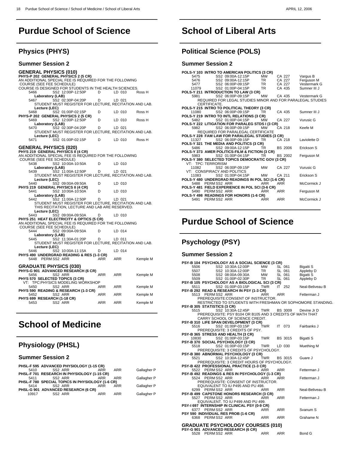# **Purdue School of Science**

## **Physics (PHYS)**

 $\overline{a}$ 

| Summer Session 2                                                                                                                                                                                                       |          |                      |          |
|------------------------------------------------------------------------------------------------------------------------------------------------------------------------------------------------------------------------|----------|----------------------|----------|
| <b>GENERAL PHYSICS (010)</b><br>PHYS-P 202 GENERAL PHYSICS 2 (5 CR)<br>AN ADDITIONAL SPECIAL FEE IS REQUIRED FOR THE FOLLOWING<br>COURSE (SEE FEE SCHEDULE)<br>COURSE IS DESIGNED FOR STUDENTS IN THE HEALTH SCIENCES. |          |                      |          |
| SS2 12:00P-12:50P<br>5466<br>Laboratory (LAB)<br>SS2 02:30P-04:20P<br>5467                                                                                                                                             | D<br>D   | LD 010<br>LD 021     | Ross H   |
| STUDENT MUST REGISTER FOR LECTURE, RECITATION AND LAB.<br>Lecture (LEC)                                                                                                                                                |          |                      |          |
| SS2 01:00P-02:15P<br>5468<br>PHYS-P 202 GENERAL PHYSICS 2 (5 CR)                                                                                                                                                       | D        | LD 010               | Ross H   |
| SS2 12:00P-12:50P<br>5469<br>Laboratory (LAB)                                                                                                                                                                          | D        | LD 010               | Ross H   |
| SS2 02:30P-04:20P<br>5470<br>STUDENT MUST REGISTER FOR LECTURE, RECITATION AND LAB.<br>Lecture (LEC)                                                                                                                   | D        | LD 021               |          |
| SS2 01:00P-02:15P<br>5471                                                                                                                                                                                              | D        | LD 010               | Ross H   |
| <b>GENERAL PHYSICS (020)</b><br>PHYS 219 GENERAL PHYSICS II (4 CR)<br>AN ADDITIONAL SPECIAL FEE IS REQUIRED FOR THE FOLLOWING<br>COURSE (SEE FEE SCHEDULE)                                                             |          |                      |          |
| 5438<br>SS2 10:00A-10:50A<br>Laboratory (LAB)                                                                                                                                                                          | D        | LD 010               |          |
| SS2 11:00A-12:50P<br>5439<br>STUDENT MUST REGISTER FOR LECTURE, RECITATION AND LAB.<br>Lecture (LEC)                                                                                                                   | D        | LD 021               |          |
| SS2 09:00A-09:50A<br>5440<br>PHYS 219 GENERAL PHYSICS II (4 CR)                                                                                                                                                        | D        | LD 010               |          |
| 5441<br>SS2 10:00A-10:50A<br>Laboratory (LAB)                                                                                                                                                                          | D        | LD 010               |          |
| SS2 11:00A-12:50P<br>5442<br>STUDENT MUST REGISTER FOR LECTURE, RECITATION AND LAB.<br>THIS RECITATION, LECTURE AND LAB ARE RESERVED.<br>Lecture (LEC)                                                                 | D        | LD 021               |          |
| SS2 09:00A-09:50A<br>5443<br>PHYS 251 HEAT ELECTRICITY & OPTICS (5 CR)                                                                                                                                                 | D        | LD 010               |          |
| AN ADDITIONAL SPECIAL FEE IS REQUIRED FOR THE FOLLOWING<br>COURSE (SEE FEE SCHEDULE)<br>5444<br>SS2 09:00A-09:50A                                                                                                      | D        | LD 014               |          |
| Laboratory (LAB)<br>SS2 11:30A-01:20P<br>5445                                                                                                                                                                          | D        | LD 011               |          |
| STUDENT MUST REGISTER FOR LECTURE, RECITATION AND LAB.<br>Lecture (LEC)                                                                                                                                                |          |                      |          |
| SS2 10:00A-11:15A<br>5446<br><b>PHYS 490 UNDERGRAD READING &amp; RES (1-3 CR)</b><br>5448 PERMSS2 ARR                                                                                                                  | D<br>ARR | LD 014<br><b>ARR</b> | Kemple M |
| <b>GRADUATE PHYSICS (030)</b><br>PHYS-G 901 ADVANCED RESEARCH (6 CR)                                                                                                                                                   |          |                      |          |
| SS2 ARR<br>5456<br>PHYS 570 SELECTED TOPICS (3 CR)<br>VT: TPC:PHYSICS MODELING WORKSHOP                                                                                                                                | ARR      | ARR                  | Kemple M |
| SS2 ARR<br>5450<br>PHYS 590 READING & RESEARCH (1-3 CR)                                                                                                                                                                | ARR      | ARR                  | Kemple M |
| SS2 ARR<br>5452<br>PHYS 699 RESEARCH (1-18 CR)                                                                                                                                                                         | ARR      | ARR                  | Kemple M |
| SS2 ARR<br>5453                                                                                                                                                                                                        | ARR      | ARR                  | Kemple M |

# **School of Medicine**

## **Physiology (PHSL)**

## **Summer Session 2**

 $\overline{a}$ 

|       | PHSL-F 595 ADVANCED PHYSIOLOGY (1-15 CR)         |            |            |             |
|-------|--------------------------------------------------|------------|------------|-------------|
| 5410  | SS <sub>2</sub> ARR                              | <b>ARR</b> | <b>ARR</b> | Gallagher P |
|       | PHSL-F 701 RESEARCH IN PHYSIOLOGY (1-15 CR)      |            |            |             |
| 5411  | SS <sub>2</sub> ARR                              | ARR        | ARR        | Gallagher P |
|       | PHSL-F 780 SPECIAL TOPICS IN PHYSIOLOGY (1-6 CR) |            |            |             |
| 5414  | SS <sub>2</sub> ARR                              | ARR        | ARR        | Gallagher P |
|       | PHSL-G 901 ADVANCED RESEARCH (6 CR)              |            |            |             |
| 10917 | SS <sub>2</sub> ARR                              | ARR        | ARR        | Gallagher P |

# **School of Liberal Arts**

## **Political Science (POLS)**

## **Summer Session 2**

 $\overline{a}$ 

|       | POLS-Y 103 INTRO TO AMERICAN POLITICS (3 CR)                                 |            |                |                     |
|-------|------------------------------------------------------------------------------|------------|----------------|---------------------|
| 5475  | SS2 09:00A-12:15P                                                            | MW         | CA 227         | Vargus B            |
| 5476  | SS2_09:00A-12:15P                                                            | TR .       | CA 227         | Ferguson M          |
| 5477  | SS2 06:00P-09:15P                                                            | <b>TR</b>  | CA 227         | Vestermark G        |
| 11079 | SS2 01:00P-04:15P                                                            | <b>TR</b>  | CA 435         | Sumner III J        |
|       | POLS-Y 211 INTRODUCTION TO LAW (3 CR)                                        |            |                |                     |
| 5981  | SS2 06:00P-09:15P                                                            | <b>MW</b>  |                | CA 435 Vestermark G |
|       | REQUIRED FOR LEGAL STUDIES MINOR AND FOR PARALEGAL STUDIES                   |            |                |                     |
|       | CERTIFICATE.                                                                 |            |                |                     |
|       | POLS-Y 215 INTRO TO POLITICAL THEORY (3 CR)                                  |            |                |                     |
| 11080 | SS2 06:00P-09:15P                                                            | TR         | CA 435         | Sumner III J        |
|       | POLS-Y 219 INTRO TO INTL RELATIONS (3 CR)                                    |            |                |                     |
| 5482  | SS2 01:00P-04:15P                                                            | <b>MW</b>  | CA 227         | Vurusic G           |
|       | POLS-Y 222 LITIGATION FOR PARALEG STDS I (3 CR)<br>5982 SS2 06:00P-09:15P MW |            |                |                     |
|       |                                                                              |            | CA 218         | Keefe M             |
|       | <b>REQUIRED FOR PARALEGAL CERTIFICATE</b>                                    |            |                |                     |
|       | POLS-Y 228 FAM LAW FOR PARALEGAL STUDIES (3 CR)                              |            |                |                     |
| 11327 | SS2 06:00P-09:15P                                                            | TR.        | CA 218         | Laviolette D        |
|       | POLS-Y 321 THE MEDIA AND POLITICS (3 CR)                                     |            |                |                     |
| 5486  | SS2 09:00A-12:15P                                                            | TR.        | <b>BS 2006</b> | Erickson S          |
|       | POLS-Y 373 AMER POLITICS-FILM & FICTION (3 CR)                               |            |                |                     |
|       | 5983 SS2 01:00P-04:15P TR                                                    |            | <b>BS 2002</b> | Ferguson M          |
|       | POLS-Y 380 SELECTED TOPICS DEMOCRATIC GOV (3 CR)                             |            |                |                     |
|       | VT: TPC: TERRORISM                                                           |            |                |                     |
| 11082 | SS2 06:00P-09:15P                                                            | <b>MW</b>  | CA 227         | Vurusic G           |
|       | VT: CONSPIRACY AND POLITICS                                                  |            |                |                     |
| 11083 | SS2 01:00P-04:15P                                                            | <b>MW</b>  | CA 211         | Erickson S          |
|       | POLS-Y 480 UNDERGRAD READINGS IN POL SCI (1-6 CR)                            |            |                |                     |
|       | 5488 PERMSS2 ARR                                                             | <b>ARR</b> | ARR            | McCormick J         |
|       | POLS-Y 481 FIELD EXPERIENCE IN POL SCI (3-6 CR)                              |            |                |                     |
|       | 5490 PERM SS2 ARR                                                            | <b>ARR</b> | ARR            | Ferguson M          |
|       | POLS-Y 498 READINGS FOR HONORS (1-6 CR)                                      |            |                |                     |
| 5491  | PERM SS2 ARR                                                                 | ARR        | <b>ARR</b>     | McCormick J         |
|       |                                                                              |            |                |                     |
|       |                                                                              |            |                |                     |

# **Purdue School of Science**

## **Psychology (PSY)**

#### **Summer Session 2**

 $\overline{a}$ 

| PSY-B 104 PSYCHOLOGY AS A SOCIAL SCIENCE (3 CR)             |                 |                |                  |
|-------------------------------------------------------------|-----------------|----------------|------------------|
| SS2 10:30A-12:00P<br>5506                                   | MW              | SL 061         | Bigatti S        |
| SS2 10:30A-12:00P<br>5507                                   | TR <sub>1</sub> | SL 061         | Appleby D        |
| SS2 08:00A-09:30A<br>5508                                   | MW              | SL 061         | <b>Bigatti S</b> |
| SS2 01:00P-02:30P<br>5509                                   | TR .            | SL 061         | Appleby D        |
| PSY-B 105 PSYCHOLOGY AS A BIOLOGICAL SCI (3 CR)             |                 |                |                  |
| SS2 01:00P-03:15P<br>5511                                   | <b>TWR</b>      | IT 252         | Neal-Beliveau B  |
| <b>PSY-B 292 READ &amp; RESEARCH IN PSY (1-3 CR)</b>        |                 |                |                  |
| 5513 PERMSS2 ARR                                            | <b>ARR</b>      | ARR            | Fetterman J      |
| PREREQUISITE: CONSENT OF INSTRUCTOR.                        |                 |                |                  |
| RESTRICTED TO STUDENTS WITH FRESHMAN OR SOPHOMORE STANDING. |                 |                |                  |
| PSY-B 305 STATISTICS (3 CR)                                 |                 |                |                  |
| SS2 10:30A-12:45P<br>5515                                   | TWR             | BS 3009        | Devine Jr D      |
| PREREQUISITE: PSY B104 OR B105 AND 3 CREDITS OF MATH THAT   |                 |                |                  |
| CARRY SCHOOL OF SCIENCE CREDIT.                             |                 |                |                  |
| PSY-B 310 LIFE SPAN DEVELOPMENT (3 CR)                      |                 |                |                  |
| SS2 01:00P-03:15P<br>5516                                   | TWR             | IT .<br>073    | Fairbanks J      |
| PREREQUISITE: 3 CREDITS OF PSY.                             |                 |                |                  |
| PSY-B 365 STRESS AND HEALTH (3 CR)                          |                 |                |                  |
| 10830<br>SS2 01:00P-03:15P                                  | <b>TWR</b>      | <b>BS 3015</b> | <b>Bigatti S</b> |
| PSY-B 370 SOCIAL PSYCHOLOGY (3 CR)                          |                 |                |                  |
| SS2 01:00P-03:15P<br>5518                                   | TWR             | LD 030         | Muething M       |
| PREREQUISITE: 3 CREDITS OF PSYCHOLOGY.                      |                 |                |                  |
| PSY-B 380 ABNORMAL PSYCHOLOGY (3 CR)                        |                 |                |                  |
| SS2 10:30A-12:45P<br>5521                                   | TWR             | <b>BS 3015</b> | Guare J          |
| PREREQUISITE: 3 CREDIT HOURS OF PSYCHOLOGY.                 |                 |                |                  |
| PSY-B 422 PROFESSIONAL PRACTICE (1-3 CR)                    |                 |                |                  |
| 5522 PERM SS2 ARR                                           | <b>ARR</b>      | ARR            | Fetterman J      |
| PSY-B 492 READINGS & RES IN PSYCHOLOGY (1-3 CR)             |                 |                |                  |
| 5524 PERM SS2 ARR                                           | <b>ARR</b>      | <b>ARR</b>     | Fetterman J      |
| PREREQUISITE: CONSENT OF INSTRUCTOR.                        |                 |                |                  |
| EQUIVALENT TO IU P495 AND PU 498.                           |                 |                |                  |
| PERM SS2 ARR<br>6299                                        | ARR             | ARR            | Neal-Beliveau B  |
| PSY-B 499 CAPSTONE HONORS RESEARCH (3 CR)                   |                 |                |                  |
| 5527 PERM SS2 ARR                                           | ARR             | ARR            | Fetterman J      |
| EQUIVALENT. TO IU P499 AND PU 499.                          |                 |                |                  |
| PSY-1 697 INTERNSHIP IN CLINICAL PSY (0-9 CR)               |                 |                |                  |
| 6377 PERM SS2 ARR                                           | ARR             | <b>ARR</b>     | Svanum S         |
| PSY 590 INDIVIDUAL RES PROB (1-6 CR)                        |                 |                |                  |
| 6368 PERMSS2 ARR                                            | <b>ARR</b>      | ARR            | Grahame N        |
|                                                             |                 |                |                  |
| <b>GRADUATE PSYCHOLOGY COURSES (010)</b>                    |                 |                |                  |
| PSY-G 901 ADVANCED RESEARCH (6 CR)                          |                 |                |                  |
| 5528 PERM SS2 ARR                                           | <b>ARR</b>      | ARR            | <b>Bond G</b>    |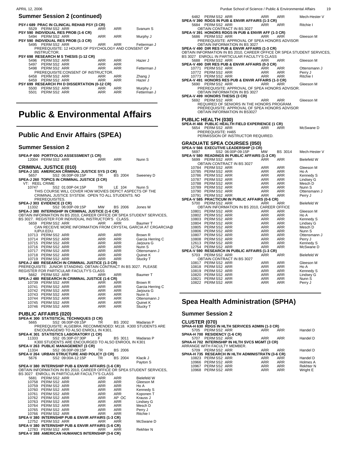| <b>PSY-1 689 PRAC IN CLINICAL REHAB PSY (3 CR)</b> |                                                     |            |            |             |
|----------------------------------------------------|-----------------------------------------------------|------------|------------|-------------|
| 5529 PERMSS2 ARR                                   |                                                     | <b>ARR</b> | ARR        | Svanum S    |
| PSY 590 INDIVIDUAL RES PROB (1-6 CR)               |                                                     |            |            |             |
| 5494 PERM SS2 ARR                                  |                                                     | <b>ARR</b> | ARR        | Murphy J    |
| PSY 590 INDIVIDUAL RES PROB (1-3 CR)               |                                                     |            |            |             |
| 5495 PERM SS2 ARR                                  |                                                     | ARR        | ARR        | Fetterman J |
|                                                    | PREREQUISITE: 12 HOURS OF PSYCHOLOGY AND CONSENT OF |            |            |             |
| INSTRUCTOR.                                        |                                                     |            |            |             |
| PSY 698 RESEARCH M S THESIS (1-12 CR)              |                                                     |            |            |             |
| PERM SS2 ARR<br>5496                               |                                                     | ARR        | ARR        | Hazer J     |
| 5497 PERM SS2 ARR                                  |                                                     | <b>ARR</b> | <b>ARR</b> |             |
| 5498 PERMSS2 ARR                                   |                                                     | <b>ARR</b> | <b>ARR</b> | Fetterman J |
|                                                    | PREREQUISITE: CONSENT OF INSTRUCTOR.                |            |            |             |
| PERM SS2 ARR<br>6458                               |                                                     | <b>ARR</b> | <b>ARR</b> | Zhang J     |
| PERM SS2 ARR<br>6459                               |                                                     | <b>ARR</b> | <b>ARR</b> | Hazer J     |
| PSY 699 RESEARCH PH D DISSERTATION (0-12 CR)       |                                                     |            |            |             |
| PERM SS2 ARR<br>5500                               |                                                     | <b>ARR</b> | <b>ARR</b> | Murphy J    |
| 5501 PERM SS2 ARR                                  |                                                     | <b>ARR</b> | ARR        | Fetterman J |
|                                                    |                                                     |            |            |             |
|                                                    |                                                     |            |            |             |

# **Public & Environmental Affairs**

## **Public And Envir Affairs (SPEA)**

#### **Summer Session 2**

 $\overline{a}$ 

| SPEA-P 600 PORTFOLIO ASSESSMENT (1 CR)                                                                                         |                          |                |                    |
|--------------------------------------------------------------------------------------------------------------------------------|--------------------------|----------------|--------------------|
| 12004 PERM SS2 ARR                                                                                                             | ARR                      | ARR            | Nunn S             |
|                                                                                                                                |                          |                |                    |
| <b>CRIMINAL JUSTICE (010)</b><br>SPEA-J 101  AMERICAN CRIMINAL JUSTICE SYS (3 CR)                                              |                          |                |                    |
| SS2 06:00P-09:15P<br>5657                                                                                                      | TR.                      | BS 2004        | Sweeney D          |
| SPEA-J 260 TOPICS IN CRIMINAL JUSTICE (3 CR)                                                                                   |                          |                |                    |
| VT: REEL CRIME                                                                                                                 |                          |                |                    |
| 10747<br>SS2 01:00P-04:15P                                                                                                     | TR.                      | LE 104         | Nunn S             |
| THIS COURSE WILL COVER HOW MOVIES DEPICT ASPECTS OF THE                                                                        |                          |                |                    |
| CRIMINAL JUSTICE SYSTEM. OPEN TO ALL STUDENTS. NO                                                                              |                          |                |                    |
| PREREQUISITES.                                                                                                                 |                          |                |                    |
| SPEA-J 303 EVIDENCE (3 CR)                                                                                                     |                          |                |                    |
| 11332<br>SS2 06:00P-09:15P                                                                                                     | MW                       | BS 2006        | Jones W            |
| SPEA-J 380 INTERNSHIP IN CRIMINAL JUSTICE (1-6 CR)                                                                             |                          |                |                    |
| OBTAIN INFORMATION IN BS 2010, CAREER OFFICE OR SPEA STUDENT SERVICES,<br>BS 3027. REGISTER FOR INDIVIDUAL INSTRUCTOR'S CLASS. |                          |                |                    |
| PERM SS2 ARR<br>5659                                                                                                           | ARR                      | <b>ARR</b>     | Baumer T           |
| CAN RECEIVE MORE INFORMATION FROM CRYSTAL GARCIA AT CRGARCIA@                                                                  |                          |                |                    |
| IUPUI.EDU.                                                                                                                     |                          |                |                    |
| 10713 PERM SS2 ARR                                                                                                             | ARR                      | ARR            | Brown R            |
| 10714 PERMSS2 ARR                                                                                                              | ARR                      | ARR            | Garcia Herring C   |
| 10715 PERM SS2 ARR                                                                                                             | ARR                      | ARR            | Jarjoura G         |
| 10716 PERMSS2 ARR                                                                                                              | ARR                      | ARR            | Nunn <sub>S</sub>  |
| 10717 PERMSS2 ARR                                                                                                              | ARR                      | ARR            | Ottensmann J       |
| 10718 PERMSS2 ARR                                                                                                              | ARR                      | ARR            | Quinet K           |
| 10719 PERM SS2 ARR                                                                                                             | ARR                      | ARR            | Stucky T           |
| SPEA-J 480 RESEARCH IN CRIMINAL JUSTICE (1-3 CR)                                                                               |                          |                |                    |
| PREREQUISITE: JUNIOR STANDING. OBTAIN CONTRACT IN BS 3027. PLEASE                                                              |                          |                |                    |
| REGISTER FOR PARTICULAR FACULTY'S CLASS<br>PERMSS2 ARR<br>5662                                                                 | ARR                      | ARR            | Baumer T           |
| SPEA-J 480 RESEARCH IN CRIMINAL JUSTICE (1-6 CR)                                                                               |                          |                |                    |
| 10739 PERMSS2 ARR                                                                                                              | ARR                      | ARR            | Brown R            |
| 10741 PERMSS2 ARR                                                                                                              | ARR                      | ARR            | Garcia Herring C   |
| 10742 PERMSS2 ARR                                                                                                              | ARR<br>ARR<br>ARR<br>ARR | ARR            | Jarjoura G         |
| 10743 PERMSS2 ARR                                                                                                              |                          | ARR            | Nunn S             |
| 10744 PERMSS2 ARR                                                                                                              |                          | ARR            | Ottensmann J       |
| 10745 PERM SS2 ARR                                                                                                             |                          | ARR            | Quinet K           |
| 10746 PERMSS2 ARR                                                                                                              | ARR                      | ARR            | Stucky T           |
|                                                                                                                                |                          |                |                    |
| <b>PUBLIC AFFAIRS (020)</b><br>SPEA-K 300 STATISTICAL TÉCHNIQUES (3 CR)                                                        |                          |                |                    |
| SS2 06:00P-09:15P<br>5665                                                                                                      | <b>TR</b>                | BS 2002        | Madaras P          |
| PREREQUISITE: ALGEBRA. RECOMMENDED: M118. K300 STUDENTS ARE                                                                    |                          |                |                    |
| ENCOURAGEWD TO ALSO ENROLL IN K301.                                                                                            |                          |                |                    |
| SPEA-K 301 STATISTICS LABORATORY (1 CR)                                                                                        |                          |                |                    |
| SS2 05:30P-07:30P<br>11333                                                                                                     | F                        | <b>BS 3011</b> | Madaras P          |
| K300 STUDENTS ARE ENCOURGED TO ALSO ENROOL IN K301                                                                             |                          |                |                    |
| SPEA-V 263 PUBLIC MANAGEMENT (3 CR)                                                                                            |                          |                |                    |
| SS2 06:00P-09:15P<br>11334                                                                                                     | TR                       | <b>BS 2006</b> |                    |
| SPEA-V 264 URBAN STRUCTURE AND POLICY (3 CR)                                                                                   |                          |                |                    |
| 5676<br>SS2 09:00A-12:15P                                                                                                      | <b>TR</b>                | <b>BS 2004</b> | Klacik J           |
|                                                                                                                                |                          |                | Payton S           |
| SPEA-V 380 INTERNSHIP PUB & ENVIR AFFAIRS (1-6 CR)                                                                             |                          |                |                    |
| OBTAIN INFORMATION IN BS 2010, CAREER OFFICE OR SPEA STUDENT SERVICES,<br>BS 3027 ENROLL IN PARTICULAR FACULTY'S CLASS         |                          |                |                    |
| PERM SS2 ARR<br>5681                                                                                                           | <b>ARR</b>               | <b>ARR</b>     | <b>Bielefeld W</b> |
| 10758 PERM SS2 ARR                                                                                                             | ARR                      | ARR            | Gleeson M          |
| 10759 PERMSS2 ARR                                                                                                              | ARR                      | ARR            | Ho A               |
| 10760 PERMSS2 ARR                                                                                                              | ARR                      | ARR            | Kennedy S          |
| 10761 PERMSS2 ARR                                                                                                              | ARR                      | <b>ARR</b>     | Koponen T          |
| 10762 PERMSS2 ARR                                                                                                              | ARR                      | AP OC          | Krauss J           |
| 10763 PERM SS2 ARR                                                                                                             | ARR                      | ARR            | Lindsey G          |
| 10764 PERM SS2 ARR                                                                                                             | ARR                      | ARR            | Mesch D            |
| 10765 PERM SS2 ARR                                                                                                             | ARR                      | ARR            | Perry J            |
| 10766 PERM SS2 ARR                                                                                                             | ARR                      | ARR            | Ritchie I          |
| SPEA-V 380 INTERNSHIP PUB & ENVIR AFFAIRS (1-3 CR)<br>12752 PFRMSS2 ARR                                                        | ARR                      | ARR            | McSwane D          |
|                                                                                                                                |                          |                |                    |

| ARR                             | Ritchie I    |
|---------------------------------|--------------|
| CR)<br>ARR                      | McSwane D    |
| CR)<br>$\overline{\phantom{a}}$ | . <b>.</b> . |

12752 PERM SS2 ARR ARR ARR ARR McSwane D<br>**SPEA-V 380 INTERNSHIP PUB & ENVIR AFFAIRS (1-6 CR)**<br>12783 PERM SS2 ARR<br>**SPEA-V 388 AMERICAN HUMANICS INTERNSHIP (3-6 CR)** Rekhter N

| PERM SS2 ARR<br>6482                                                   | ARR        | ARR        | Mech-Hester V      |
|------------------------------------------------------------------------|------------|------------|--------------------|
| SPEA-V 390 RDGS IN PUB & ENVIR AFFAIRS (1-3 CR)                        |            |            |                    |
| PERM SS2 ARR<br>5684                                                   | ARR        | ARR        | Ritchie I          |
| OBTAIN CONTRACT IN BS 3027                                             |            |            |                    |
| SPEA-V 391 HONORS RDGS IN PUB & ENVIR AFF (1-3 CR)                     |            |            |                    |
| PERM SS2 ARR<br>5686                                                   | ARR        | <b>ARR</b> | Gleeson M          |
| PREREQUISITE: APPROVAL OF SPEA HONORS ADVISOR                          |            |            |                    |
| OBTAIN INFORMATION IN BS 3027                                          |            |            |                    |
| SPEA-V 490 DIR RES PUB & ENVIR AFFAIRS (1-3 CR)                        |            |            |                    |
| OBTAIN INFORMATION IN BS 2010, CAREER OFFICE OR SPEA STUDENT SERVICES, |            |            |                    |
|                                                                        |            |            |                    |
| BS 3027 ENROLL IN PARTICULAR FACULTY'S CLASS                           |            |            |                    |
| 5688<br>PERM SS2 ARR                                                   | ARR        | <b>ARR</b> | Gleeson M          |
| SPEA-V 490 DIR RES PUB & ENVIR AFFAIRS (0-3 CR)                        |            |            |                    |
| 10771<br>PERMSS2 ARR                                                   | ARR        | ARR        | Ottensmann J       |
| PERM SS2 ARR<br>10772                                                  | ARR        | <b>ARR</b> | Perry J            |
| 10773<br>PERM SS2 ARR                                                  | ARR        | ARR        | Ritchie I          |
| SPEA-V 491 HONORS RES PUB & ENVIR AFFAIRS (1-3 CR)                     |            |            |                    |
| PERM SS2 ARR<br>5690                                                   | ARR        | ARR        | Gleeson M          |
| PREREQUISITE: APPROVAL OF SPEA HONORS ADVISOR.                         |            |            |                    |
| OBTAIN INFORMATION IN BS 3027                                          |            |            |                    |
| SPEA-V 499 HONORS THESIS (3 CR)                                        |            |            |                    |
| PERM SS2 ARR<br>5692                                                   | ARR        | <b>ARR</b> | Gleeson M          |
| REQUIRED OF SENIORS IN THE HONORS PROGRAM.                             |            |            |                    |
| PREREQUISITE: APPROVAL OF SPEA HONORS ADVISOR                          |            |            |                    |
| OBTAIN INFORMATION IN BS3027                                           |            |            |                    |
|                                                                        |            |            |                    |
|                                                                        |            |            |                    |
| <b>PUBLIC HEALTH (030)</b>                                             |            |            |                    |
| SPEA-H 466 PUBLIC HÈALTH FIELD EXPERIENCE (1 CR)                       |            |            |                    |
| PERMSS2 ARR<br>5654                                                    | ARR        | <b>ARR</b> | McSwane D          |
| PREREQUISITE: H465                                                     |            |            |                    |
| PERMISSION OF INSTRUCTOR REQUIRED.                                     |            |            |                    |
|                                                                        |            |            |                    |
| <b>GRADUATE SPEA COURSES (050)</b>                                     |            |            |                    |
| SPEA-V 566 EXECUTIVE LEADERSHIP (3 CR)                                 |            |            |                    |
| SS2 06:00P-09:15P<br>5697                                              | <b>MW</b>  | BS 3014    | Mech-Hester V      |
| SPEA-V 580 READINGS IN PUBLIC AFFAIRS (1-3 CR)                         |            |            |                    |
| PERM SS2 ARR<br>5699                                                   | ARR        | <b>ARR</b> | <b>Bielefeld W</b> |
| OBTAIN CONTRACT IN BS 3027                                             |            |            |                    |
| 10784 PERMSS2 ARR                                                      | <b>ARR</b> | <b>ARR</b> | Gleeson M          |
|                                                                        |            |            |                    |
| PERM SS2 ARR<br>10785                                                  | ARR        | ARR        | Ho A               |
| PERM SS2 ARR<br>10786                                                  | <b>ARR</b> | <b>ARR</b> | Kennedy S          |
| PERM SS2 ARR<br>10787                                                  | <b>ARR</b> |            |                    |
| PERM SS2 ARR<br>10788                                                  |            | <b>ARR</b> | Lindsey G          |
|                                                                        | ARR        | <b>ARR</b> | Mesch D            |
| PERM SS2 ARR<br>10789                                                  | ARR        | <b>ARR</b> | Nunn S             |
| PERM SS2 ARR<br>10790                                                  | <b>ARR</b> | <b>ARR</b> | Ottensmann J       |
| PERM SS2 ARR<br>10791                                                  | ARR        | ARR        | Perry J            |
| SPEA-V 585 PRACTICUM IN PUBLIC AFFAIRS (0-6 CR)                        |            |            |                    |
| PERM SS2 ARR<br>5700                                                   | <b>ARR</b> | ARR        | <b>Bielefeld W</b> |
|                                                                        |            |            |                    |
| OBTAIN INFORMATION IN BS 2010, CAREER OFFICE                           |            |            |                    |
| 10801 PERM SS2 ARR                                                     | <b>ARR</b> | <b>ARR</b> | Gleeson M          |
| 10802<br>PERM SS2 ARR                                                  | ARR        | <b>ARR</b> | Ho A               |
| PERM SS2 ARR<br>10803                                                  | <b>ARR</b> | <b>ARR</b> | Kennedy S          |
| PERM SS2 ARR<br>10804                                                  | ARR        | ARR        | Lindsey G          |
| PERM SS2 ARR<br>10805                                                  | <b>ARR</b> | <b>ARR</b> | Mesch D            |
| 10806<br>PERM SS2 ARR                                                  | ARR        | <b>ARR</b> | Nunn S             |
| PERM SS2 ARR<br>10807                                                  | <b>ARR</b> | <b>ARR</b> | Ottensmann J       |
| 10808                                                                  | ARR        | <b>ARR</b> | Perry J            |
| PERM SS2 ARR<br>PERM SS2 ARR<br>12613                                  | ARR        | ARR        | Kennedy S          |
| 12754<br>PERM SS2 ARR                                                  | ARR        | <b>ARR</b> | McSwane D          |
| SPEA-V 590 RESEARCH IN PUBLIC AFFAIRS (1-3 CR)                         |            |            |                    |
| PERM SS2 ARR<br>5703                                                   | ARR        | <b>ARR</b> | <b>Bielefeld W</b> |
| OBTAIN CONTRACT IN BS 3027                                             |            |            |                    |
| PERM SS2 ARR<br>10817                                                  | <b>ARR</b> | <b>ARR</b> | Gleeson M          |
| PERM SS2 ARR<br>10818                                                  | <b>ARR</b> | ARR        | Ho A               |
| 10819                                                                  | ARR        | <b>ARR</b> |                    |
| PERM SS2 ARR                                                           |            |            | Kennedy S          |
| 10820<br>PERM SS2 ARR                                                  | ARR        | <b>ARR</b> | Lindsey G          |
| PERM SS2 ARR<br>10821                                                  | <b>ARR</b> | <b>ARR</b> | Nunn S             |
| PERM SS2 ARR<br>10822                                                  | <b>ARR</b> | <b>ARR</b> | Perry J            |
|                                                                        |            |            |                    |

## **Spea Health Administration (SPHA)**

| <b>CLUSTER (070)</b>          |                    |                                                   |            |            |                  |
|-------------------------------|--------------------|---------------------------------------------------|------------|------------|------------------|
|                               |                    | SPHA-H 630 RDGS IN HLTH SERVICES ADMIN (1-3 CR)   |            |            |                  |
|                               | 5705 PERMSS2 ARR   |                                                   | <b>ARR</b> | <b>ARR</b> | Handel D         |
| SPHA-H 700 RESIDENCY (1-6 CR) |                    |                                                   |            |            |                  |
|                               | 5707 PERMSS2 ARR   |                                                   | ARR        | ARR        | Handel D         |
|                               |                    | SPHA-H 702 INTERNSHIP IN HLTH SVCS MGMT (3 CR)    |            |            |                  |
|                               |                    | ARRANGE WITH FACULTY MEMBER.                      |            |            |                  |
|                               |                    | 5709 PERMSS2 ARR                                  | ARR        | ARR        | Handel D         |
|                               |                    | SPHA-H 735 RESEARCH IN HLTH ADMINISTRATN (3-6 CR) |            |            |                  |
|                               | 10823 PERM SS2 ARR |                                                   | ARR        | ARR        | Handel D         |
|                               | 10966 PERM SS2 ARR |                                                   | ARR        | <b>ARR</b> | Holmes A         |
|                               | 10967 PERM SS2 ARR |                                                   | ARR        | ARR        | <b>Rekhter N</b> |
|                               | 10968 PFRMSS2 ARR  |                                                   | ARR        | ARR        | Wright F         |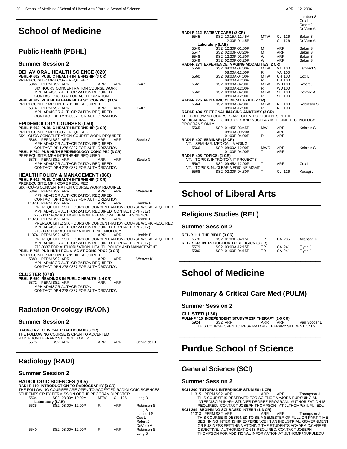# **School of Medicine**

## **Public Health (PBHL)**

#### **Summer Session 2**

 $\overline{a}$ 

| Summer Session 2                                                                                                                                                                                                                                                                                                                                                                                                                       |
|----------------------------------------------------------------------------------------------------------------------------------------------------------------------------------------------------------------------------------------------------------------------------------------------------------------------------------------------------------------------------------------------------------------------------------------|
| <b>BEHAVIORAL HEALTH SCIENCE (020)</b><br>PBHL-P 602 PUBLIC HEALTH INTERNSHIP (3 CR)<br>PREREQUISITE: MPH CORE REQUIRED<br>5366 PERM SS2 ARR<br>Zwirn E<br>ARR<br>ARR<br>SIX HOURS CONCENTRATION COURSE WORK<br>MPH ADVISOR AUTHORIZATION REQUIRED.<br>CONTACT 278-0337 FOR AUTHORIZATION.                                                                                                                                             |
| PBHL-P 702 PUB HLTH BEHV HLTH SCI CON PRJ (3 CR)<br>PREREQUISITE: MPH INTERNSHIP REQUIRED<br>Zwirn E<br>5374 PERMSS2 ARR<br><b>ARR</b><br>ARR<br>MPH ADVISOR AUTHORIZATION REQUIRED<br>CONTACT DPH 278-0337 FOR AUTHORIZATION.                                                                                                                                                                                                         |
| <b>EPIDEMIOLOGY COURSES (050)</b><br>PBHL-P 602 PUBLIC HEALTH INTERNSHIP (3 CR)<br>PREREQUISITE: MPH CORE REQUIRED<br>SIX HOURS CONCENTRATION COURSE WORK REQUIRED<br>5368 PERM SS2 ARR<br>Steele G<br>ARR<br>ARR<br>MPH ADVISOR AUTHORIZATION REQUIRED<br>CONTACT DPH 278-0337 FOR AUTHORIZATION<br>PBHL-P 704 PUB HLTH EPIDEMIOLOGY CONC PRJ (3 CR)                                                                                  |
| PREREQUISITE: MPH INTERNSHIP REQUIRED<br>5378 PERMSS2 ARR<br>Steele G<br>ARR<br>ARR<br>MPH ADVISOR AUTHORIZATION REQUIRED<br>CONTACT DPH 278-0337 FOR AUTHORIZATION                                                                                                                                                                                                                                                                    |
| <b>HEALTH POLICY &amp; MANAGEMENT (060)</b><br>PBHL-P 602 PUBLIC HEALTH INTERNSHIP (3 CR)<br>PREREQUISITE: MPH CORE REQUIRED<br>SIX HOURS CONCENTRATION COURSE WORK REQUIRED<br>Weaver K<br>5369 PERM SS2 ARR<br>ARR<br>ARR                                                                                                                                                                                                            |
| MPH ADVISOR AUTHORIZATION REQUIRED.<br>CONTACT DPH 278-0337 FOR AUTHORIZATION<br>11370 PERM SS2 ARR<br><b>ARR</b><br>ARR<br>Henkle E<br>PREREQUISITE: SIX HOURS OF CONCENTRATION COURSE WORK REQUIRED<br>MPH ADVISOR AUTHORIZATION REQUIRED CONTACT DPH (317)<br>278-0337 FOR AUTHORIZATION, BEHAVIORAL HEALTH SCIENCE<br>11373 PERMSS2 ARR<br>ARR<br>ARR<br>Henkle E<br>PREREQUISITE: SIX HOURS OF CONCENTRATION COURSE WORK REQUIRED |
| MPH ADVISOR AUTHORIZATION REQUIRED CONTACT DPH (317)<br>278-0337 FOR AUTHORIZATION. EPIDEMIOLOGY<br>11374 PERMSS2 ARR<br>ARR<br>ARR<br>Henkle E<br>PREREQUISITE: SIX HOURS OF CONCENTRATION COURSE WORK REQUIRED<br>MPH ADVISOR AUTHORIZATION REQUIRED CONTACT DPH (317)<br>279 0227 EOR ALITHORIZATIONI, HEALTH ROLLOV AND MANIACEMENT.                                                                                               |

278-0337 FOR AUTHORIZATION. HEALTH POLICY AND MANAGEMENT **PBHL-P 705 PUB HLTH POL & MGMT CONC PROJ (3 CR)** PREREQUISITE: MPH INTERNSHIP REQUIRED<br>5380 PERM SS2 ARR ARR

 5380 PERM SS2 ARR ARR ARR Weaver K MPH ADVISOR AUTHORIZATION REQUIRED CONTACT DPH 278-0337 FOR AUTHORIZATION

**CLUSTER (070)**

 $\overline{a}$ 

 $\overline{a}$ 

**PBHL-P 650 READINGS IN PUBLIC HEALTH (1-4 CR)** 5372 PERM SS2 ARR ARR ARR MPH ADVISOR AUTHORIZATION CONTACT DPH 278-0337 FOR AUTHORIZATION

## **Radiation Oncology (RAON)**

#### **Summer Session 2**

|      | RAON-J 451 CLINICAL PRACTICUM III (6 CR) |     |     |             |
|------|------------------------------------------|-----|-----|-------------|
|      | THE FOLLOWING COURSE IS OPEN TO ACCEPTED |     |     |             |
|      | RADIATION THERAPY STUDENTS ONLY.         |     |     |             |
| 5575 | SS <sub>2</sub> ARR                      | ARR | ARR | Schneider J |

## **Radiology (RADI)**

### **Summer Session 2**

## **RADIOLOGIC SCIENCES (005)**

**RADI-R 110 INTRODUCTION TO RADIOGRAPHY (3 CR)** THE FOLLOWING COURSES ARE OPEN TO ACCEPTED RADIOLOGIC SCIENCES STUDENTS OR BY PERMISSION OF THE PROGRAM DIRECTOR.<br>5534 SS2 08:30A-10:00A MTW CL 126 5534 SS2 08:30A-10:00A MTW CL 126 Long B

|      | Laboratory (LAB)  |   |            |                                                                    |
|------|-------------------|---|------------|--------------------------------------------------------------------|
| 5535 | SS2 08:00A-12:00P | R | <b>ARR</b> | Robinson S<br>Long B<br>Lambert S<br>Cox L<br>Rafert J<br>DeVore A |
| 5540 | SS2 08:00A-12:00P |   | <b>ARR</b> | Robinson S<br>Long B                                               |

| APRIL 12, 2006 |  |  |
|----------------|--|--|
|----------------|--|--|

Lambert S

| RADI-R 112 PATIENT CARE I (3 CR) |                  |                                                            |            |               | Lambent o<br>Cox L<br>Rafert J<br>DeVore A |
|----------------------------------|------------------|------------------------------------------------------------|------------|---------------|--------------------------------------------|
| 5545                             |                  | SS2 10:15A-11:45A                                          | <b>MTW</b> | CL 126        | Baker S                                    |
|                                  |                  | 12:30P-01:45P                                              | т          | CL 126        | DeVore A                                   |
|                                  | Laboratory (LAB) |                                                            |            |               |                                            |
| 5546                             |                  | SS2 12:30P-01:50P                                          | м          | <b>ARR</b>    | <b>Baker S</b>                             |
| 5547                             |                  | SS2 02:00P-03:20P                                          | М          | <b>ARR</b>    | <b>Baker S</b>                             |
| 5548                             |                  | SS2 12:30P-01:50P                                          | W          | <b>ARR</b>    | Baker <sub>S</sub>                         |
| 5549                             |                  | SS2 02:00P-03:20P                                          | W          | <b>ARR</b>    | Baker S                                    |
|                                  |                  | RADI-R 274 EXPERIENCE IMAGING MODALITIES (2 CR)            |            |               |                                            |
| 5559                             |                  | SS2 08:00A-04:00P                                          | <b>MTW</b> | VA 100        | Lambert S                                  |
|                                  |                  | 08:00A-12:00P                                              | R          | VA 100        |                                            |
| 5560                             |                  | SS2 08:00A-04:00P                                          | MTW        | <b>UH 100</b> | Cox L                                      |
|                                  |                  | 08:00A-12:00P                                              | R          | UH 100        |                                            |
| 5561                             |                  | SS2 08:00A-04:00P                                          | MTW        | <b>WD100</b>  | Rafert J                                   |
|                                  |                  | 08:00A-12:00P                                              | R          | <b>WD100</b>  |                                            |
| 5562                             |                  | SS2 08:00A-04:00P                                          | <b>MTW</b> | SF 100        | DeVore A                                   |
|                                  |                  | 08:00A-12:00P                                              | R          | SF 100        |                                            |
|                                  |                  | RADI-R 275 PEDIATRIC CLINICAL EXP II (2 CR)                |            |               |                                            |
| 5564                             |                  | SS2 08:00A-04:00P                                          | <b>MTW</b> | 100<br>RI     | Robinson S                                 |
|                                  |                  | 08:00A-12:00P                                              | R          | RI<br>100     |                                            |
|                                  |                  | RADI-R 404 SECTIONAL IMAGING ANATOMY (3 CR)                |            |               |                                            |
|                                  |                  | THE FOLLOWING COURSES ARE OPEN TO STUDENTS IN THE          |            |               |                                            |
|                                  |                  | MEDICAL IMAGING TECHNOLOGY AND NUCLEAR MEDICINE TECHNOLOGY |            |               |                                            |
| PROGRAMS ONLY.                   |                  |                                                            |            |               |                                            |
| 5565                             |                  | SS2 01:45P-03:45P                                          | <b>MW</b>  | <b>ARR</b>    | Kehrein S                                  |
|                                  |                  | 08:00A-09:20A                                              | т          | <b>ARR</b>    |                                            |
|                                  |                  | $01:00P - 04:00P$                                          | R          | <b>ARR</b>    |                                            |
| RADI-R 407 SEMINAR: (2 CR)       |                  |                                                            |            |               |                                            |
|                                  |                  | VT: SEMINAR: MEDICAL IMAGING                               |            |               |                                            |
| 5566                             |                  | SS2 08:00A-12:00P                                          | <b>MWR</b> | <b>ARR</b>    | Kehrein S                                  |
|                                  |                  | 01:00P-04:00P                                              | т          | <b>ARR</b>    |                                            |
| RADI-R 408 TOPICS: (1 CR)        |                  |                                                            |            |               |                                            |
|                                  |                  | VT: TOPICS: INTRO TO MIT PROJECTS                          |            |               |                                            |
| 5567                             |                  | SS2 09:45A-12:00P                                          | т          | <b>ARR</b>    | Cox L                                      |
|                                  |                  | VT: TOPICS: NUCLEAR MEDICINE MGMT                          |            |               |                                            |
| 5568                             |                  | SS2 02:30P-04:30P                                          | Т          | CL 126        | Kosegi J                                   |
|                                  |                  |                                                            |            |               |                                            |
|                                  |                  |                                                            |            |               |                                            |

# **School of Liberal Arts**

## **Religious Studies (REL)**

#### **Summer Session 2**

 $\overline{a}$ 

 $\overline{a}$ 

 $\overline{a}$ 

|      | REL-R 111 THE BIBLE (3 CR) |                                                  |           |        |            |
|------|----------------------------|--------------------------------------------------|-----------|--------|------------|
| 5576 |                            | SS2 01:00P-04:15P                                | TR.       | CA 235 | Allanson K |
|      |                            | <b>REL-R 133 INTRODUCTION TO RELIGION (3 CR)</b> |           |        |            |
| 5579 |                            | SS2 09:00A-12:15P                                | TR        | CA 241 | Flynn J    |
| 5580 |                            | SS2 01:00P-04:15P                                | <b>TR</b> | CA 241 | Flynn J    |
|      |                            |                                                  |           |        |            |
|      |                            |                                                  |           |        |            |

# **School of Medicine**

## **Pulmonary & Critical Care Med (PULM)**

#### **Summer Session 2**

**CLUSTER (130)**

**PULM-F 410 INDEPENDENT STUDY/RESP THERAPY (1-5 CR)** 5924 SS2 ARR ARR ARR Van Scoder L THIS COURSE OPEN TO RESPIRATORY THERAPY STUDENT ONLY \_\_\_\_\_\_\_\_\_\_\_\_\_\_\_\_\_\_\_\_\_\_\_\_\_\_\_\_

# **Purdue School of Science**

## **General Science (SCI)**

#### **Summer Session 2**

**SCI-I 200 TUTORIAL INTERDISCIP STUDIES (1 CR)**<br>11315 PERM SS2 ARR ARR ARR Thompson J THIS COURSE IS RESERVED FOR SCIENCE MAJORS PURSUING AN<br>INTERDISCIPLINARY STUDIES DEGREE PROGRAM. AUTHORIZATION IS<br>REQUIRED. CONTACT JOSEPH THOMPSON AT JLTHOMP@IUPUI.EDU

**SCI-I 294 BEGINNING SCI-BASED INTERN (1-3 CR)** 11313 PERM SS2 ARR ARR ARR Thompson J THIS COURSE IS DESIGNED TO BE A SEMESTER OF FULL OR PART-TIME BEGINNING INTERNSHIP EXPERIENCE IN AN INDUSTRIAL, GOVERNMENT OR BUSINESS SETTING MATCHING THE STUDENTS ACADEMIC/CAREER OBJECTIVE. AUTHORIZATION IS REQUIRED. CONTACT JOSEPH THOMPSON FOR ADDITIONAL INFORMATION AT JLTHOMP@IUPUI.EDU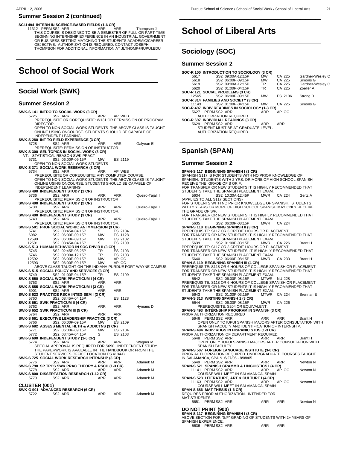#### **SCI-I 494 INTERN IN SCIENCE-BASED FIELDS (1-6 CR)**

11312 PERM SS2 ARR ARR ARR Thompson J THIS COURSE IS DESIGNED TO BE A SEMESTER OF FULL OR PART-TIME BEGINNING INTERNSHIP EXPERIENCE IN AN INDUSTRIAL, GOVERNMENT OR BUSINESS SETTING MATCHING THE STUDENTS ACADEMIC/CAREER OBJECTIVE. AUTHORIZATION IS REQUIRED. CONTACT JOSEPH THOMPSON FOR ADDITIONAL INFORMATION AT JLTHOMP@IUPUI.EDU

\_\_\_\_\_\_\_\_\_\_\_\_\_\_\_\_\_\_\_\_\_\_\_\_\_\_\_\_

# **School of Social Work**

## **Social Work (SWK)**

#### **Summer Session 2**

**SWK-S 141 INTRO TO SOCIAL WORK (3 CR)**<br>5725 SS2 ARR<br>ARR 5725 SS2 ARR ARR AP WEB PREREQUISITE OR COREQUISITE: W131 OR PERMISSION OF PROGRAM DIRECTOR. OPEN TO NON SOCIAL WORK STUDENTS THE ABOVE CLASS IS TAUGHT ONLINE USING ONCOURSE. STUDENTS SHOULD BE CAPABLE OF INDEPENDENT LEARNING **SWK-S 280 INT TO FIELD EXPERIENCE (3 CR)<br>
5728 SS2 ARR ARR ARR ARR BAYROR DERIGUISITE: PERMISSION OF INSTRUCTOR<br>
SWK-S 300 SEL TOPICS IN SOCIAL WORK (3 CR)<br>
VT: STATISTICAL REASON SWK PRACT<br>
VT: STATISTICAL REASON SWK PRA**  5731 SS2 06:00P-09:15P MW ES 2119 OPEN TO NON SOCIAL WORK STUDENTS **SWK-S 371 SOCIAL WORK RESEARCH (3 CR)** 5734 SS2 ARR ARR AP WEB PREREQUISITE OR COREQUISITE: ANY COMPUTER COURSE. OPEN TO NON SOCIAL WORK STUDENTS THE ABOVE CLASS IS TAUGHT ONLINE USING ONCOURSE. STUDENTS SHOULD BE CAPABLE OF INDEPENDENT LEARNING **SWK-S 490 INDEPENDENT STUDY (1 CR)** 5736 SS2 ARR ARR ARR Queiro-Tajalli I PREREQUISITE: PERMISSION OF INSTRUCTOR **SWK-S 490 INDEPENDENT STUDY (2 CR)** 5738 SS2 ARR ARR ARR Queiro-Tajalli I PREREQUISITE: PERMISSION OF INSTRUCTOR. **SWK-S 490 INDEPENDENT STUDY (3 CR)** 5740 SS2 ARR ARR ARR Queiro-Tajalli I PREREQUISITE: PERMISSION OF INSTRUCTOR. **SWK-S 501 PROF SOCIAL WORK: AN IMMERSION (3 CR)**<br>5741 SS2 08:45A-04:15P S ES 2104<br>6082 SS2 06:00P-09:15P MW ES 1128 5741 SS2 08:45A-04:15P S<br>6082 SS2 06:00P-09:15P MW 6082 SS2 06:00P-09:15P MW ES 1128 SS2 06:00P-09:15P<br>SS2 08:45A-04:15P 12591 SS2 08:45A-04:15P S ES 2109 **SWK-S 513 HUMAN BEHAVIOR IN SOC ENVIR II (3 CR)** 5745 SS2 02:45P-05:25P TR ES 2103 5745 SS2 02:45P-05:25P TR ES 2103<br>5746 SS2 09:00A-12:15P TR ES 2103<br>12592 SS2 06:00P-09:15P MW APOC 12592 SS2 06:00P-09:15P MW AP OC 12593 SS2 06:00P-09:15P MW AP OC ABOVE CLASS TAUGHT ON THE INDIANA-PURDUE FORT WAYNE CAMPUS. **SWK-S 515 SOCIAL POLICY AND SERVICES (3 CR)** 5749 SS2 01:00P-04:15P TR ES 2109 **SWK-S 550 SOCIAL WORK PRACTICUM I (4 CR)** 5753 SS2 ARR ARR ARR **SWK-S 555 SOCIAL WORK PRACTICUM I (3 CR)** 5901 SS2 ARR ARR ARR **SWK-S 623 PRACTICE RSCH INTEG SEM I (3 CR)**<br>5760 SS2 08:45A-04:15P SS2 08:45A-04:15P T FS 1128 **SWK-S 651 SWK PRACTICUM II (4 CR)**<br>5762 SS2 ARR 5762 SS2 ARR ARR ARR Hymans D **SWK-S 652 SWK PRACTICUM III (5 CR)** 5764 SS2 ARR ARR ARR **SWK-S 661 EXECUTIVE LEADERSHIP PRACTICE (3 CR)** 5766 SS2 06:00P-09:15P MW ES 2109 **SWK-S 682 ASSESS MENTAL HLTH & ADDICTNS (3 CR)**<br>5771 SS2 06:00P-09:15P MW ES 2104<br>5772 SS2 08:45A-04:15P S ES 2103 5771 SS2 06:00P-09:15P MW ES 2104 5772 SS2 08:45A-04:15P S ES 2103 **SWK-S 690 INDEPENDENT STUDY (1-6 CR)** 5774 SS2 ARR ARR ARR Wagner M SPECIAL APPROVAL IS REQUIRED FOR S690. INDEPENDENT STUDY. THE PAPERWORK IS AVAILABLE IN THE HANDBOOK OR FROM THE STUDENT SERVICES OFFICE LOCATION ES 4134-B **SWK-S 725 SOCIAL WORK RESEARCH INTRNSHP (3 CR)** 5776 SS2 ARR ARR ARR AGamek M<br>**SWK-S 790 SP TPCS SWK PRAC THEORY & RSCH (1-3 CR)**<br>5778 SS2 ARR ARR ARR ARR Adamek M **SWK-S 800 DISSERTATION RESEARCH (1-12 CR)** SS2 ARR ARR ARR Adamek M **CLUSTER (001) SWK-G 901 ADVANCED RESEARCH (6 CR)** 5722 SS2 ARR ARR ARR Adamek M

# **School of Liberal Arts**

### **Sociology (SOC)**

 $\overline{a}$ 

 $\overline{a}$ 

#### **Summer Session 2**

|       |                   | SOC-R 100 INTRODUCTION TO SOCIOLOGY (3 CR)     |            |            |                  |
|-------|-------------------|------------------------------------------------|------------|------------|------------------|
| 5617  |                   | SS2 09:00A-12:15P                              | <b>MW</b>  | CA 225     | Gardner-Wesley C |
| 5618  |                   | SS2 06:00P-09:15P                              | <b>MW</b>  | CA 225     | Simons G         |
| 5619  |                   | SS2 09:00A-12:15P                              | TR.        | CA 225     | Gardner-Wesley C |
| 5620  |                   | SS2 01:00P-04:15P                              | TR.        | CA 225     | Zoeller A        |
|       |                   | SOC-R 121 SOCIAL PROBLEMS (3 CR)               |            |            |                  |
| 12565 |                   | SS2 06:00P-09:15P                              | <b>MW</b>  | ES 2106    | Strong D         |
|       |                   | SOC-R 314 FAMILIES AND SOCIETY (3 CR)          |            |            |                  |
| 11143 |                   | SS2 01:00P-04:15P                              | <b>MW</b>  | CA 225     | Simons G         |
|       |                   | SOC-R 497 INDIV READINGS IN SOCIOLOGY (1-3 CR) |            |            |                  |
|       | 5627 PERM SS2 ARR |                                                | <b>ARR</b> | AP OC      |                  |
|       |                   | <b>AUTHORIZATION REQUIRED</b>                  |            |            |                  |
|       |                   | SOC-R 697 INDIVIDUAL READINGS (3 CR)           |            |            |                  |
| 5629  | PERM SS2 ARR      |                                                | <b>ARR</b> | <b>ARR</b> |                  |
|       |                   | STUDENT MUST BE AT GRADUATE LEVEL.             |            |            |                  |
|       |                   | AUTHORIZATION REQUIRED.                        |            |            |                  |
|       |                   |                                                |            |            |                  |

## **Spanish (SPAN)**

#### **Summer Session 2**

## **SPAN-S 117 BEGINNING SPANISH I (3 CR)** SPANISH S117 IS FOR STUDENTS WITH NO PRIOR KNOWLEDGE OF SPANISH. STUDENTS WITH 2 YRS. OR MORE OF HIGH SCHOOL SPANISH RECEIVE THE GRADE OF S OR F. FOR TRANSFER OR NEW STUDENTS IT IS HIGHLY RECOMMENDED THAT STUDENTS TAKE THE SPANISH PLACEMENT EXAM.<br>5634 SS2 10:30A-12:45P MWR 5634 SS2 10:30A-12:45P MWR CA 224 Gertz A (APPLIES TO ALL S117 SECTIONS) FOR STUDENTS WITH NO PRIOR KNOWLEDGE OF SPANISH. STUDENTS WITH 2 YEARS OR MORE OF HIGH SCHOOL SPANISH MAY ONLY RECEIVE<br>THE GRADE OF S/F.<br>FOR TRANSFER OR NEW STUDENTS, IT IS HIGHLY RECOMMENDED THAT STUDENTS TAKE THE SPANISH PLACEMENT EXAM. 5635 SS2 06:00P-08:15P MWR CA 224 **SPAN-S 118 BEGINNING SPANISH II (3 CR)**<br>PREREQUISITE: S117 OR 3 CREDIT HOURS OR PLACEMENT.<br>FOR TRANSFER OR NEW STUDENTS IT IS HIGHLY RECOMMENDED THAT STUDENTS TAKE THE SPANISH PLACEMENT EXAM.<br>5639 SS2 01:00P-03:15P MWR 5639 SS2 01:00P-03:15P MWR CA 226 Brant H<br>PREREQUISITE: S117 OR 3 CREDIT HOURS OR PLACEMENT<br>FOR TRANSFER OR NEW STUDENTS, IT IS HIGHLY RECOMMENDED THAT<br>STUDENTS TAKE THE SPANISH PLACEMENT EXAM.<br>S640 S62 06:00P-03:15P<br>SPAN-PREREQUISITE: S118 OR 6 HOURS OF COLLEGE SPANISH OR PLACEMENT FOR TRANSFER OR NEW STUDENTS IT IS HIGHLY RECOMMENDED THAT STUDENTS TAKE THE SPANISH PLACEMENT EXAM.<br>5643 SS2 01:00P-03:15P MTWR 5643 SS2 01:00P-03:15P MTWR CA 224 Brennan E **SPAN-S 313 WRITING SPANISH 1 (3 CR)** 5644 SS2 06:00P-08:15P MWR CA 226 PREREQUISITE: S204 OR EQUIVALENT. **SPAN-S 493 INTERNSHIP PROGRAM IN SPANISH (3 CR)** PRIOR AUTHORIZATION REQUIRED 5646 PERM SS2 ARR ARR ARR Brant H<br>OPEN ONLY TO IUPUI SPANISH MAJORS AFTER CONSULTATION WITH<br>SPANISH FACULTY AND IDENTIFICATION OF INTERNSHIP.<br>SPAN-S 494 INDIV RDGS IN HISPANIC STDS (1-3 CR)<br>PRIOR AUTHORIZATION OF DEPARTMEN OPEN ONLY IUPUI SPANISH MAJORS AFTER CONSULTATION WITH SPANISH FACULTY. **SPAN-S 507 FOREIGN LANGUAGE INSTITUTE (3-6 CR)** PRIOR AUTHORIZATION REQUIRED. UNDERGRADUATE COURSES TAUGHT IN SALAMANCA, SPAIN 6/27/05 - 8/08/05 5649 PERM SS2 ARR ARR ARR Newton N<br>**SPAN-S 521 SPANISH GRAMMR & LINGUISTICS I (4 CR)**<br>11141 PERM SS2 ARR ARR ARR ARR AP OC Newton N<br>COURSE WILL MEET IN SALAMANCA, SPAIN **SPAN-S 523 LITERATURE, ART & CULTURE I (4 CR)** 11163 PERM SS2 ARR ARR AP OC Newton N COURSE WILL MEET IN SALAMANCA, SPAIN **SPAN-S 686 MAT THESIS (1-6 CR)** REQUIRES PRIOR AUTHORIZATION. INTENDED FOR MAT STUDENTS. 5651 PERM SS2 ARR ARR ARR Newton N

## **DO NOT PRINT (900) SPAN-S 117 BEGINNING SPANISH I (3 CR)**

| ABOVE SECTION FOR "S/F" GRADING OF STUDENTS WITH 2+ YEARS OF |  |
|--------------------------------------------------------------|--|
| SPANISH EXPERIENCE.                                          |  |
|                                                              |  |

5636 PERM SS2 ARR ARR ARR